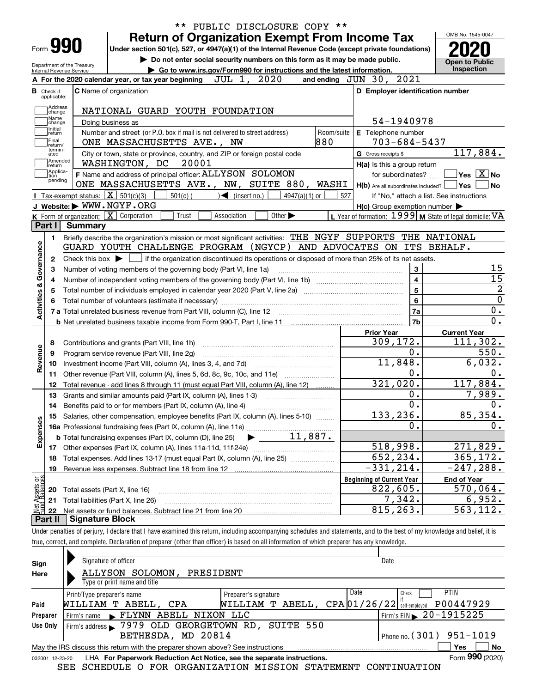|                                                                                        |                                |                                                                                                                                                                                  | ** PUBLIC DISCLOSURE COPY ** |                                                         | OMB No. 1545-0047                                                                                                                                             |
|----------------------------------------------------------------------------------------|--------------------------------|----------------------------------------------------------------------------------------------------------------------------------------------------------------------------------|------------------------------|---------------------------------------------------------|---------------------------------------------------------------------------------------------------------------------------------------------------------------|
|                                                                                        | Form 990                       | <b>Return of Organization Exempt From Income Tax</b><br>Under section 501(c), 527, or 4947(a)(1) of the Internal Revenue Code (except private foundations)                       |                              |                                                         |                                                                                                                                                               |
|                                                                                        |                                | Do not enter social security numbers on this form as it may be made public.                                                                                                      |                              |                                                         |                                                                                                                                                               |
| Department of the Treasury<br>Internal Revenue Service                                 |                                | Go to www.irs.gov/Form990 for instructions and the latest information.                                                                                                           |                              |                                                         | <b>Open to Public</b><br>Inspection                                                                                                                           |
|                                                                                        |                                | JUL 1, 2020<br>A For the 2020 calendar year, or tax year beginning                                                                                                               |                              | and ending JUN 30, 2021                                 |                                                                                                                                                               |
| <b>B</b> Check if                                                                      |                                | C Name of organization                                                                                                                                                           |                              | D Employer identification number                        |                                                                                                                                                               |
| applicable:                                                                            |                                |                                                                                                                                                                                  |                              |                                                         |                                                                                                                                                               |
| Address<br>change                                                                      |                                | NATIONAL GUARD YOUTH FOUNDATION                                                                                                                                                  |                              |                                                         |                                                                                                                                                               |
| Name<br>change                                                                         | Doing business as              |                                                                                                                                                                                  |                              | 54-1940978                                              |                                                                                                                                                               |
| Initial<br>return                                                                      |                                | Number and street (or P.O. box if mail is not delivered to street address)                                                                                                       | Room/suite                   | E Telephone number                                      |                                                                                                                                                               |
| Final<br>return/                                                                       |                                | 880<br>ONE MASSACHUSETTS AVE., NW                                                                                                                                                |                              | $703 - 684 - 5437$                                      |                                                                                                                                                               |
| termin-<br>ated                                                                        |                                | City or town, state or province, country, and ZIP or foreign postal code                                                                                                         |                              | G Gross receipts \$                                     | 117,884.                                                                                                                                                      |
| Amended<br>Ireturn                                                                     |                                | 20001<br>WASHINGTON, DC                                                                                                                                                          |                              | H(a) Is this a group return                             |                                                                                                                                                               |
| Applica-<br>tion<br>pending                                                            |                                | F Name and address of principal officer: ALLYSON SOLOMON                                                                                                                         |                              | for subordinates?                                       | $\overline{\mathsf{Yes} \mathrel{\hspace{0.5pt}\mathsf{X}\hspace{0.5pt}}$ No                                                                                  |
|                                                                                        |                                | ONE MASSACHUSETTS AVE., NW, SUITE 880, WASHI                                                                                                                                     |                              | $H(b)$ Are all subordinates included? $\Box$ Yes $\Box$ | ∣No                                                                                                                                                           |
|                                                                                        |                                | Tax-exempt status: $\boxed{\mathbf{X}}$ 501(c)(3)<br>$501(c)$ (<br>$\blacktriangleleft$ (insert no.)<br>$4947(a)(1)$ or                                                          | 527                          |                                                         | If "No," attach a list. See instructions                                                                                                                      |
|                                                                                        |                                | J Website: WWW.NGYF.ORG                                                                                                                                                          |                              | $H(c)$ Group exemption number $\blacktriangleright$     |                                                                                                                                                               |
| Part I                                                                                 | <b>Summary</b>                 | K Form of organization: X Corporation<br>Trust<br>Other $\blacktriangleright$<br>Association                                                                                     |                              |                                                         | L Year of formation: 1999   M State of legal domicile: VA                                                                                                     |
|                                                                                        |                                |                                                                                                                                                                                  |                              |                                                         |                                                                                                                                                               |
| 1.                                                                                     |                                | Briefly describe the organization's mission or most significant activities: THE NGYF SUPPORTS THE NATIONAL<br>GUARD YOUTH CHALLENGE PROGRAM (NGYCP) AND ADVOCATES ON ITS BEHALF. |                              |                                                         |                                                                                                                                                               |
|                                                                                        |                                |                                                                                                                                                                                  |                              |                                                         |                                                                                                                                                               |
| 2                                                                                      |                                | Check this box $\blacktriangleright$ $\Box$ if the organization discontinued its operations or disposed of more than 25% of its net assets.                                      |                              | 3                                                       | 15                                                                                                                                                            |
| з                                                                                      |                                | Number of voting members of the governing body (Part VI, line 1a)                                                                                                                |                              | $\overline{\mathbf{4}}$                                 | 15                                                                                                                                                            |
| 4<br>5                                                                                 |                                |                                                                                                                                                                                  |                              |                                                         |                                                                                                                                                               |
|                                                                                        |                                |                                                                                                                                                                                  |                              |                                                         |                                                                                                                                                               |
|                                                                                        |                                |                                                                                                                                                                                  |                              | 5                                                       |                                                                                                                                                               |
|                                                                                        |                                |                                                                                                                                                                                  |                              | 6                                                       |                                                                                                                                                               |
|                                                                                        |                                |                                                                                                                                                                                  |                              | 7a                                                      |                                                                                                                                                               |
|                                                                                        |                                |                                                                                                                                                                                  |                              | 7 <sub>b</sub>                                          |                                                                                                                                                               |
|                                                                                        |                                |                                                                                                                                                                                  |                              | <b>Prior Year</b>                                       | <b>Current Year</b>                                                                                                                                           |
| 8<br>9                                                                                 |                                | Contributions and grants (Part VIII, line 1h)                                                                                                                                    |                              | 309, 172.<br>0.                                         |                                                                                                                                                               |
| 10                                                                                     |                                | Program service revenue (Part VIII, line 2g)                                                                                                                                     |                              | 11,848.                                                 |                                                                                                                                                               |
| 11                                                                                     |                                |                                                                                                                                                                                  |                              | $\mathbf 0$ .                                           |                                                                                                                                                               |
| 12                                                                                     |                                | Other revenue (Part VIII, column (A), lines 5, 6d, 8c, 9c, 10c, and 11e)<br>Total revenue - add lines 8 through 11 (must equal Part VIII, column (A), line 12)                   |                              | 321,020.                                                |                                                                                                                                                               |
| 13                                                                                     |                                | Grants and similar amounts paid (Part IX, column (A), lines 1-3)                                                                                                                 |                              | 0.                                                      |                                                                                                                                                               |
| 14                                                                                     |                                | Benefits paid to or for members (Part IX, column (A), line 4)                                                                                                                    |                              | 0.                                                      |                                                                                                                                                               |
|                                                                                        |                                | 15 Salaries, other compensation, employee benefits (Part IX, column (A), lines 5-10)                                                                                             |                              | 133,236.                                                |                                                                                                                                                               |
|                                                                                        |                                |                                                                                                                                                                                  |                              | О.                                                      |                                                                                                                                                               |
|                                                                                        |                                |                                                                                                                                                                                  |                              |                                                         |                                                                                                                                                               |
| 17                                                                                     |                                |                                                                                                                                                                                  |                              | 518,998.                                                |                                                                                                                                                               |
| 18                                                                                     |                                | Total expenses. Add lines 13-17 (must equal Part IX, column (A), line 25)                                                                                                        |                              | 652,234.                                                |                                                                                                                                                               |
| 19                                                                                     |                                | Revenue less expenses. Subtract line 18 from line 12                                                                                                                             |                              | $-331, 214.$                                            |                                                                                                                                                               |
|                                                                                        |                                |                                                                                                                                                                                  |                              | <b>Beginning of Current Year</b>                        | <b>End of Year</b>                                                                                                                                            |
| 20                                                                                     | Total assets (Part X, line 16) |                                                                                                                                                                                  |                              | 822,605.                                                | 0.<br>$\overline{0}$ .<br>111, 302.<br>550.<br>6,032.<br>0.<br>117,884.<br>7,989.<br>0.<br>85,354.<br>0.<br>271,829.<br>365, 172.<br>$-247, 288.$<br>570,064. |
| Activities & Governance<br>Revenue<br>Expenses<br>Net Assets or<br>Fund Balances<br>21 |                                | Total liabilities (Part X, line 26)                                                                                                                                              |                              | 7,342.<br>815,263.                                      | 6,952.<br>$\overline{563}$ , 112.                                                                                                                             |

| Sign            | Signature of officer<br>Date                                                    |                                                      |  |                                        |                 |  |  |  |  |  |  |  |
|-----------------|---------------------------------------------------------------------------------|------------------------------------------------------|--|----------------------------------------|-----------------|--|--|--|--|--|--|--|
| Here            | ALLYSON SOLOMON,<br>PRESIDENT                                                   |                                                      |  |                                        |                 |  |  |  |  |  |  |  |
|                 | Type or print name and title                                                    |                                                      |  |                                        |                 |  |  |  |  |  |  |  |
|                 | Print/Type preparer's name                                                      | Date<br><b>PTIN</b><br>Check<br>Preparer's signature |  |                                        |                 |  |  |  |  |  |  |  |
| Paid            | WILLIAM T ABELL, CPA                                                            | $T$ ABELL, $CPA[01/26/22]$ self-employed<br>WILLIAM  |  |                                        | P00447929       |  |  |  |  |  |  |  |
| Preparer        | FLYNN ABELL<br>Firm's name                                                      | NIXON LLC                                            |  | Firm's EIN $\triangleright$ 20-1915225 |                 |  |  |  |  |  |  |  |
| Use Only        | Firm's address 37979 OLD GEORGETOWN RD, SUITE 550                               |                                                      |  |                                        |                 |  |  |  |  |  |  |  |
|                 | Phone no. $(301)$ 951-1019<br>BETHESDA, MD 20814                                |                                                      |  |                                        |                 |  |  |  |  |  |  |  |
|                 | May the IRS discuss this return with the preparer shown above? See instructions |                                                      |  |                                        | No<br>Yes       |  |  |  |  |  |  |  |
| 032001 12-23-20 | LHA For Paperwork Reduction Act Notice, see the separate instructions.          |                                                      |  |                                        | Form 990 (2020) |  |  |  |  |  |  |  |

SEE SCHEDULE O FOR ORGANIZATION MISSION STATEMENT CONTINUATION

true, correct, and complete. Declaration of preparer (other than officer) is based on all information of which preparer has any knowledge.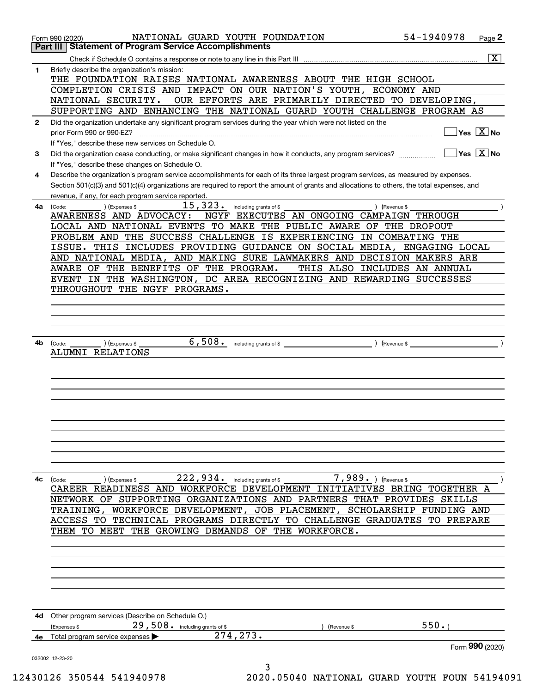|              | NATIONAL GUARD YOUTH FOUNDATION<br>Form 990 (2020)                                                                                           | 54-1940978    | Page 2                                 |
|--------------|----------------------------------------------------------------------------------------------------------------------------------------------|---------------|----------------------------------------|
|              | <b>Statement of Program Service Accomplishments</b><br>Part III                                                                              |               |                                        |
|              |                                                                                                                                              |               | $\overline{\mathbf{x}}$                |
| 1            | Briefly describe the organization's mission:<br>THE FOUNDATION RAISES NATIONAL AWARENESS ABOUT THE HIGH SCHOOL                               |               |                                        |
|              | COMPLETION CRISIS AND IMPACT ON OUR NATION'S YOUTH, ECONOMY AND                                                                              |               |                                        |
|              | OUR EFFORTS ARE PRIMARILY DIRECTED TO DEVELOPING,<br>NATIONAL SECURITY.                                                                      |               |                                        |
|              | SUPPORTING AND ENHANCING THE NATIONAL GUARD YOUTH CHALLENGE PROGRAM AS                                                                       |               |                                        |
| $\mathbf{2}$ | Did the organization undertake any significant program services during the year which were not listed on the                                 |               |                                        |
|              | prior Form 990 or 990-EZ?                                                                                                                    |               | $Yes \quad X$ No                       |
|              | If "Yes," describe these new services on Schedule O.                                                                                         |               |                                        |
| 3            | Did the organization cease conducting, or make significant changes in how it conducts, any program services?                                 |               | $\sqrt{}$ Yes $\sqrt{}$ X $\sqrt{}$ No |
|              | If "Yes," describe these changes on Schedule O.                                                                                              |               |                                        |
| 4            | Describe the organization's program service accomplishments for each of its three largest program services, as measured by expenses.         |               |                                        |
|              | Section 501(c)(3) and 501(c)(4) organizations are required to report the amount of grants and allocations to others, the total expenses, and |               |                                        |
|              |                                                                                                                                              |               |                                        |
|              | revenue, if any, for each program service reported.                                                                                          |               |                                        |
| 4a           | 15, 323. including grants of \$<br>) (Expenses \$<br>(Code:                                                                                  | ) (Revenue \$ |                                        |
|              | NGYF EXECUTES AN ONGOING CAMPAIGN THROUGH<br>AWARENESS AND ADVOCACY:                                                                         |               |                                        |
|              | LOCAL AND NATIONAL EVENTS TO MAKE THE PUBLIC AWARE OF THE DROPOUT                                                                            |               |                                        |
|              | PROBLEM AND THE SUCCESS CHALLENGE IS EXPERIENCING IN COMBATING THE                                                                           |               |                                        |
|              | ISSUE. THIS INCLUDES PROVIDING GUIDANCE ON SOCIAL MEDIA, ENGAGING LOCAL                                                                      |               |                                        |
|              | AND NATIONAL MEDIA, AND MAKING SURE LAWMAKERS AND DECISION MAKERS ARE                                                                        |               |                                        |
|              | AWARE OF THE BENEFITS OF THE PROGRAM.<br>THIS ALSO INCLUDES AN ANNUAL                                                                        |               |                                        |
|              | EVENT IN THE WASHINGTON, DC AREA RECOGNIZING AND REWARDING SUCCESSES                                                                         |               |                                        |
|              | THROUGHOUT THE NGYF PROGRAMS.                                                                                                                |               |                                        |
|              |                                                                                                                                              |               |                                        |
|              |                                                                                                                                              |               |                                        |
|              |                                                                                                                                              |               |                                        |
|              |                                                                                                                                              |               |                                        |
| 4b           | ) (Expenses \$<br>(Code:                                                                                                                     |               |                                        |
|              | ALUMNI RELATIONS                                                                                                                             |               |                                        |
|              |                                                                                                                                              |               |                                        |
|              |                                                                                                                                              |               |                                        |
|              |                                                                                                                                              |               |                                        |
|              |                                                                                                                                              |               |                                        |
|              |                                                                                                                                              |               |                                        |
|              |                                                                                                                                              |               |                                        |
|              |                                                                                                                                              |               |                                        |
|              |                                                                                                                                              |               |                                        |
|              |                                                                                                                                              |               |                                        |
|              |                                                                                                                                              |               |                                        |
|              |                                                                                                                                              |               |                                        |
|              |                                                                                                                                              |               |                                        |
| 4c           | $\left(\text{Code:}\ \_\_\_\_\_\$<br>) (Expenses \$                                                                                          |               |                                        |
|              | CAREER READINESS AND WORKFORCE DEVELOPMENT INITIATIVES BRING TOGETHER A                                                                      |               |                                        |
|              | NETWORK OF SUPPORTING ORGANIZATIONS AND PARTNERS THAT PROVIDES SKILLS                                                                        |               |                                        |
|              | TRAINING, WORKFORCE DEVELOPMENT, JOB PLACEMENT, SCHOLARSHIP FUNDING AND                                                                      |               |                                        |
|              | ACCESS TO TECHNICAL PROGRAMS DIRECTLY TO CHALLENGE GRADUATES TO PREPARE                                                                      |               |                                        |
|              | THEM TO MEET THE GROWING DEMANDS OF THE WORKFORCE.                                                                                           |               |                                        |
|              |                                                                                                                                              |               |                                        |
|              |                                                                                                                                              |               |                                        |
|              |                                                                                                                                              |               |                                        |
|              |                                                                                                                                              |               |                                        |
|              |                                                                                                                                              |               |                                        |
|              |                                                                                                                                              |               |                                        |
|              |                                                                                                                                              |               |                                        |
|              |                                                                                                                                              |               |                                        |
|              | 4d Other program services (Describe on Schedule O.)                                                                                          |               |                                        |
|              | 29,508. including grants of \$<br>(Expenses \$<br>(Revenue \$<br>$\overline{274, 273}$ .                                                     | 550.          |                                        |
|              | 4e Total program service expenses                                                                                                            |               |                                        |
|              |                                                                                                                                              |               | Form 990 (2020)                        |
|              | 032002 12-23-20                                                                                                                              |               |                                        |
|              | 3                                                                                                                                            |               |                                        |

 <sup>12430126 350544 541940978 2020.05040</sup> NATIONAL GUARD YOUTH FOUN 54194091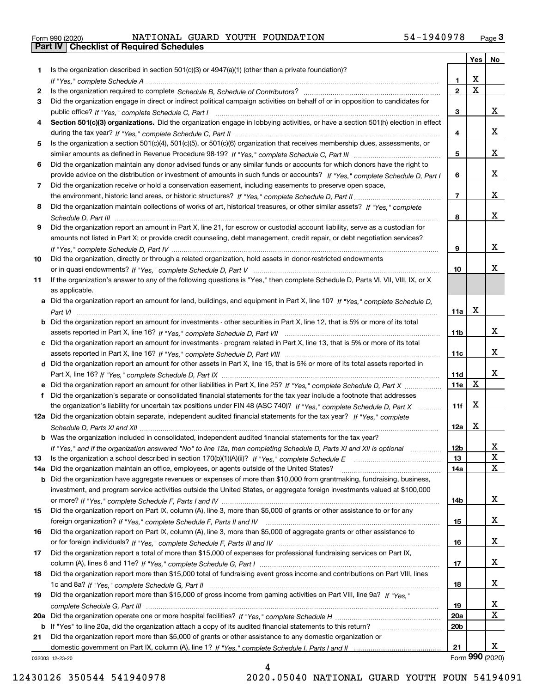|  | Form 990 (2020) |  |
|--|-----------------|--|

Form 990 (2020) NATIONAL GUARD YOUTH FOUNDATION 54-1940978 <sub>Page</sub> 3<br>**Part IV | Checklist of Required Schedules** 

|     |                                                                                                                                       |                 | Yes                     | No              |
|-----|---------------------------------------------------------------------------------------------------------------------------------------|-----------------|-------------------------|-----------------|
| 1.  | Is the organization described in section $501(c)(3)$ or $4947(a)(1)$ (other than a private foundation)?                               |                 |                         |                 |
|     |                                                                                                                                       | 1.              | X                       |                 |
| 2   |                                                                                                                                       | $\overline{2}$  | $\overline{\mathbf{x}}$ |                 |
| 3   | Did the organization engage in direct or indirect political campaign activities on behalf of or in opposition to candidates for       |                 |                         |                 |
|     |                                                                                                                                       | 3               |                         | x               |
| 4   | Section 501(c)(3) organizations. Did the organization engage in lobbying activities, or have a section 501(h) election in effect      |                 |                         |                 |
|     |                                                                                                                                       | 4               |                         | x               |
| 5   | Is the organization a section 501(c)(4), 501(c)(5), or 501(c)(6) organization that receives membership dues, assessments, or          |                 |                         |                 |
|     |                                                                                                                                       | 5               |                         | x               |
| 6   | Did the organization maintain any donor advised funds or any similar funds or accounts for which donors have the right to             |                 |                         |                 |
|     | provide advice on the distribution or investment of amounts in such funds or accounts? If "Yes," complete Schedule D, Part I          | 6               |                         | x               |
| 7   | Did the organization receive or hold a conservation easement, including easements to preserve open space,                             |                 |                         |                 |
|     |                                                                                                                                       | $\overline{7}$  |                         | x               |
| 8   | Did the organization maintain collections of works of art, historical treasures, or other similar assets? If "Yes," complete          |                 |                         | x               |
|     |                                                                                                                                       | 8               |                         |                 |
| 9   | Did the organization report an amount in Part X, line 21, for escrow or custodial account liability, serve as a custodian for         |                 |                         |                 |
|     | amounts not listed in Part X; or provide credit counseling, debt management, credit repair, or debt negotiation services?             | 9               |                         | x               |
| 10  |                                                                                                                                       |                 |                         |                 |
|     | Did the organization, directly or through a related organization, hold assets in donor-restricted endowments                          | 10              |                         | x               |
| 11  | If the organization's answer to any of the following questions is "Yes," then complete Schedule D, Parts VI, VII, VIII, IX, or X      |                 |                         |                 |
|     | as applicable.                                                                                                                        |                 |                         |                 |
|     | a Did the organization report an amount for land, buildings, and equipment in Part X, line 10? If "Yes," complete Schedule D.         |                 |                         |                 |
|     |                                                                                                                                       | 11a             | X                       |                 |
|     | <b>b</b> Did the organization report an amount for investments - other securities in Part X, line 12, that is 5% or more of its total |                 |                         |                 |
|     |                                                                                                                                       | 11 <sub>b</sub> |                         | x               |
|     | c Did the organization report an amount for investments - program related in Part X, line 13, that is 5% or more of its total         |                 |                         |                 |
|     |                                                                                                                                       | 11c             |                         | x               |
|     | d Did the organization report an amount for other assets in Part X, line 15, that is 5% or more of its total assets reported in       |                 |                         |                 |
|     |                                                                                                                                       | 11d             |                         | х               |
|     | e Did the organization report an amount for other liabilities in Part X, line 25? If "Yes," complete Schedule D, Part X               | 11e             | X                       |                 |
| f   | Did the organization's separate or consolidated financial statements for the tax year include a footnote that addresses               |                 |                         |                 |
|     | the organization's liability for uncertain tax positions under FIN 48 (ASC 740)? If "Yes," complete Schedule D, Part X                | 11f             | X                       |                 |
|     | 12a Did the organization obtain separate, independent audited financial statements for the tax year? If "Yes," complete               |                 |                         |                 |
|     |                                                                                                                                       | 12a             | X                       |                 |
|     | <b>b</b> Was the organization included in consolidated, independent audited financial statements for the tax year?                    |                 |                         |                 |
|     | If "Yes," and if the organization answered "No" to line 12a, then completing Schedule D, Parts XI and XII is optional                 | 12D             |                         | ᅀ               |
| 13  | Is the organization a school described in section $170(b)(1)(A)(ii)?$ If "Yes," complete Schedule E                                   | 13              |                         | X               |
| 14a | Did the organization maintain an office, employees, or agents outside of the United States?                                           | 14a             |                         | X               |
|     | <b>b</b> Did the organization have aggregate revenues or expenses of more than \$10,000 from grantmaking, fundraising, business,      |                 |                         |                 |
|     | investment, and program service activities outside the United States, or aggregate foreign investments valued at \$100,000            |                 |                         |                 |
|     |                                                                                                                                       | 14b             |                         | X               |
| 15  | Did the organization report on Part IX, column (A), line 3, more than \$5,000 of grants or other assistance to or for any             |                 |                         |                 |
|     |                                                                                                                                       | 15              |                         | x               |
| 16  | Did the organization report on Part IX, column (A), line 3, more than \$5,000 of aggregate grants or other assistance to              |                 |                         |                 |
|     |                                                                                                                                       | 16              |                         | x               |
| 17  | Did the organization report a total of more than \$15,000 of expenses for professional fundraising services on Part IX,               |                 |                         |                 |
|     |                                                                                                                                       | 17              |                         | x               |
| 18  | Did the organization report more than \$15,000 total of fundraising event gross income and contributions on Part VIII, lines          |                 |                         |                 |
|     |                                                                                                                                       | 18              |                         | x               |
| 19  | Did the organization report more than \$15,000 of gross income from gaming activities on Part VIII, line 9a? If "Yes."                |                 |                         |                 |
|     |                                                                                                                                       | 19              |                         | X               |
|     |                                                                                                                                       | 20a             |                         | $\mathbf X$     |
|     | <b>b</b> If "Yes" to line 20a, did the organization attach a copy of its audited financial statements to this return?                 | 20 <sub>b</sub> |                         |                 |
| 21  | Did the organization report more than \$5,000 of grants or other assistance to any domestic organization or                           |                 |                         |                 |
|     |                                                                                                                                       | 21              |                         | x               |
|     | 032003 12-23-20                                                                                                                       |                 |                         | Form 990 (2020) |

4

032003 12-23-20

12430126 350544 541940978 2020.05040 NATIONAL GUARD YOUTH FOUN 54194091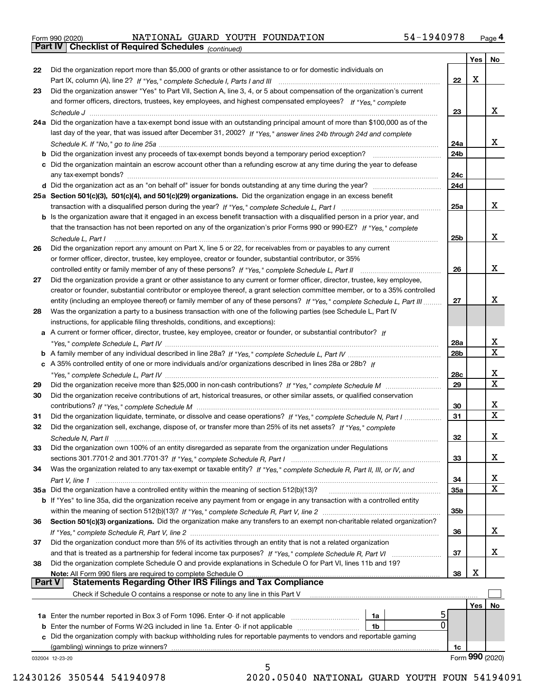|  | Form 990 (2020) |
|--|-----------------|
|  |                 |

*(continued)* Form 990 (2020) NATIONAL GUARD YOUTH FOUNDATION 54-1940978 <sub>Page</sub> 4<br>**Part IV | Checklist of Required Schedules** <sub>(continued)</sub>

|               |                                                                                                                                                                                                                                |            |     | Yes   No                |
|---------------|--------------------------------------------------------------------------------------------------------------------------------------------------------------------------------------------------------------------------------|------------|-----|-------------------------|
| 22            | Did the organization report more than \$5,000 of grants or other assistance to or for domestic individuals on                                                                                                                  |            |     |                         |
|               |                                                                                                                                                                                                                                | 22         | X   |                         |
| 23            | Did the organization answer "Yes" to Part VII, Section A, line 3, 4, or 5 about compensation of the organization's current                                                                                                     |            |     |                         |
|               | and former officers, directors, trustees, key employees, and highest compensated employees? If "Yes," complete                                                                                                                 |            |     |                         |
|               |                                                                                                                                                                                                                                | 23         |     | X                       |
|               | 24a Did the organization have a tax-exempt bond issue with an outstanding principal amount of more than \$100,000 as of the                                                                                                    |            |     |                         |
|               | last day of the year, that was issued after December 31, 2002? If "Yes," answer lines 24b through 24d and complete                                                                                                             |            |     |                         |
|               |                                                                                                                                                                                                                                | 24a        |     | x                       |
|               | <b>b</b> Did the organization invest any proceeds of tax-exempt bonds beyond a temporary period exception?                                                                                                                     | 24b        |     |                         |
|               | c Did the organization maintain an escrow account other than a refunding escrow at any time during the year to defease                                                                                                         |            |     |                         |
|               | any tax-exempt bonds?                                                                                                                                                                                                          | 24c        |     |                         |
|               |                                                                                                                                                                                                                                | 24d        |     |                         |
|               | 25a Section 501(c)(3), 501(c)(4), and 501(c)(29) organizations. Did the organization engage in an excess benefit                                                                                                               |            |     |                         |
|               |                                                                                                                                                                                                                                | 25a        |     | x                       |
|               | b Is the organization aware that it engaged in an excess benefit transaction with a disqualified person in a prior year, and                                                                                                   |            |     |                         |
|               | that the transaction has not been reported on any of the organization's prior Forms 990 or 990-EZ? If "Yes," complete                                                                                                          |            |     |                         |
|               | Schedule L, Part I                                                                                                                                                                                                             | 25b        |     | x                       |
| 26            | Did the organization report any amount on Part X, line 5 or 22, for receivables from or payables to any current                                                                                                                |            |     |                         |
|               | or former officer, director, trustee, key employee, creator or founder, substantial contributor, or 35%                                                                                                                        |            |     |                         |
|               |                                                                                                                                                                                                                                | 26         |     | x                       |
| 27            | Did the organization provide a grant or other assistance to any current or former officer, director, trustee, key employee,                                                                                                    |            |     |                         |
|               | creator or founder, substantial contributor or employee thereof, a grant selection committee member, or to a 35% controlled                                                                                                    |            |     |                         |
|               | entity (including an employee thereof) or family member of any of these persons? If "Yes," complete Schedule L. Part III                                                                                                       | 27         |     | х                       |
| 28            | Was the organization a party to a business transaction with one of the following parties (see Schedule L, Part IV                                                                                                              |            |     |                         |
|               | instructions, for applicable filing thresholds, conditions, and exceptions):                                                                                                                                                   |            |     |                         |
|               | a A current or former officer, director, trustee, key employee, creator or founder, or substantial contributor? If                                                                                                             |            |     |                         |
|               |                                                                                                                                                                                                                                | 28a        |     | x                       |
|               |                                                                                                                                                                                                                                | 28b        |     | $\overline{\mathbf{x}}$ |
|               | c A 35% controlled entity of one or more individuals and/or organizations described in lines 28a or 28b? If                                                                                                                    |            |     |                         |
|               |                                                                                                                                                                                                                                | 28c        |     | х                       |
| 29            |                                                                                                                                                                                                                                | 29         |     | $\overline{\mathbf{x}}$ |
| 30            | Did the organization receive contributions of art, historical treasures, or other similar assets, or qualified conservation                                                                                                    |            |     |                         |
|               |                                                                                                                                                                                                                                | 30         |     | х                       |
| 31            | Did the organization liquidate, terminate, or dissolve and cease operations? If "Yes," complete Schedule N, Part I                                                                                                             | 31         |     | $\overline{\mathbf{x}}$ |
| 32            | Did the organization sell, exchange, dispose of, or transfer more than 25% of its net assets? If "Yes," complete                                                                                                               |            |     |                         |
|               |                                                                                                                                                                                                                                | 32         |     | X                       |
| 33            | Schedule N, Part II<br>Did the organization own 100% of an entity disregarded as separate from the organization under Regulations                                                                                              |            |     |                         |
|               |                                                                                                                                                                                                                                | 33         |     | х                       |
| 34            | Was the organization related to any tax-exempt or taxable entity? If "Yes," complete Schedule R, Part II, III, or IV, and                                                                                                      |            |     |                         |
|               |                                                                                                                                                                                                                                | 34         |     | х                       |
|               | 35a Did the organization have a controlled entity within the meaning of section 512(b)(13)?                                                                                                                                    | <b>35a</b> |     | $\overline{\mathbf{X}}$ |
|               | b If "Yes" to line 35a, did the organization receive any payment from or engage in any transaction with a controlled entity                                                                                                    |            |     |                         |
|               |                                                                                                                                                                                                                                | 35b        |     |                         |
| 36            | Section 501(c)(3) organizations. Did the organization make any transfers to an exempt non-charitable related organization?                                                                                                     |            |     |                         |
|               |                                                                                                                                                                                                                                | 36         |     | X                       |
| 37            | Did the organization conduct more than 5% of its activities through an entity that is not a related organization                                                                                                               |            |     |                         |
|               |                                                                                                                                                                                                                                | 37         |     | X                       |
|               | and that is treated as a partnership for federal income tax purposes? If "Yes," complete Schedule R, Part VI<br>Did the organization complete Schedule O and provide explanations in Schedule O for Part VI, lines 11b and 19? |            |     |                         |
| 38            | Note: All Form 990 filers are required to complete Schedule O                                                                                                                                                                  | 38         | х   |                         |
| <b>Part V</b> | <b>Statements Regarding Other IRS Filings and Tax Compliance</b>                                                                                                                                                               |            |     |                         |
|               | Check if Schedule O contains a response or note to any line in this Part V                                                                                                                                                     |            |     |                         |
|               |                                                                                                                                                                                                                                |            |     |                         |
|               |                                                                                                                                                                                                                                |            | Yes | No                      |
|               | 1a Enter the number reported in Box 3 of Form 1096. Enter -0- if not applicable<br>1a<br>0<br>1b                                                                                                                               |            |     |                         |
|               | c Did the organization comply with backup withholding rules for reportable payments to vendors and reportable gaming                                                                                                           |            |     |                         |
|               | (gambling) winnings to prize winners?                                                                                                                                                                                          | 1c         |     |                         |
|               |                                                                                                                                                                                                                                |            |     | Form 990 (2020)         |
|               | 032004 12-23-20<br>5                                                                                                                                                                                                           |            |     |                         |

 <sup>12430126 350544 541940978 2020.05040</sup> NATIONAL GUARD YOUTH FOUN 54194091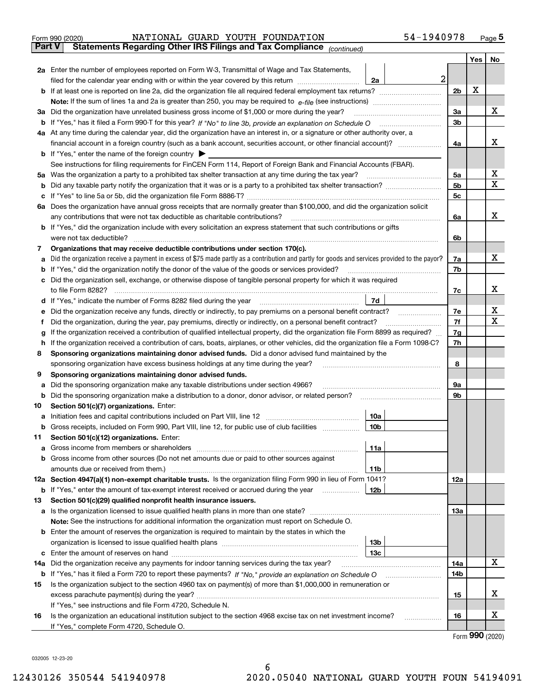|        | 54-1940978<br>NATIONAL GUARD YOUTH FOUNDATION<br>Form 990 (2020)                                                                                |                |          | $_{\text{Page}}$ 5 |  |  |  |  |  |  |  |
|--------|-------------------------------------------------------------------------------------------------------------------------------------------------|----------------|----------|--------------------|--|--|--|--|--|--|--|
| Part V | Statements Regarding Other IRS Filings and Tax Compliance (continued)                                                                           |                |          |                    |  |  |  |  |  |  |  |
|        |                                                                                                                                                 |                | Yes   No |                    |  |  |  |  |  |  |  |
|        | 2a Enter the number of employees reported on Form W-3, Transmittal of Wage and Tax Statements,                                                  |                |          |                    |  |  |  |  |  |  |  |
|        | $\mathbf{2}$<br>filed for the calendar year ending with or within the year covered by this return <i>manumumumum</i><br>2a                      |                |          |                    |  |  |  |  |  |  |  |
|        |                                                                                                                                                 | 2 <sub>b</sub> | X        |                    |  |  |  |  |  |  |  |
|        |                                                                                                                                                 |                |          |                    |  |  |  |  |  |  |  |
|        | 3a Did the organization have unrelated business gross income of \$1,000 or more during the year?                                                |                |          |                    |  |  |  |  |  |  |  |
|        |                                                                                                                                                 | 3 <sub>b</sub> |          |                    |  |  |  |  |  |  |  |
|        | 4a At any time during the calendar year, did the organization have an interest in, or a signature or other authority over, a                    |                |          |                    |  |  |  |  |  |  |  |
|        | financial account in a foreign country (such as a bank account, securities account, or other financial account)?                                | 4a             |          | x                  |  |  |  |  |  |  |  |
|        | <b>b</b> If "Yes," enter the name of the foreign country $\triangleright$                                                                       |                |          |                    |  |  |  |  |  |  |  |
|        | See instructions for filing requirements for FinCEN Form 114, Report of Foreign Bank and Financial Accounts (FBAR).                             |                |          |                    |  |  |  |  |  |  |  |
|        | 5a Was the organization a party to a prohibited tax shelter transaction at any time during the tax year?                                        | 5a             |          | х                  |  |  |  |  |  |  |  |
|        |                                                                                                                                                 | 5 <sub>b</sub> |          | x                  |  |  |  |  |  |  |  |
|        |                                                                                                                                                 | 5c             |          |                    |  |  |  |  |  |  |  |
|        | 6a Does the organization have annual gross receipts that are normally greater than \$100,000, and did the organization solicit                  |                |          |                    |  |  |  |  |  |  |  |
|        | any contributions that were not tax deductible as charitable contributions?                                                                     | 6a             |          | x                  |  |  |  |  |  |  |  |
|        | b If "Yes," did the organization include with every solicitation an express statement that such contributions or gifts                          |                |          |                    |  |  |  |  |  |  |  |
|        | were not tax deductible?                                                                                                                        | 6b             |          |                    |  |  |  |  |  |  |  |
| 7      | Organizations that may receive deductible contributions under section 170(c).                                                                   |                |          |                    |  |  |  |  |  |  |  |
| а      | Did the organization receive a payment in excess of \$75 made partly as a contribution and partly for goods and services provided to the payor? | 7a             |          | x                  |  |  |  |  |  |  |  |
| b      | If "Yes," did the organization notify the donor of the value of the goods or services provided?                                                 | 7b             |          |                    |  |  |  |  |  |  |  |
|        | c Did the organization sell, exchange, or otherwise dispose of tangible personal property for which it was required                             |                |          |                    |  |  |  |  |  |  |  |
|        | to file Form 8282?                                                                                                                              | 7c             |          | x                  |  |  |  |  |  |  |  |
|        | 7d<br>d If "Yes," indicate the number of Forms 8282 filed during the year manufactured in the second of the New York                            |                |          |                    |  |  |  |  |  |  |  |
|        | Did the organization receive any funds, directly or indirectly, to pay premiums on a personal benefit contract?                                 | 7e             |          | х                  |  |  |  |  |  |  |  |
| Ť      | Did the organization, during the year, pay premiums, directly or indirectly, on a personal benefit contract?                                    | 7f             |          | x                  |  |  |  |  |  |  |  |
| a      | If the organization received a contribution of qualified intellectual property, did the organization file Form 8899 as required?                | 7g             |          |                    |  |  |  |  |  |  |  |
| h.     | If the organization received a contribution of cars, boats, airplanes, or other vehicles, did the organization file a Form 1098-C?              | 7h             |          |                    |  |  |  |  |  |  |  |
| 8      | Sponsoring organizations maintaining donor advised funds. Did a donor advised fund maintained by the                                            |                |          |                    |  |  |  |  |  |  |  |
|        | sponsoring organization have excess business holdings at any time during the year?                                                              | 8              |          |                    |  |  |  |  |  |  |  |
| 9      | Sponsoring organizations maintaining donor advised funds.                                                                                       |                |          |                    |  |  |  |  |  |  |  |
| а      | Did the sponsoring organization make any taxable distributions under section 4966?                                                              | 9а             |          |                    |  |  |  |  |  |  |  |
| b      | Did the sponsoring organization make a distribution to a donor, donor advisor, or related person?                                               | 9b             |          |                    |  |  |  |  |  |  |  |
| 10     | Section 501(c)(7) organizations. Enter:                                                                                                         |                |          |                    |  |  |  |  |  |  |  |
|        | 10a                                                                                                                                             |                |          |                    |  |  |  |  |  |  |  |
| b      | Gross receipts, included on Form 990, Part VIII, line 12, for public use of club facilities<br>10b                                              |                |          |                    |  |  |  |  |  |  |  |
| 11     | Section 501(c)(12) organizations. Enter:                                                                                                        |                |          |                    |  |  |  |  |  |  |  |
| а      | 11a                                                                                                                                             |                |          |                    |  |  |  |  |  |  |  |
|        | b Gross income from other sources (Do not net amounts due or paid to other sources against                                                      |                |          |                    |  |  |  |  |  |  |  |
|        | amounts due or received from them.)<br>11b                                                                                                      |                |          |                    |  |  |  |  |  |  |  |
|        | 12a Section 4947(a)(1) non-exempt charitable trusts. Is the organization filing Form 990 in lieu of Form 1041?                                  | 12a            |          |                    |  |  |  |  |  |  |  |
|        | <b>b</b> If "Yes," enter the amount of tax-exempt interest received or accrued during the year<br>12b                                           |                |          |                    |  |  |  |  |  |  |  |
| 13     | Section 501(c)(29) qualified nonprofit health insurance issuers.                                                                                |                |          |                    |  |  |  |  |  |  |  |
|        | a Is the organization licensed to issue qualified health plans in more than one state?                                                          | 13a            |          |                    |  |  |  |  |  |  |  |
|        | Note: See the instructions for additional information the organization must report on Schedule O.                                               |                |          |                    |  |  |  |  |  |  |  |
|        | <b>b</b> Enter the amount of reserves the organization is required to maintain by the states in which the                                       |                |          |                    |  |  |  |  |  |  |  |
|        | 13 <sub>b</sub>                                                                                                                                 |                |          |                    |  |  |  |  |  |  |  |
| c      | 13 <sub>c</sub>                                                                                                                                 |                |          |                    |  |  |  |  |  |  |  |
| 14a    | Did the organization receive any payments for indoor tanning services during the tax year?                                                      | 14a            |          | x                  |  |  |  |  |  |  |  |
|        |                                                                                                                                                 | 14b            |          |                    |  |  |  |  |  |  |  |
| 15     | Is the organization subject to the section 4960 tax on payment(s) of more than \$1,000,000 in remuneration or                                   |                |          |                    |  |  |  |  |  |  |  |
|        |                                                                                                                                                 | 15             |          | х                  |  |  |  |  |  |  |  |
|        | If "Yes," see instructions and file Form 4720, Schedule N.                                                                                      |                |          |                    |  |  |  |  |  |  |  |
| 16     | Is the organization an educational institution subject to the section 4968 excise tax on net investment income?                                 | 16             |          | х                  |  |  |  |  |  |  |  |
|        | If "Yes," complete Form 4720, Schedule O.                                                                                                       |                |          |                    |  |  |  |  |  |  |  |

Form (2020) **990**

032005 12-23-20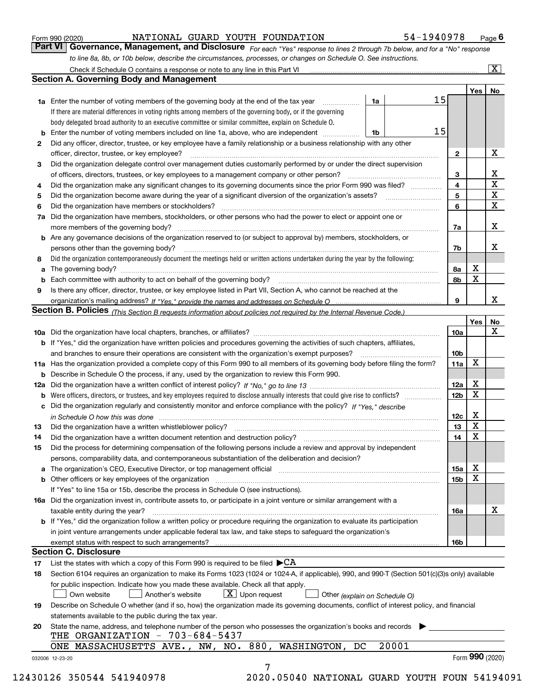|  | Form 990 (2020) |
|--|-----------------|
|  |                 |

### NATIONAL GUARD YOUTH FOUNDATION 54-1940978

*For each "Yes" response to lines 2 through 7b below, and for a "No" response to line 8a, 8b, or 10b below, describe the circumstances, processes, or changes on Schedule O. See instructions.* Form 990 (2020) **1990 COVERT ON A TEACH POULD ATTON** 54 - 1940 978 Page 6<br>**Part VI Covernance, Management, and Disclosure** For each "Yes" response to lines 2 through 7b below, and for a "No" response

|    | <b>1a</b> Enter the number of voting members of the governing body at the end of the tax year                                                                                                                                                                                                                         | 1a                            | 15 |                         |                 |                         |
|----|-----------------------------------------------------------------------------------------------------------------------------------------------------------------------------------------------------------------------------------------------------------------------------------------------------------------------|-------------------------------|----|-------------------------|-----------------|-------------------------|
|    | If there are material differences in voting rights among members of the governing body, or if the governing                                                                                                                                                                                                           |                               |    |                         |                 |                         |
|    | body delegated broad authority to an executive committee or similar committee, explain on Schedule O.                                                                                                                                                                                                                 |                               |    |                         |                 |                         |
|    |                                                                                                                                                                                                                                                                                                                       | 1b                            | 15 |                         |                 |                         |
| 2  | Did any officer, director, trustee, or key employee have a family relationship or a business relationship with any other                                                                                                                                                                                              |                               |    |                         |                 |                         |
|    | officer, director, trustee, or key employee?                                                                                                                                                                                                                                                                          |                               |    | $\mathbf{2}$            |                 | X                       |
| 3  | Did the organization delegate control over management duties customarily performed by or under the direct supervision                                                                                                                                                                                                 |                               |    |                         |                 |                         |
|    |                                                                                                                                                                                                                                                                                                                       |                               |    | 3                       |                 | X                       |
| 4  | Did the organization make any significant changes to its governing documents since the prior Form 990 was filed?                                                                                                                                                                                                      |                               |    | $\overline{\mathbf{4}}$ |                 | $\overline{\textbf{X}}$ |
| 5  |                                                                                                                                                                                                                                                                                                                       |                               |    | 5                       |                 | $\mathbf X$             |
| 6  | Did the organization have members or stockholders?                                                                                                                                                                                                                                                                    |                               |    | 6                       |                 | $\mathbf x$             |
|    | 7a Did the organization have members, stockholders, or other persons who had the power to elect or appoint one or                                                                                                                                                                                                     |                               |    |                         |                 |                         |
|    |                                                                                                                                                                                                                                                                                                                       |                               |    | 7a                      |                 | x                       |
|    | <b>b</b> Are any governance decisions of the organization reserved to (or subject to approval by) members, stockholders, or<br>persons other than the governing body?                                                                                                                                                 |                               |    | 7b                      |                 | х                       |
| 8  | Did the organization contemporaneously document the meetings held or written actions undertaken during the year by the following:                                                                                                                                                                                     |                               |    |                         |                 |                         |
| a  |                                                                                                                                                                                                                                                                                                                       |                               |    | 8a                      | X               |                         |
|    |                                                                                                                                                                                                                                                                                                                       |                               |    | 8b                      | X               |                         |
| 9  | Is there any officer, director, trustee, or key employee listed in Part VII, Section A, who cannot be reached at the                                                                                                                                                                                                  |                               |    |                         |                 |                         |
|    |                                                                                                                                                                                                                                                                                                                       |                               |    | 9                       |                 | х                       |
|    | Section B. Policies (This Section B requests information about policies not required by the Internal Revenue Code.)                                                                                                                                                                                                   |                               |    |                         |                 |                         |
|    |                                                                                                                                                                                                                                                                                                                       |                               |    |                         | Yes             | No                      |
|    |                                                                                                                                                                                                                                                                                                                       |                               |    | 10a                     |                 | X                       |
|    | <b>b</b> If "Yes," did the organization have written policies and procedures governing the activities of such chapters, affiliates,                                                                                                                                                                                   |                               |    |                         |                 |                         |
|    |                                                                                                                                                                                                                                                                                                                       |                               |    | 10 <sub>b</sub>         |                 |                         |
|    | 11a Has the organization provided a complete copy of this Form 990 to all members of its governing body before filing the form?                                                                                                                                                                                       |                               |    | 11a                     | X               |                         |
|    | <b>b</b> Describe in Schedule O the process, if any, used by the organization to review this Form 990.                                                                                                                                                                                                                |                               |    |                         |                 |                         |
|    |                                                                                                                                                                                                                                                                                                                       |                               |    | 12a                     | X               |                         |
| b  |                                                                                                                                                                                                                                                                                                                       |                               |    | 12b                     | X               |                         |
|    | c Did the organization regularly and consistently monitor and enforce compliance with the policy? If "Yes," describe                                                                                                                                                                                                  |                               |    |                         |                 |                         |
|    | in Schedule O how this was done manufactured and continuum control of the Schedule O how this was done manufactured and continuum control of the Schedule O how this was done                                                                                                                                         |                               |    | 12c                     | х               |                         |
| 13 |                                                                                                                                                                                                                                                                                                                       |                               |    | 13                      | X               |                         |
| 14 | Did the organization have a written document retention and destruction policy? manufactured and the organization have a written document retention and destruction policy?                                                                                                                                            |                               |    | 14                      | X               |                         |
| 15 | Did the process for determining compensation of the following persons include a review and approval by independent                                                                                                                                                                                                    |                               |    |                         |                 |                         |
|    | persons, comparability data, and contemporaneous substantiation of the deliberation and decision?                                                                                                                                                                                                                     |                               |    |                         |                 |                         |
|    |                                                                                                                                                                                                                                                                                                                       |                               |    | 15a                     | X               |                         |
|    |                                                                                                                                                                                                                                                                                                                       |                               |    | 15 <sub>b</sub>         | X               |                         |
|    | b Other officers or key employees of the organization manufactured content to content of the organization manufactured content of the organization manufactured content of the organization manufactured content of the organi<br>If "Yes" to line 15a or 15b, describe the process in Schedule O (see instructions). |                               |    |                         |                 |                         |
|    |                                                                                                                                                                                                                                                                                                                       |                               |    |                         |                 |                         |
|    | 16a Did the organization invest in, contribute assets to, or participate in a joint venture or similar arrangement with a                                                                                                                                                                                             |                               |    |                         |                 | X                       |
|    | taxable entity during the year?<br>b If "Yes," did the organization follow a written policy or procedure requiring the organization to evaluate its participation                                                                                                                                                     |                               |    | 16a                     |                 |                         |
|    |                                                                                                                                                                                                                                                                                                                       |                               |    |                         |                 |                         |
|    | in joint venture arrangements under applicable federal tax law, and take steps to safeguard the organization's                                                                                                                                                                                                        |                               |    |                         |                 |                         |
|    | exempt status with respect to such arrangements?<br><b>Section C. Disclosure</b>                                                                                                                                                                                                                                      |                               |    | 16b                     |                 |                         |
| 17 | List the states with which a copy of this Form 990 is required to be filed $\blacktriangleright$ CA                                                                                                                                                                                                                   |                               |    |                         |                 |                         |
| 18 | Section 6104 requires an organization to make its Forms 1023 (1024 or 1024-A, if applicable), 990, and 990-T (Section 501(c)(3)s only) available                                                                                                                                                                      |                               |    |                         |                 |                         |
|    | for public inspection. Indicate how you made these available. Check all that apply.                                                                                                                                                                                                                                   |                               |    |                         |                 |                         |
|    | $X$ Upon request<br>Own website<br>Another's website                                                                                                                                                                                                                                                                  |                               |    |                         |                 |                         |
|    |                                                                                                                                                                                                                                                                                                                       | Other (explain on Schedule O) |    |                         |                 |                         |
| 19 | Describe on Schedule O whether (and if so, how) the organization made its governing documents, conflict of interest policy, and financial                                                                                                                                                                             |                               |    |                         |                 |                         |
|    | statements available to the public during the tax year.                                                                                                                                                                                                                                                               |                               |    |                         |                 |                         |
| 20 | State the name, address, and telephone number of the person who possesses the organization's books and records<br>THE ORGANIZATION - 703-684-5437                                                                                                                                                                     |                               |    |                         |                 |                         |
|    | ONE MASSACHUSETTS AVE., NW, NO. 880, WASHINGTON,<br>DC                                                                                                                                                                                                                                                                | 20001                         |    |                         |                 |                         |
|    | 032006 12-23-20                                                                                                                                                                                                                                                                                                       |                               |    |                         | Form 990 (2020) |                         |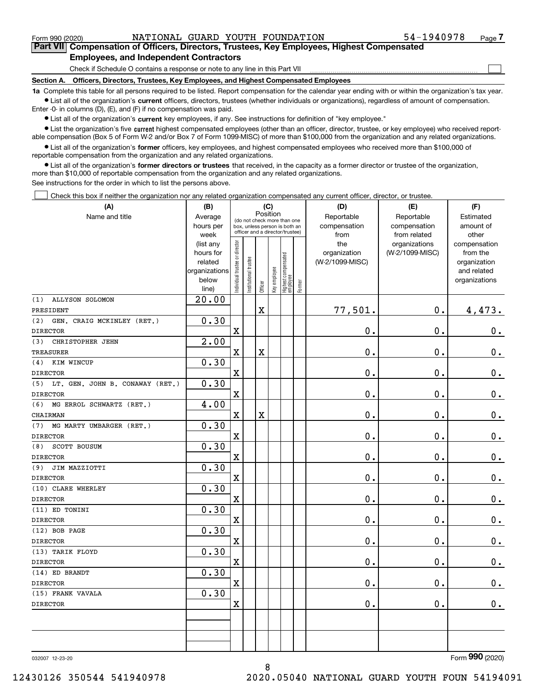$\mathcal{L}^{\text{max}}$ 

**7Part VII Compensation of Officers, Directors, Trustees, Key Employees, Highest Compensated Employees, and Independent Contractors**

Check if Schedule O contains a response or note to any line in this Part VII

**Section A. Officers, Directors, Trustees, Key Employees, and Highest Compensated Employees**

**1a**  Complete this table for all persons required to be listed. Report compensation for the calendar year ending with or within the organization's tax year. **•** List all of the organization's current officers, directors, trustees (whether individuals or organizations), regardless of amount of compensation.

Enter -0- in columns (D), (E), and (F) if no compensation was paid.

 $\bullet$  List all of the organization's  $\,$ current key employees, if any. See instructions for definition of "key employee."

**•** List the organization's five current highest compensated employees (other than an officer, director, trustee, or key employee) who received reportable compensation (Box 5 of Form W-2 and/or Box 7 of Form 1099-MISC) of more than \$100,000 from the organization and any related organizations.

**•** List all of the organization's former officers, key employees, and highest compensated employees who received more than \$100,000 of reportable compensation from the organization and any related organizations.

**former directors or trustees**  ¥ List all of the organization's that received, in the capacity as a former director or trustee of the organization, more than \$10,000 of reportable compensation from the organization and any related organizations.

See instructions for the order in which to list the persons above.

Check this box if neither the organization nor any related organization compensated any current officer, director, or trustee.  $\mathcal{L}^{\text{max}}$ 

| (A)                                    | (B)                    |                               |                       |                         | (C)          |                                                                  |        | (D)                             | (E)             | (F)                      |
|----------------------------------------|------------------------|-------------------------------|-----------------------|-------------------------|--------------|------------------------------------------------------------------|--------|---------------------------------|-----------------|--------------------------|
| Name and title                         | Average                |                               |                       | Position                |              | (do not check more than one                                      |        | Reportable                      | Reportable      | Estimated                |
|                                        | hours per              |                               |                       |                         |              | box, unless person is both an<br>officer and a director/trustee) |        | compensation                    | compensation    | amount of                |
|                                        | week                   |                               |                       |                         |              |                                                                  |        | from                            | from related    | other                    |
|                                        | (list any<br>hours for |                               |                       |                         |              |                                                                  |        | the                             | organizations   | compensation<br>from the |
|                                        | related                |                               |                       |                         |              |                                                                  |        | organization<br>(W-2/1099-MISC) | (W-2/1099-MISC) | organization             |
|                                        | organizations          |                               |                       |                         |              |                                                                  |        |                                 |                 | and related              |
|                                        | below                  | ndividual trustee or director | Institutional trustee |                         | Key employee |                                                                  |        |                                 |                 | organizations            |
|                                        | line)                  |                               |                       | Officer                 |              | Highest compensated<br>  employee                                | Former |                                 |                 |                          |
| ALLYSON SOLOMON<br>(1)                 | 20.00                  |                               |                       |                         |              |                                                                  |        |                                 |                 |                          |
| PRESIDENT                              |                        |                               |                       | $\overline{\mathbf{X}}$ |              |                                                                  |        | 77,501.                         | $\mathbf 0$ .   | 4,473.                   |
| GEN. CRAIG MCKINLEY (RET.)<br>(2)      | 0.30                   |                               |                       |                         |              |                                                                  |        |                                 |                 |                          |
| <b>DIRECTOR</b>                        |                        | $\mathbf X$                   |                       |                         |              |                                                                  |        | 0.                              | $\mathbf 0$ .   | $\mathbf 0$ .            |
| CHRISTOPHER JEHN<br>(3)                | 2.00                   |                               |                       |                         |              |                                                                  |        |                                 |                 |                          |
| <b>TREASURER</b>                       |                        | $\mathbf X$                   |                       | $\overline{\textbf{X}}$ |              |                                                                  |        | 0.                              | $\mathbf 0$ .   | $\mathbf 0$ .            |
| KIM WINCUP<br>(4)                      | 0.30                   |                               |                       |                         |              |                                                                  |        |                                 |                 |                          |
| <b>DIRECTOR</b>                        |                        | $\mathbf X$                   |                       |                         |              |                                                                  |        | 0.                              | 0.              | $0_{.}$                  |
| (5)<br>LT. GEN. JOHN B. CONAWAY (RET.) | 0.30                   |                               |                       |                         |              |                                                                  |        |                                 |                 |                          |
| <b>DIRECTOR</b>                        |                        | $\mathbf x$                   |                       |                         |              |                                                                  |        | 0.                              | $\mathbf 0$ .   | $0_{.}$                  |
| (6)<br>MG ERROL SCHWARTZ (RET.)        | 4.00                   |                               |                       |                         |              |                                                                  |        |                                 |                 |                          |
| CHAIRMAN                               |                        | $\mathbf X$                   |                       | $\overline{\textbf{X}}$ |              |                                                                  |        | 0.                              | $\mathbf 0$ .   | $\mathbf 0$ .            |
| MG MARTY UMBARGER (RET.)<br>(7)        | 0.30                   |                               |                       |                         |              |                                                                  |        |                                 |                 |                          |
| <b>DIRECTOR</b>                        |                        | $\mathbf X$                   |                       |                         |              |                                                                  |        | 0.                              | $\mathbf 0$ .   | $\mathbf 0$ .            |
| SCOTT BOUSUM<br>(8)                    | 0.30                   |                               |                       |                         |              |                                                                  |        |                                 |                 |                          |
| <b>DIRECTOR</b>                        |                        | X                             |                       |                         |              |                                                                  |        | 0.                              | 0.              | $\mathbf 0$ .            |
| (9)<br>JIM MAZZIOTTI                   | 0.30                   |                               |                       |                         |              |                                                                  |        |                                 |                 |                          |
| <b>DIRECTOR</b>                        |                        | $\mathbf X$                   |                       |                         |              |                                                                  |        | 0.                              | $\mathbf 0$ .   | $\mathbf 0$ .            |
| (10) CLARE WHERLEY                     | 0.30                   |                               |                       |                         |              |                                                                  |        |                                 |                 |                          |
| <b>DIRECTOR</b>                        |                        | X                             |                       |                         |              |                                                                  |        | 0.                              | $\mathbf 0$ .   | 0.                       |
| (11) ED TONINI                         | 0.30                   |                               |                       |                         |              |                                                                  |        |                                 |                 |                          |
| <b>DIRECTOR</b>                        |                        | $\mathbf X$                   |                       |                         |              |                                                                  |        | 0.                              | $\mathbf 0$ .   | $0$ .                    |
| (12) BOB PAGE                          | 0.30                   |                               |                       |                         |              |                                                                  |        |                                 |                 |                          |
| <b>DIRECTOR</b>                        |                        | $\mathbf X$                   |                       |                         |              |                                                                  |        | 0.                              | $\mathbf 0$ .   | $\mathbf 0$ .            |
| (13) TARIK FLOYD                       | 0.30                   |                               |                       |                         |              |                                                                  |        |                                 |                 |                          |
| <b>DIRECTOR</b>                        |                        | $\mathbf X$                   |                       |                         |              |                                                                  |        | 0.                              | $\mathbf 0$ .   | $\mathbf 0$ .            |
| (14) ED BRANDT                         | 0.30                   |                               |                       |                         |              |                                                                  |        |                                 |                 |                          |
| <b>DIRECTOR</b>                        |                        | X                             |                       |                         |              |                                                                  |        | 0.                              | 0.              | 0.                       |
| (15) FRANK VAVALA                      | 0.30                   |                               |                       |                         |              |                                                                  |        |                                 |                 |                          |
| <b>DIRECTOR</b>                        |                        | $\mathbf X$                   |                       |                         |              |                                                                  |        | 0.                              | $\mathbf 0$ .   | 0.                       |
|                                        |                        |                               |                       |                         |              |                                                                  |        |                                 |                 |                          |
|                                        |                        |                               |                       |                         |              |                                                                  |        |                                 |                 |                          |
|                                        |                        |                               |                       |                         |              |                                                                  |        |                                 |                 |                          |
|                                        |                        |                               |                       |                         |              |                                                                  |        |                                 |                 |                          |

8

032007 12-23-20

Form (2020) **990**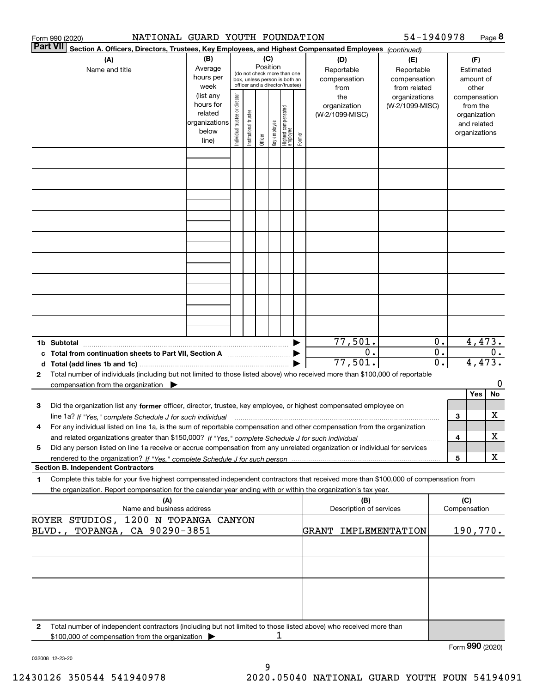|              | NATIONAL GUARD YOUTH FOUNDATION<br>Form 990 (2020)                                                                                                                                                                                                                  |                                                                      |                                |                        |                 |              |                                                                                                 |        |                                                | 54-1940978                                       |                                                 |                     |                                                                                   | Page 8 |
|--------------|---------------------------------------------------------------------------------------------------------------------------------------------------------------------------------------------------------------------------------------------------------------------|----------------------------------------------------------------------|--------------------------------|------------------------|-----------------|--------------|-------------------------------------------------------------------------------------------------|--------|------------------------------------------------|--------------------------------------------------|-------------------------------------------------|---------------------|-----------------------------------------------------------------------------------|--------|
|              | <b>Part VII</b><br>Section A. Officers, Directors, Trustees, Key Employees, and Highest Compensated Employees (continued)                                                                                                                                           |                                                                      |                                |                        |                 |              |                                                                                                 |        |                                                |                                                  |                                                 |                     |                                                                                   |        |
|              | (A)<br>Name and title                                                                                                                                                                                                                                               | (B)<br>Average<br>hours per<br>week                                  |                                |                        | (C)<br>Position |              | (do not check more than one<br>box, unless person is both an<br>officer and a director/trustee) |        | (D)<br>Reportable<br>compensation              | (E)<br>Reportable<br>compensation                |                                                 |                     | (F)<br>Estimated<br>amount of                                                     |        |
|              |                                                                                                                                                                                                                                                                     | (list any<br>hours for<br>related<br>organizations<br>below<br>line) | Individual trustee or director | In stitutional trustee | Officer         | key employee | Highest compensated<br>  employee                                                               | Former | from<br>the<br>organization<br>(W-2/1099-MISC) | from related<br>organizations<br>(W-2/1099-MISC) |                                                 |                     | other<br>compensation<br>from the<br>organization<br>and related<br>organizations |        |
|              |                                                                                                                                                                                                                                                                     |                                                                      |                                |                        |                 |              |                                                                                                 |        |                                                |                                                  |                                                 |                     |                                                                                   |        |
|              |                                                                                                                                                                                                                                                                     |                                                                      |                                |                        |                 |              |                                                                                                 |        |                                                |                                                  |                                                 |                     |                                                                                   |        |
|              |                                                                                                                                                                                                                                                                     |                                                                      |                                |                        |                 |              |                                                                                                 |        |                                                |                                                  |                                                 |                     |                                                                                   |        |
|              |                                                                                                                                                                                                                                                                     |                                                                      |                                |                        |                 |              |                                                                                                 |        |                                                |                                                  |                                                 |                     |                                                                                   |        |
|              |                                                                                                                                                                                                                                                                     |                                                                      |                                |                        |                 |              |                                                                                                 |        |                                                |                                                  |                                                 |                     |                                                                                   |        |
|              |                                                                                                                                                                                                                                                                     |                                                                      |                                |                        |                 |              |                                                                                                 |        |                                                |                                                  |                                                 |                     |                                                                                   |        |
|              |                                                                                                                                                                                                                                                                     |                                                                      |                                |                        |                 |              |                                                                                                 |        |                                                |                                                  |                                                 |                     |                                                                                   |        |
|              | 1b Subtotal                                                                                                                                                                                                                                                         |                                                                      |                                |                        |                 |              |                                                                                                 |        | 77,501.                                        |                                                  | 0.                                              |                     | 4,473.                                                                            |        |
|              | c Total from continuation sheets to Part VII, Section A manufactured and response to Total from extension                                                                                                                                                           |                                                                      |                                |                        |                 |              |                                                                                                 |        | 0.<br>77,501.                                  |                                                  | $\overline{0}$ .<br>$\overline{\mathfrak{o}}$ . |                     | 4,473.                                                                            | 0.     |
| $\mathbf{2}$ | Total number of individuals (including but not limited to those listed above) who received more than \$100,000 of reportable<br>compensation from the organization $\blacktriangleright$                                                                            |                                                                      |                                |                        |                 |              |                                                                                                 |        |                                                |                                                  |                                                 |                     |                                                                                   | 0      |
| з            | Did the organization list any former officer, director, trustee, key employee, or highest compensated employee on                                                                                                                                                   |                                                                      |                                |                        |                 |              |                                                                                                 |        |                                                |                                                  |                                                 |                     | Yes                                                                               | No     |
| 4            | line 1a? If "Yes," complete Schedule J for such individual manufactured contained and the Yes," complete Schedule J for such individual<br>For any individual listed on line 1a, is the sum of reportable compensation and other compensation from the organization |                                                                      |                                |                        |                 |              |                                                                                                 |        |                                                |                                                  |                                                 | 3<br>4              |                                                                                   | х<br>х |
| 5            | Did any person listed on line 1a receive or accrue compensation from any unrelated organization or individual for services                                                                                                                                          |                                                                      |                                |                        |                 |              |                                                                                                 |        |                                                |                                                  |                                                 | 5                   |                                                                                   | X      |
| 1            | <b>Section B. Independent Contractors</b><br>Complete this table for your five highest compensated independent contractors that received more than \$100,000 of compensation from                                                                                   |                                                                      |                                |                        |                 |              |                                                                                                 |        |                                                |                                                  |                                                 |                     |                                                                                   |        |
|              | the organization. Report compensation for the calendar year ending with or within the organization's tax year.<br>(A)<br>Name and business address                                                                                                                  |                                                                      |                                |                        |                 |              |                                                                                                 |        | (B)<br>Description of services                 |                                                  |                                                 | (C)<br>Compensation |                                                                                   |        |
|              | ROYER STUDIOS, 1200 N TOPANGA CANYON<br>TOPANGA, CA 90290-3851<br>BLVD.,                                                                                                                                                                                            |                                                                      |                                |                        |                 |              |                                                                                                 |        | <b>GRANT</b>                                   | IMPLEMENTATION                                   |                                                 |                     | 190,770.                                                                          |        |
|              |                                                                                                                                                                                                                                                                     |                                                                      |                                |                        |                 |              |                                                                                                 |        |                                                |                                                  |                                                 |                     |                                                                                   |        |
|              |                                                                                                                                                                                                                                                                     |                                                                      |                                |                        |                 |              |                                                                                                 |        |                                                |                                                  |                                                 |                     |                                                                                   |        |
|              |                                                                                                                                                                                                                                                                     |                                                                      |                                |                        |                 |              |                                                                                                 |        |                                                |                                                  |                                                 |                     |                                                                                   |        |
| 2            | Total number of independent contractors (including but not limited to those listed above) who received more than                                                                                                                                                    |                                                                      |                                |                        |                 |              |                                                                                                 |        |                                                |                                                  |                                                 |                     |                                                                                   |        |
|              | \$100,000 of compensation from the organization                                                                                                                                                                                                                     |                                                                      |                                |                        |                 | 1            |                                                                                                 |        |                                                |                                                  |                                                 |                     | Form 990 (2020)                                                                   |        |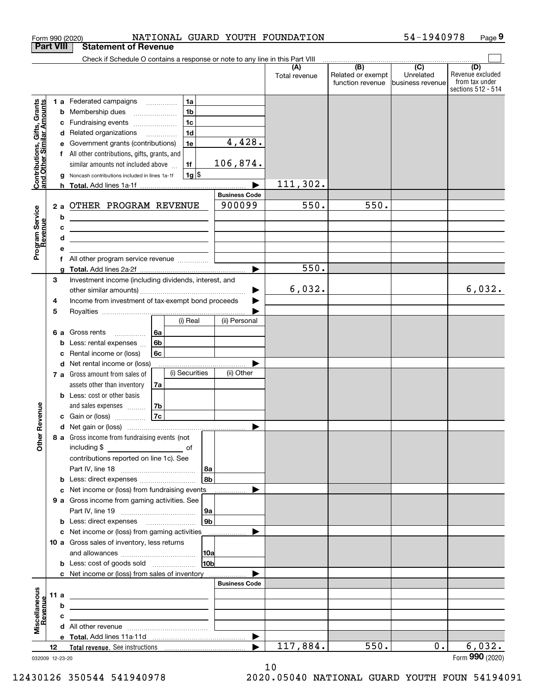|                                                                  |                  | NATIONAL GUARD YOUTH FOUNDATION<br>Form 990 (2020)                                                                    |                       |                      |                                              | 54-1940978                                        | Page 9                                                          |
|------------------------------------------------------------------|------------------|-----------------------------------------------------------------------------------------------------------------------|-----------------------|----------------------|----------------------------------------------|---------------------------------------------------|-----------------------------------------------------------------|
|                                                                  | <b>Part VIII</b> | <b>Statement of Revenue</b>                                                                                           |                       |                      |                                              |                                                   |                                                                 |
|                                                                  |                  | Check if Schedule O contains a response or note to any line in this Part VIII                                         |                       |                      |                                              |                                                   |                                                                 |
|                                                                  |                  |                                                                                                                       |                       | (A)<br>Total revenue | (B)<br>Related or exempt<br>function revenue | $\overline{(C)}$<br>Unrelated<br>business revenue | (D)<br>Revenue excluded<br>from tax under<br>sections 512 - 514 |
|                                                                  |                  | 1a<br>1 a Federated campaigns                                                                                         |                       |                      |                                              |                                                   |                                                                 |
| <b>Contributions, Gifts, Grants</b><br>and Other Similar Amounts | b                | 1 <sub>b</sub><br>Membership dues<br>$\ldots \ldots \ldots \ldots \ldots$                                             |                       |                      |                                              |                                                   |                                                                 |
|                                                                  | с                | 1 <sub>c</sub><br>Fundraising events                                                                                  |                       |                      |                                              |                                                   |                                                                 |
|                                                                  | d                | 1 <sub>d</sub><br>Related organizations <i>manuming</i>                                                               |                       |                      |                                              |                                                   |                                                                 |
|                                                                  | е                | 1e<br>Government grants (contributions)                                                                               | 4,428.                |                      |                                              |                                                   |                                                                 |
|                                                                  |                  | All other contributions, gifts, grants, and                                                                           |                       |                      |                                              |                                                   |                                                                 |
|                                                                  |                  | 1f<br>similar amounts not included above                                                                              | 106,874.              |                      |                                              |                                                   |                                                                 |
|                                                                  | a                | $1g$ \$<br>Noncash contributions included in lines 1a-1f                                                              |                       | 111,302.             |                                              |                                                   |                                                                 |
|                                                                  |                  |                                                                                                                       | <b>Business Code</b>  |                      |                                              |                                                   |                                                                 |
|                                                                  | 2a               | OTHER PROGRAM REVENUE                                                                                                 | 900099                | 550.                 | 550.                                         |                                                   |                                                                 |
|                                                                  | b                | <u> 1989 - Johann Barn, mars and de Brasilia (b. 1989)</u>                                                            |                       |                      |                                              |                                                   |                                                                 |
|                                                                  | c                | <u> 1989 - Johann Stein, marwolaethau a bhann an t-Amhainn an t-Amhainn an t-Amhainn an t-Amhainn an t-Amhainn an</u> |                       |                      |                                              |                                                   |                                                                 |
| Program Service<br>Revenue                                       | d                | the contract of the contract of the contract of the contract of the contract of                                       |                       |                      |                                              |                                                   |                                                                 |
|                                                                  | е                |                                                                                                                       |                       |                      |                                              |                                                   |                                                                 |
|                                                                  | f                | All other program service revenue                                                                                     |                       |                      |                                              |                                                   |                                                                 |
|                                                                  | g                |                                                                                                                       |                       | $\overline{550}$ .   |                                              |                                                   |                                                                 |
|                                                                  | 3                | Investment income (including dividends, interest, and                                                                 |                       |                      |                                              |                                                   |                                                                 |
|                                                                  |                  |                                                                                                                       | ▶                     | 6,032.               |                                              |                                                   | 6,032.                                                          |
|                                                                  | 4                | Income from investment of tax-exempt bond proceeds                                                                    |                       |                      |                                              |                                                   |                                                                 |
|                                                                  | 5                | (i) Real                                                                                                              | (ii) Personal         |                      |                                              |                                                   |                                                                 |
|                                                                  |                  |                                                                                                                       |                       |                      |                                              |                                                   |                                                                 |
|                                                                  | 6а<br>b          | 6a<br>Gross rents<br>6b<br>Less: rental expenses                                                                      |                       |                      |                                              |                                                   |                                                                 |
|                                                                  | c                | 6c<br>Rental income or (loss)                                                                                         |                       |                      |                                              |                                                   |                                                                 |
|                                                                  |                  | d Net rental income or (loss)                                                                                         |                       |                      |                                              |                                                   |                                                                 |
|                                                                  |                  | (i) Securities<br>7 a Gross amount from sales of                                                                      | (ii) Other            |                      |                                              |                                                   |                                                                 |
|                                                                  |                  | assets other than inventory<br>7a                                                                                     |                       |                      |                                              |                                                   |                                                                 |
|                                                                  |                  | <b>b</b> Less: cost or other basis                                                                                    |                       |                      |                                              |                                                   |                                                                 |
|                                                                  |                  | 7b<br>and sales expenses                                                                                              |                       |                      |                                              |                                                   |                                                                 |
| evenue                                                           |                  | 7c<br>c Gain or (loss)                                                                                                |                       |                      |                                              |                                                   |                                                                 |
| Œ<br>Other                                                       |                  |                                                                                                                       |                       |                      |                                              |                                                   |                                                                 |
|                                                                  |                  | 8 a Gross income from fundraising events (not                                                                         |                       |                      |                                              |                                                   |                                                                 |
|                                                                  |                  |                                                                                                                       |                       |                      |                                              |                                                   |                                                                 |
|                                                                  |                  | contributions reported on line 1c). See                                                                               |                       |                      |                                              |                                                   |                                                                 |
|                                                                  |                  |                                                                                                                       | 8a                    |                      |                                              |                                                   |                                                                 |
|                                                                  |                  | <b>b</b> Less: direct expenses <b>constants</b> b                                                                     | 8b                    |                      |                                              |                                                   |                                                                 |
|                                                                  |                  | <b>c</b> Net income or (loss) from fundraising events                                                                 |                       |                      |                                              |                                                   |                                                                 |
|                                                                  |                  | <b>9 a</b> Gross income from gaming activities. See                                                                   |                       |                      |                                              |                                                   |                                                                 |
|                                                                  |                  | <b>b</b> Less: direct expenses <b>manually</b>                                                                        | 9а<br>9 <sub>b</sub>  |                      |                                              |                                                   |                                                                 |
|                                                                  |                  | c Net income or (loss) from gaming activities                                                                         |                       |                      |                                              |                                                   |                                                                 |
|                                                                  |                  | 10 a Gross sales of inventory, less returns                                                                           |                       |                      |                                              |                                                   |                                                                 |
|                                                                  |                  |                                                                                                                       | 10a                   |                      |                                              |                                                   |                                                                 |
|                                                                  |                  |                                                                                                                       | 10 <sub>b</sub>       |                      |                                              |                                                   |                                                                 |
|                                                                  |                  | c Net income or (loss) from sales of inventory                                                                        |                       |                      |                                              |                                                   |                                                                 |
|                                                                  |                  |                                                                                                                       | <b>Business Code</b>  |                      |                                              |                                                   |                                                                 |
|                                                                  | 11a              | <u> 1989 - Johann Stein, mars an deus Amerikaansk kommunister (</u>                                                   |                       |                      |                                              |                                                   |                                                                 |
| Revenue                                                          | b                | <u> 1989 - Johann Barbara, martxa al III-lea (h. 1989).</u>                                                           |                       |                      |                                              |                                                   |                                                                 |
|                                                                  | с                | the contract of the contract of the contract of the contract of the contract of                                       |                       |                      |                                              |                                                   |                                                                 |
|                                                                  |                  |                                                                                                                       |                       |                      |                                              |                                                   |                                                                 |
| Miscellaneous                                                    |                  |                                                                                                                       | $\blacktriangleright$ |                      |                                              |                                                   |                                                                 |
|                                                                  | 12               |                                                                                                                       |                       | 117,884.             | 550.                                         | $0$ .                                             | 6,032.                                                          |
|                                                                  | 032009 12-23-20  |                                                                                                                       |                       |                      |                                              |                                                   | Form 990 (2020)                                                 |

032009 12-23-20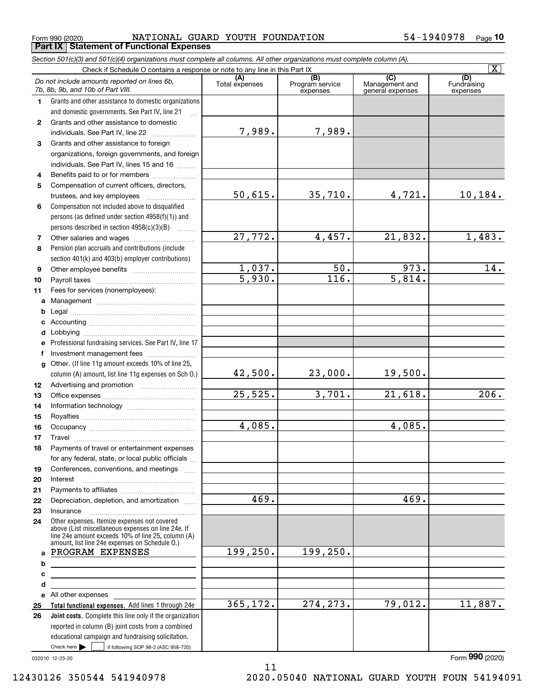$_{\rm Form}$   $_{990}$  (2020) <code>MATIONAL GUARD YOUTH FOUNDATION</code>  $_{\rm 54-1940978}$   $_{\rm Page}$ **Part IX Statement of Functional Expenses**

*Section 501(c)(3) and 501(c)(4) organizations must complete all columns. All other organizations must complete column (A).*

|                  | Check if Schedule O contains a response or note to any line in this Part IX                                                                              |                         |                                    |                                           | $\vert X \vert$                |  |  |  |
|------------------|----------------------------------------------------------------------------------------------------------------------------------------------------------|-------------------------|------------------------------------|-------------------------------------------|--------------------------------|--|--|--|
|                  | Do not include amounts reported on lines 6b,<br>7b, 8b, 9b, and 10b of Part VIII.                                                                        | Total expenses          | (B)<br>Program service<br>expenses | (C)<br>Management and<br>general expenses | (D)<br>Fundraising<br>expenses |  |  |  |
| $\mathbf 1$      | Grants and other assistance to domestic organizations                                                                                                    |                         |                                    |                                           |                                |  |  |  |
|                  | and domestic governments. See Part IV, line 21                                                                                                           |                         |                                    |                                           |                                |  |  |  |
| $\mathbf{2}$     | Grants and other assistance to domestic                                                                                                                  |                         |                                    |                                           |                                |  |  |  |
|                  | individuals. See Part IV, line 22                                                                                                                        | 7,989.                  | 7,989.                             |                                           |                                |  |  |  |
| 3                | Grants and other assistance to foreign                                                                                                                   |                         |                                    |                                           |                                |  |  |  |
|                  | organizations, foreign governments, and foreign                                                                                                          |                         |                                    |                                           |                                |  |  |  |
|                  | individuals. See Part IV, lines 15 and 16                                                                                                                |                         |                                    |                                           |                                |  |  |  |
| 4                | Benefits paid to or for members                                                                                                                          |                         |                                    |                                           |                                |  |  |  |
| 5                | Compensation of current officers, directors,                                                                                                             |                         |                                    |                                           |                                |  |  |  |
|                  | trustees, and key employees                                                                                                                              | 50,615.                 | 35,710.                            | 4,721.                                    | 10, 184.                       |  |  |  |
| 6                | Compensation not included above to disqualified                                                                                                          |                         |                                    |                                           |                                |  |  |  |
|                  | persons (as defined under section 4958(f)(1)) and                                                                                                        |                         |                                    |                                           |                                |  |  |  |
|                  | persons described in section $4958(c)(3)(B)$<br>$\overline{\phantom{a}}$                                                                                 |                         |                                    |                                           |                                |  |  |  |
| 7                | Other salaries and wages                                                                                                                                 | 27,772.                 | 4,457.                             | 21,832.                                   | 1,483.                         |  |  |  |
| 8                | Pension plan accruals and contributions (include                                                                                                         |                         |                                    |                                           |                                |  |  |  |
|                  | section 401(k) and 403(b) employer contributions)                                                                                                        |                         |                                    |                                           |                                |  |  |  |
| 9                |                                                                                                                                                          | $\frac{1,037.}{5,930.}$ | 50.                                | $\frac{973}{5,814}$ .                     | 14.                            |  |  |  |
| 10               |                                                                                                                                                          |                         | 116.                               |                                           |                                |  |  |  |
| 11               | Fees for services (nonemployees):                                                                                                                        |                         |                                    |                                           |                                |  |  |  |
| a                |                                                                                                                                                          |                         |                                    |                                           |                                |  |  |  |
| b                |                                                                                                                                                          |                         |                                    |                                           |                                |  |  |  |
| c                |                                                                                                                                                          |                         |                                    |                                           |                                |  |  |  |
| d                |                                                                                                                                                          |                         |                                    |                                           |                                |  |  |  |
| е                | Professional fundraising services. See Part IV, line 17                                                                                                  |                         |                                    |                                           |                                |  |  |  |
| f                | Investment management fees                                                                                                                               |                         |                                    |                                           |                                |  |  |  |
| g                | Other. (If line 11g amount exceeds 10% of line 25,                                                                                                       |                         |                                    |                                           |                                |  |  |  |
|                  | column (A) amount, list line 11g expenses on Sch 0.)                                                                                                     | 42,500.                 | 23,000.                            | 19,500.                                   |                                |  |  |  |
| 12 <sup>12</sup> |                                                                                                                                                          |                         |                                    |                                           |                                |  |  |  |
| 13               |                                                                                                                                                          | 25,525.                 | 3,701.                             | 21,618.                                   | 206.                           |  |  |  |
| 14               |                                                                                                                                                          |                         |                                    |                                           |                                |  |  |  |
| 15               |                                                                                                                                                          |                         |                                    |                                           |                                |  |  |  |
| 16               |                                                                                                                                                          | 4,085.                  |                                    | 4,085.                                    |                                |  |  |  |
| 17               | Travel                                                                                                                                                   |                         |                                    |                                           |                                |  |  |  |
| 18               | Payments of travel or entertainment expenses                                                                                                             |                         |                                    |                                           |                                |  |  |  |
|                  | for any federal, state, or local public officials                                                                                                        |                         |                                    |                                           |                                |  |  |  |
| 19               | Conferences, conventions, and meetings                                                                                                                   |                         |                                    |                                           |                                |  |  |  |
| 20               | Interest                                                                                                                                                 |                         |                                    |                                           |                                |  |  |  |
| 21               |                                                                                                                                                          |                         |                                    |                                           |                                |  |  |  |
| 22               | Depreciation, depletion, and amortization                                                                                                                | 469.                    |                                    | 469.                                      |                                |  |  |  |
| 23               | Insurance                                                                                                                                                |                         |                                    |                                           |                                |  |  |  |
| 24               | Other expenses. Itemize expenses not covered<br>above (List miscellaneous expenses on line 24e. If<br>line 24e amount exceeds 10% of line 25, column (A) |                         |                                    |                                           |                                |  |  |  |
|                  | amount, list line 24e expenses on Schedule O.)                                                                                                           |                         |                                    |                                           |                                |  |  |  |
| a                | PROGRAM EXPENSES                                                                                                                                         | 199,250.                | 199,250.                           |                                           |                                |  |  |  |
| b                | <u> 1989 - Johann Barbara, martxa alemaniar a</u>                                                                                                        |                         |                                    |                                           |                                |  |  |  |
| с                |                                                                                                                                                          |                         |                                    |                                           |                                |  |  |  |
| d                |                                                                                                                                                          |                         |                                    |                                           |                                |  |  |  |
| е                | All other expenses                                                                                                                                       |                         |                                    |                                           |                                |  |  |  |
| 25               | Total functional expenses. Add lines 1 through 24e                                                                                                       | 365,172.                | 274, 273.                          | 79,012.                                   | 11,887.                        |  |  |  |
| 26               | <b>Joint costs.</b> Complete this line only if the organization                                                                                          |                         |                                    |                                           |                                |  |  |  |
|                  | reported in column (B) joint costs from a combined                                                                                                       |                         |                                    |                                           |                                |  |  |  |
|                  | educational campaign and fundraising solicitation.                                                                                                       |                         |                                    |                                           |                                |  |  |  |
|                  | Check here $\blacktriangleright$<br>if following SOP 98-2 (ASC 958-720)                                                                                  |                         |                                    |                                           |                                |  |  |  |

11

032010 12-23-20

12430126 350544 541940978 2020.05040 NATIONAL GUARD YOUTH FOUN 54194091

Form (2020) **990**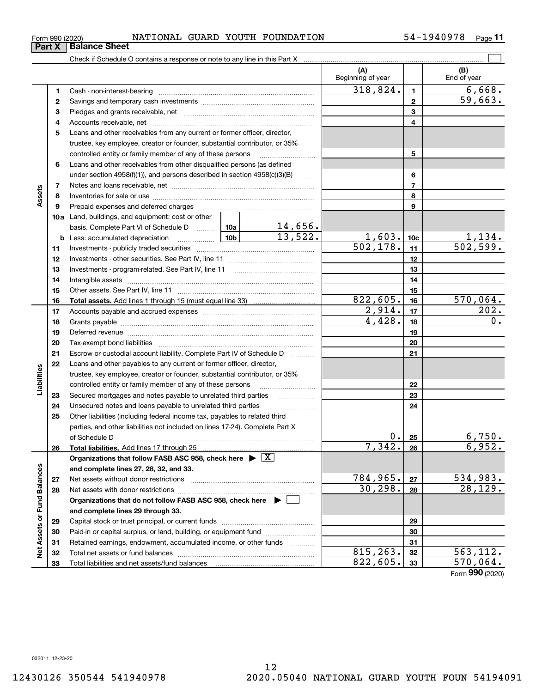| Form 990 (2020) |                                                                            | NATIONAL |  | GUARD YOUTH FOUNDATION | 940978. | Page |
|-----------------|----------------------------------------------------------------------------|----------|--|------------------------|---------|------|
| Part X          | <b>Balance Sheet</b>                                                       |          |  |                        |         |      |
|                 | Check if Schedule O contains a response or note to any line in this Part X |          |  |                        |         |      |

|                             |          |                                                                                                                                                                                                                                |                      |                         | (A)<br>Beginning of year |                 | (B)<br>End of year        |
|-----------------------------|----------|--------------------------------------------------------------------------------------------------------------------------------------------------------------------------------------------------------------------------------|----------------------|-------------------------|--------------------------|-----------------|---------------------------|
|                             | 1.       |                                                                                                                                                                                                                                |                      |                         | 318,824.                 | 1               | 6,668.                    |
|                             | 2        |                                                                                                                                                                                                                                |                      |                         |                          | $\mathbf{2}$    | 59,663.                   |
|                             | З        |                                                                                                                                                                                                                                |                      | 3                       |                          |                 |                           |
|                             |          |                                                                                                                                                                                                                                |                      |                         |                          | 4               |                           |
|                             | 4        |                                                                                                                                                                                                                                |                      |                         |                          |                 |                           |
|                             | 5        | Loans and other receivables from any current or former officer, director,                                                                                                                                                      |                      |                         |                          |                 |                           |
|                             |          | trustee, key employee, creator or founder, substantial contributor, or 35%                                                                                                                                                     |                      | 5                       |                          |                 |                           |
|                             |          | controlled entity or family member of any of these persons<br>Loans and other receivables from other disqualified persons (as defined                                                                                          |                      |                         |                          |                 |                           |
|                             | 6        |                                                                                                                                                                                                                                |                      |                         |                          |                 |                           |
|                             |          | under section 4958(f)(1)), and persons described in section 4958(c)(3)(B)                                                                                                                                                      |                      | $\ldots$                |                          | 6               |                           |
| Assets                      | 7        |                                                                                                                                                                                                                                |                      |                         |                          | $\overline{7}$  |                           |
|                             | 8        |                                                                                                                                                                                                                                |                      |                         |                          | 8               |                           |
|                             | 9        | Prepaid expenses and deferred charges                                                                                                                                                                                          |                      |                         |                          | 9               |                           |
|                             |          | <b>10a</b> Land, buildings, and equipment: cost or other                                                                                                                                                                       |                      |                         |                          |                 |                           |
|                             |          | basis. Complete Part VI of Schedule D  10a                                                                                                                                                                                     |                      | $\frac{14,656}{13,522}$ |                          |                 |                           |
|                             |          | <u>  10b</u><br><b>b</b> Less: accumulated depreciation                                                                                                                                                                        |                      |                         | $\frac{1,603}{502,178}$  | 10 <sub>c</sub> | $\frac{1,134}{502,599}$ . |
|                             | 11       |                                                                                                                                                                                                                                |                      |                         |                          | 11              |                           |
|                             | 12       |                                                                                                                                                                                                                                |                      |                         |                          | 12              |                           |
|                             | 13       |                                                                                                                                                                                                                                |                      |                         |                          | 13              |                           |
|                             | 14       |                                                                                                                                                                                                                                |                      |                         |                          | 14              |                           |
|                             | 15       |                                                                                                                                                                                                                                | 822,605.             | 15<br>16                | 570,064.                 |                 |                           |
|                             | 16<br>17 |                                                                                                                                                                                                                                | $\overline{2,914}$ . | 17                      | $\overline{202}$ .       |                 |                           |
|                             | 18       |                                                                                                                                                                                                                                | 4,428.               | 18                      | 0.                       |                 |                           |
|                             | 19       |                                                                                                                                                                                                                                |                      | 19                      |                          |                 |                           |
|                             | 20       | Deferred revenue manual contracts and contracts are contracted and contract and contract are contracted and contract are contracted and contract are contracted and contract are contracted and contract are contracted and co |                      | 20                      |                          |                 |                           |
|                             | 21       | Escrow or custodial account liability. Complete Part IV of Schedule D                                                                                                                                                          |                      | 21                      |                          |                 |                           |
|                             | 22       | Loans and other payables to any current or former officer, director,                                                                                                                                                           |                      | 1.1.1.1.1.1.1.1.1       |                          |                 |                           |
|                             |          | trustee, key employee, creator or founder, substantial contributor, or 35%                                                                                                                                                     |                      |                         |                          |                 |                           |
| Liabilities                 |          | controlled entity or family member of any of these persons                                                                                                                                                                     |                      |                         |                          | 22              |                           |
|                             | 23       |                                                                                                                                                                                                                                |                      |                         |                          | 23              |                           |
|                             | 24       |                                                                                                                                                                                                                                |                      |                         |                          | 24              |                           |
|                             | 25       | Other liabilities (including federal income tax, payables to related third                                                                                                                                                     |                      |                         |                          |                 |                           |
|                             |          | parties, and other liabilities not included on lines 17-24). Complete Part X                                                                                                                                                   |                      |                         |                          |                 |                           |
|                             |          | of Schedule D                                                                                                                                                                                                                  |                      |                         | 0.                       | 25              | 6,750.                    |
|                             | 26       |                                                                                                                                                                                                                                |                      |                         | 7,342.                   | 26              | 6,952.                    |
|                             |          | Organizations that follow FASB ASC 958, check here $\blacktriangleright \boxed{\text{X}}$                                                                                                                                      |                      |                         |                          |                 |                           |
|                             |          | and complete lines 27, 28, 32, and 33.                                                                                                                                                                                         |                      |                         |                          |                 |                           |
|                             | 27       | Net assets without donor restrictions                                                                                                                                                                                          |                      |                         | 784,965.                 | 27              | <u>534,983.</u>           |
|                             | 28       | Net assets with donor restrictions                                                                                                                                                                                             |                      |                         | 30, 298.                 | 28              | 28,129.                   |
|                             |          | Organizations that do not follow FASB ASC 958, check here $\blacktriangleright$                                                                                                                                                |                      |                         |                          |                 |                           |
|                             |          | and complete lines 29 through 33.                                                                                                                                                                                              |                      |                         |                          |                 |                           |
|                             | 29       |                                                                                                                                                                                                                                |                      |                         |                          | 29              |                           |
|                             | 30       | Paid-in or capital surplus, or land, building, or equipment fund                                                                                                                                                               |                      |                         |                          | 30              |                           |
|                             | 31       | Retained earnings, endowment, accumulated income, or other funds                                                                                                                                                               |                      |                         |                          | 31              |                           |
| Net Assets or Fund Balances | 32       |                                                                                                                                                                                                                                |                      |                         | 815,263.                 | 32              | 563, 112.                 |
|                             | 33       | Total liabilities and net assets/fund balances                                                                                                                                                                                 |                      |                         | 822,605.                 | 33              | 570,064.                  |
|                             |          |                                                                                                                                                                                                                                |                      |                         |                          |                 | Form 990 (2020)           |

**Part X Balance Barry**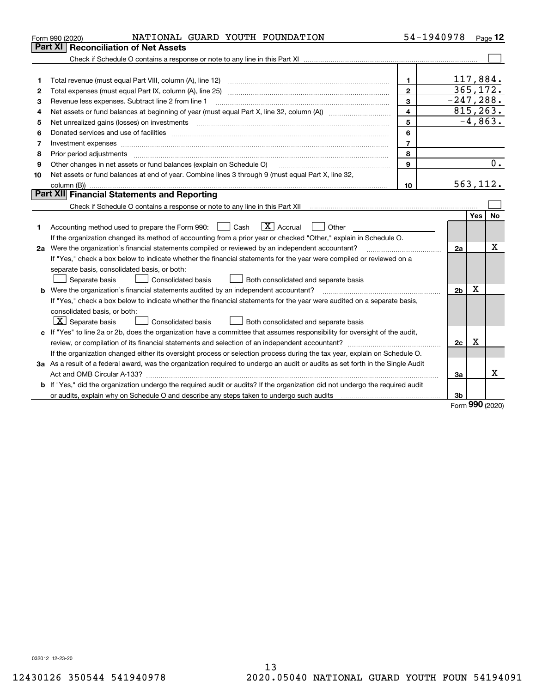|    | NATIONAL GUARD YOUTH FOUNDATION<br>Form 990 (2020)                                                                              | 54-1940978     |                |             | Page $12$ |
|----|---------------------------------------------------------------------------------------------------------------------------------|----------------|----------------|-------------|-----------|
|    | <b>Reconciliation of Net Assets</b><br>Part XI                                                                                  |                |                |             |           |
|    |                                                                                                                                 |                |                |             |           |
|    |                                                                                                                                 |                |                |             |           |
| 1  |                                                                                                                                 | $\mathbf{1}$   | 117,884.       |             |           |
| 2  |                                                                                                                                 | $\overline{2}$ | 365, 172.      |             |           |
| 3  | Revenue less expenses. Subtract line 2 from line 1                                                                              | 3              | $-247, 288.$   |             |           |
| 4  | Net assets or fund balances at beginning of year (must equal Part X, line 32, column (A)) <i>manageredial</i>                   | $\overline{4}$ | 815, 263.      |             |           |
| 5  |                                                                                                                                 | 5              |                |             | $-4,863.$ |
| 6  |                                                                                                                                 | 6              |                |             |           |
| 7  | Investment expenses www.communication.com/www.communication.com/www.communication.com/www.com                                   | $\overline{7}$ |                |             |           |
| 8  | Prior period adjustments                                                                                                        | 8              |                |             |           |
| 9  | Other changes in net assets or fund balances (explain on Schedule O)                                                            | 9              |                |             | 0.        |
| 10 | Net assets or fund balances at end of year. Combine lines 3 through 9 (must equal Part X, line 32,                              |                |                |             |           |
|    | column (B))                                                                                                                     | 10             | 563,112.       |             |           |
|    | Part XII Financial Statements and Reporting                                                                                     |                |                |             |           |
|    |                                                                                                                                 |                |                |             |           |
|    |                                                                                                                                 |                |                | <b>Yes</b>  | <b>No</b> |
| 1. | $\mathbf{X}$ Accrual<br>Accounting method used to prepare the Form 990: [139] Cash<br>    Other                                 |                |                |             |           |
|    | If the organization changed its method of accounting from a prior year or checked "Other," explain in Schedule O.               |                |                |             |           |
|    | 2a Were the organization's financial statements compiled or reviewed by an independent accountant?                              |                | 2a             |             | х         |
|    | If "Yes," check a box below to indicate whether the financial statements for the year were compiled or reviewed on a            |                |                |             |           |
|    | separate basis, consolidated basis, or both:                                                                                    |                |                |             |           |
|    | Both consolidated and separate basis<br>Separate basis<br>Consolidated basis                                                    |                |                |             |           |
|    | <b>b</b> Were the organization's financial statements audited by an independent accountant?                                     |                | 2 <sub>b</sub> | $\mathbf X$ |           |
|    | If "Yes," check a box below to indicate whether the financial statements for the year were audited on a separate basis,         |                |                |             |           |
|    | consolidated basis, or both:                                                                                                    |                |                |             |           |
|    | $X$ Separate basis<br><b>Consolidated basis</b><br>Both consolidated and separate basis                                         |                |                |             |           |
|    | c If "Yes" to line 2a or 2b, does the organization have a committee that assumes responsibility for oversight of the audit,     |                |                |             |           |
|    |                                                                                                                                 |                | 2c             | X           |           |
|    | If the organization changed either its oversight process or selection process during the tax year, explain on Schedule O.       |                |                |             |           |
|    | 3a As a result of a federal award, was the organization required to undergo an audit or audits as set forth in the Single Audit |                |                |             |           |
|    |                                                                                                                                 |                | За             |             | x         |
|    | b If "Yes," did the organization undergo the required audit or audits? If the organization did not undergo the required audit   |                |                |             |           |
|    | or audits, explain why on Schedule O and describe any steps taken to undergo such audits matured and the matur                  |                | 3b             | 000         |           |

Form (2020) **990**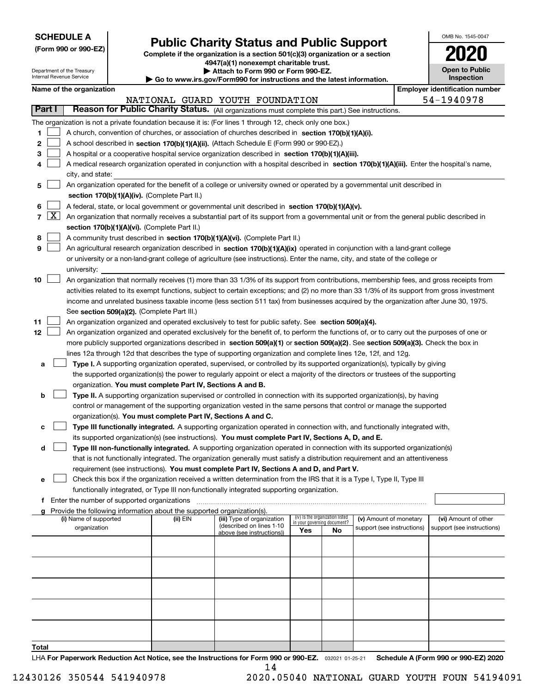| <b>SCHEDULE A</b> |
|-------------------|
|-------------------|

Department of the Treasury Internal Revenue Service

**(Form 990 or 990-EZ)**

## **Public Charity Status and Public Support**

**Complete if the organization is a section 501(c)(3) organization or a section 4947(a)(1) nonexempt charitable trust. | Attach to Form 990 or Form 990-EZ.** 

| $\blacktriangleright$ Attuon to Form over or Form over EE.               |
|--------------------------------------------------------------------------|
| ▶ Go to www.irs.gov/Form990 for instructions and the latest information. |

| OMB No 1545-0047                    |
|-------------------------------------|
| 2020                                |
| <b>Open to Public</b><br>Inspection |

| 54-1940978<br>NATIONAL GUARD YOUTH FOUNDATION<br>Part I<br>Reason for Public Charity Status. (All organizations must complete this part.) See instructions.<br>The organization is not a private foundation because it is: (For lines 1 through 12, check only one box.)<br>1<br>A church, convention of churches, or association of churches described in section 170(b)(1)(A)(i).<br>2<br>A school described in section 170(b)(1)(A)(ii). (Attach Schedule E (Form 990 or 990-EZ).)<br>з<br>A hospital or a cooperative hospital service organization described in section $170(b)(1)(A)(iii)$ .<br>A medical research organization operated in conjunction with a hospital described in section 170(b)(1)(A)(iii). Enter the hospital's name,<br>city, and state:<br>An organization operated for the benefit of a college or university owned or operated by a governmental unit described in<br>5<br>section 170(b)(1)(A)(iv). (Complete Part II.)<br>A federal, state, or local government or governmental unit described in section 170(b)(1)(A)(v).<br>6<br>$7 \times$<br>An organization that normally receives a substantial part of its support from a governmental unit or from the general public described in<br>section 170(b)(1)(A)(vi). (Complete Part II.)<br>A community trust described in section 170(b)(1)(A)(vi). (Complete Part II.)<br>8<br>9<br>An agricultural research organization described in section 170(b)(1)(A)(ix) operated in conjunction with a land-grant college<br>or university or a non-land-grant college of agriculture (see instructions). Enter the name, city, and state of the college or<br>university:<br>10<br>An organization that normally receives (1) more than 33 1/3% of its support from contributions, membership fees, and gross receipts from<br>activities related to its exempt functions, subject to certain exceptions; and (2) no more than 33 1/3% of its support from gross investment<br>income and unrelated business taxable income (less section 511 tax) from businesses acquired by the organization after June 30, 1975.<br>See section 509(a)(2). (Complete Part III.)<br>An organization organized and operated exclusively to test for public safety. See section 509(a)(4).<br>11<br>12<br>An organization organized and operated exclusively for the benefit of, to perform the functions of, or to carry out the purposes of one or<br>more publicly supported organizations described in section 509(a)(1) or section 509(a)(2). See section 509(a)(3). Check the box in<br>lines 12a through 12d that describes the type of supporting organization and complete lines 12e, 12f, and 12g.<br><b>Type I.</b> A supporting organization operated, supervised, or controlled by its supported organization(s), typically by giving<br>a<br>the supported organization(s) the power to regularly appoint or elect a majority of the directors or trustees of the supporting<br>organization. You must complete Part IV, Sections A and B.<br>Type II. A supporting organization supervised or controlled in connection with its supported organization(s), by having<br>b<br>control or management of the supporting organization vested in the same persons that control or manage the supported<br>organization(s). You must complete Part IV, Sections A and C.<br>Type III functionally integrated. A supporting organization operated in connection with, and functionally integrated with,<br>c<br>its supported organization(s) (see instructions). You must complete Part IV, Sections A, D, and E.<br>Type III non-functionally integrated. A supporting organization operated in connection with its supported organization(s)<br>d<br>that is not functionally integrated. The organization generally must satisfy a distribution requirement and an attentiveness<br>requirement (see instructions). You must complete Part IV, Sections A and D, and Part V.<br>Check this box if the organization received a written determination from the IRS that it is a Type I, Type II, Type III<br>functionally integrated, or Type III non-functionally integrated supporting organization.<br>f Enter the number of supported organizations<br>Provide the following information about the supported organization(s).<br>(iv) Is the organization listed<br>(i) Name of supported<br>(v) Amount of monetary<br>(vi) Amount of other<br>(ii) EIN<br>(iii) Type of organization<br>in your governing document?<br>(described on lines 1-10<br>organization<br>support (see instructions)<br>Yes<br>No<br>above (see instructions)) |  | Name of the organization |  |  |  |  |  |  | <b>Employer identification number</b> |  |  |  |  |
|------------------------------------------------------------------------------------------------------------------------------------------------------------------------------------------------------------------------------------------------------------------------------------------------------------------------------------------------------------------------------------------------------------------------------------------------------------------------------------------------------------------------------------------------------------------------------------------------------------------------------------------------------------------------------------------------------------------------------------------------------------------------------------------------------------------------------------------------------------------------------------------------------------------------------------------------------------------------------------------------------------------------------------------------------------------------------------------------------------------------------------------------------------------------------------------------------------------------------------------------------------------------------------------------------------------------------------------------------------------------------------------------------------------------------------------------------------------------------------------------------------------------------------------------------------------------------------------------------------------------------------------------------------------------------------------------------------------------------------------------------------------------------------------------------------------------------------------------------------------------------------------------------------------------------------------------------------------------------------------------------------------------------------------------------------------------------------------------------------------------------------------------------------------------------------------------------------------------------------------------------------------------------------------------------------------------------------------------------------------------------------------------------------------------------------------------------------------------------------------------------------------------------------------------------------------------------------------------------------------------------------------------------------------------------------------------------------------------------------------------------------------------------------------------------------------------------------------------------------------------------------------------------------------------------------------------------------------------------------------------------------------------------------------------------------------------------------------------------------------------------------------------------------------------------------------------------------------------------------------------------------------------------------------------------------------------------------------------------------------------------------------------------------------------------------------------------------------------------------------------------------------------------------------------------------------------------------------------------------------------------------------------------------------------------------------------------------------------------------------------------------------------------------------------------------------------------------------------------------------------------------------------------------------------------------------------------------------------------------------------------------------------------------------------------------------------------------------------------------------------------------------------------------------------------------------------------------------------------------------------------------------------------------------------------------------------------------------------------------------------------------------------------------------------------------------------------------------------------------------------------------------------------------------------------------------------------------------------------------------------|--|--------------------------|--|--|--|--|--|--|---------------------------------------|--|--|--|--|
|                                                                                                                                                                                                                                                                                                                                                                                                                                                                                                                                                                                                                                                                                                                                                                                                                                                                                                                                                                                                                                                                                                                                                                                                                                                                                                                                                                                                                                                                                                                                                                                                                                                                                                                                                                                                                                                                                                                                                                                                                                                                                                                                                                                                                                                                                                                                                                                                                                                                                                                                                                                                                                                                                                                                                                                                                                                                                                                                                                                                                                                                                                                                                                                                                                                                                                                                                                                                                                                                                                                                                                                                                                                                                                                                                                                                                                                                                                                                                                                                                                                                                                                                                                                                                                                                                                                                                                                                                                                                                                                                                                                                                        |  |                          |  |  |  |  |  |  |                                       |  |  |  |  |
|                                                                                                                                                                                                                                                                                                                                                                                                                                                                                                                                                                                                                                                                                                                                                                                                                                                                                                                                                                                                                                                                                                                                                                                                                                                                                                                                                                                                                                                                                                                                                                                                                                                                                                                                                                                                                                                                                                                                                                                                                                                                                                                                                                                                                                                                                                                                                                                                                                                                                                                                                                                                                                                                                                                                                                                                                                                                                                                                                                                                                                                                                                                                                                                                                                                                                                                                                                                                                                                                                                                                                                                                                                                                                                                                                                                                                                                                                                                                                                                                                                                                                                                                                                                                                                                                                                                                                                                                                                                                                                                                                                                                                        |  |                          |  |  |  |  |  |  |                                       |  |  |  |  |
|                                                                                                                                                                                                                                                                                                                                                                                                                                                                                                                                                                                                                                                                                                                                                                                                                                                                                                                                                                                                                                                                                                                                                                                                                                                                                                                                                                                                                                                                                                                                                                                                                                                                                                                                                                                                                                                                                                                                                                                                                                                                                                                                                                                                                                                                                                                                                                                                                                                                                                                                                                                                                                                                                                                                                                                                                                                                                                                                                                                                                                                                                                                                                                                                                                                                                                                                                                                                                                                                                                                                                                                                                                                                                                                                                                                                                                                                                                                                                                                                                                                                                                                                                                                                                                                                                                                                                                                                                                                                                                                                                                                                                        |  |                          |  |  |  |  |  |  |                                       |  |  |  |  |
|                                                                                                                                                                                                                                                                                                                                                                                                                                                                                                                                                                                                                                                                                                                                                                                                                                                                                                                                                                                                                                                                                                                                                                                                                                                                                                                                                                                                                                                                                                                                                                                                                                                                                                                                                                                                                                                                                                                                                                                                                                                                                                                                                                                                                                                                                                                                                                                                                                                                                                                                                                                                                                                                                                                                                                                                                                                                                                                                                                                                                                                                                                                                                                                                                                                                                                                                                                                                                                                                                                                                                                                                                                                                                                                                                                                                                                                                                                                                                                                                                                                                                                                                                                                                                                                                                                                                                                                                                                                                                                                                                                                                                        |  |                          |  |  |  |  |  |  |                                       |  |  |  |  |
|                                                                                                                                                                                                                                                                                                                                                                                                                                                                                                                                                                                                                                                                                                                                                                                                                                                                                                                                                                                                                                                                                                                                                                                                                                                                                                                                                                                                                                                                                                                                                                                                                                                                                                                                                                                                                                                                                                                                                                                                                                                                                                                                                                                                                                                                                                                                                                                                                                                                                                                                                                                                                                                                                                                                                                                                                                                                                                                                                                                                                                                                                                                                                                                                                                                                                                                                                                                                                                                                                                                                                                                                                                                                                                                                                                                                                                                                                                                                                                                                                                                                                                                                                                                                                                                                                                                                                                                                                                                                                                                                                                                                                        |  |                          |  |  |  |  |  |  |                                       |  |  |  |  |
|                                                                                                                                                                                                                                                                                                                                                                                                                                                                                                                                                                                                                                                                                                                                                                                                                                                                                                                                                                                                                                                                                                                                                                                                                                                                                                                                                                                                                                                                                                                                                                                                                                                                                                                                                                                                                                                                                                                                                                                                                                                                                                                                                                                                                                                                                                                                                                                                                                                                                                                                                                                                                                                                                                                                                                                                                                                                                                                                                                                                                                                                                                                                                                                                                                                                                                                                                                                                                                                                                                                                                                                                                                                                                                                                                                                                                                                                                                                                                                                                                                                                                                                                                                                                                                                                                                                                                                                                                                                                                                                                                                                                                        |  |                          |  |  |  |  |  |  |                                       |  |  |  |  |
|                                                                                                                                                                                                                                                                                                                                                                                                                                                                                                                                                                                                                                                                                                                                                                                                                                                                                                                                                                                                                                                                                                                                                                                                                                                                                                                                                                                                                                                                                                                                                                                                                                                                                                                                                                                                                                                                                                                                                                                                                                                                                                                                                                                                                                                                                                                                                                                                                                                                                                                                                                                                                                                                                                                                                                                                                                                                                                                                                                                                                                                                                                                                                                                                                                                                                                                                                                                                                                                                                                                                                                                                                                                                                                                                                                                                                                                                                                                                                                                                                                                                                                                                                                                                                                                                                                                                                                                                                                                                                                                                                                                                                        |  |                          |  |  |  |  |  |  |                                       |  |  |  |  |
|                                                                                                                                                                                                                                                                                                                                                                                                                                                                                                                                                                                                                                                                                                                                                                                                                                                                                                                                                                                                                                                                                                                                                                                                                                                                                                                                                                                                                                                                                                                                                                                                                                                                                                                                                                                                                                                                                                                                                                                                                                                                                                                                                                                                                                                                                                                                                                                                                                                                                                                                                                                                                                                                                                                                                                                                                                                                                                                                                                                                                                                                                                                                                                                                                                                                                                                                                                                                                                                                                                                                                                                                                                                                                                                                                                                                                                                                                                                                                                                                                                                                                                                                                                                                                                                                                                                                                                                                                                                                                                                                                                                                                        |  |                          |  |  |  |  |  |  |                                       |  |  |  |  |
|                                                                                                                                                                                                                                                                                                                                                                                                                                                                                                                                                                                                                                                                                                                                                                                                                                                                                                                                                                                                                                                                                                                                                                                                                                                                                                                                                                                                                                                                                                                                                                                                                                                                                                                                                                                                                                                                                                                                                                                                                                                                                                                                                                                                                                                                                                                                                                                                                                                                                                                                                                                                                                                                                                                                                                                                                                                                                                                                                                                                                                                                                                                                                                                                                                                                                                                                                                                                                                                                                                                                                                                                                                                                                                                                                                                                                                                                                                                                                                                                                                                                                                                                                                                                                                                                                                                                                                                                                                                                                                                                                                                                                        |  |                          |  |  |  |  |  |  |                                       |  |  |  |  |
|                                                                                                                                                                                                                                                                                                                                                                                                                                                                                                                                                                                                                                                                                                                                                                                                                                                                                                                                                                                                                                                                                                                                                                                                                                                                                                                                                                                                                                                                                                                                                                                                                                                                                                                                                                                                                                                                                                                                                                                                                                                                                                                                                                                                                                                                                                                                                                                                                                                                                                                                                                                                                                                                                                                                                                                                                                                                                                                                                                                                                                                                                                                                                                                                                                                                                                                                                                                                                                                                                                                                                                                                                                                                                                                                                                                                                                                                                                                                                                                                                                                                                                                                                                                                                                                                                                                                                                                                                                                                                                                                                                                                                        |  |                          |  |  |  |  |  |  |                                       |  |  |  |  |
|                                                                                                                                                                                                                                                                                                                                                                                                                                                                                                                                                                                                                                                                                                                                                                                                                                                                                                                                                                                                                                                                                                                                                                                                                                                                                                                                                                                                                                                                                                                                                                                                                                                                                                                                                                                                                                                                                                                                                                                                                                                                                                                                                                                                                                                                                                                                                                                                                                                                                                                                                                                                                                                                                                                                                                                                                                                                                                                                                                                                                                                                                                                                                                                                                                                                                                                                                                                                                                                                                                                                                                                                                                                                                                                                                                                                                                                                                                                                                                                                                                                                                                                                                                                                                                                                                                                                                                                                                                                                                                                                                                                                                        |  |                          |  |  |  |  |  |  |                                       |  |  |  |  |
|                                                                                                                                                                                                                                                                                                                                                                                                                                                                                                                                                                                                                                                                                                                                                                                                                                                                                                                                                                                                                                                                                                                                                                                                                                                                                                                                                                                                                                                                                                                                                                                                                                                                                                                                                                                                                                                                                                                                                                                                                                                                                                                                                                                                                                                                                                                                                                                                                                                                                                                                                                                                                                                                                                                                                                                                                                                                                                                                                                                                                                                                                                                                                                                                                                                                                                                                                                                                                                                                                                                                                                                                                                                                                                                                                                                                                                                                                                                                                                                                                                                                                                                                                                                                                                                                                                                                                                                                                                                                                                                                                                                                                        |  |                          |  |  |  |  |  |  |                                       |  |  |  |  |
|                                                                                                                                                                                                                                                                                                                                                                                                                                                                                                                                                                                                                                                                                                                                                                                                                                                                                                                                                                                                                                                                                                                                                                                                                                                                                                                                                                                                                                                                                                                                                                                                                                                                                                                                                                                                                                                                                                                                                                                                                                                                                                                                                                                                                                                                                                                                                                                                                                                                                                                                                                                                                                                                                                                                                                                                                                                                                                                                                                                                                                                                                                                                                                                                                                                                                                                                                                                                                                                                                                                                                                                                                                                                                                                                                                                                                                                                                                                                                                                                                                                                                                                                                                                                                                                                                                                                                                                                                                                                                                                                                                                                                        |  |                          |  |  |  |  |  |  |                                       |  |  |  |  |
|                                                                                                                                                                                                                                                                                                                                                                                                                                                                                                                                                                                                                                                                                                                                                                                                                                                                                                                                                                                                                                                                                                                                                                                                                                                                                                                                                                                                                                                                                                                                                                                                                                                                                                                                                                                                                                                                                                                                                                                                                                                                                                                                                                                                                                                                                                                                                                                                                                                                                                                                                                                                                                                                                                                                                                                                                                                                                                                                                                                                                                                                                                                                                                                                                                                                                                                                                                                                                                                                                                                                                                                                                                                                                                                                                                                                                                                                                                                                                                                                                                                                                                                                                                                                                                                                                                                                                                                                                                                                                                                                                                                                                        |  |                          |  |  |  |  |  |  |                                       |  |  |  |  |
|                                                                                                                                                                                                                                                                                                                                                                                                                                                                                                                                                                                                                                                                                                                                                                                                                                                                                                                                                                                                                                                                                                                                                                                                                                                                                                                                                                                                                                                                                                                                                                                                                                                                                                                                                                                                                                                                                                                                                                                                                                                                                                                                                                                                                                                                                                                                                                                                                                                                                                                                                                                                                                                                                                                                                                                                                                                                                                                                                                                                                                                                                                                                                                                                                                                                                                                                                                                                                                                                                                                                                                                                                                                                                                                                                                                                                                                                                                                                                                                                                                                                                                                                                                                                                                                                                                                                                                                                                                                                                                                                                                                                                        |  |                          |  |  |  |  |  |  |                                       |  |  |  |  |
|                                                                                                                                                                                                                                                                                                                                                                                                                                                                                                                                                                                                                                                                                                                                                                                                                                                                                                                                                                                                                                                                                                                                                                                                                                                                                                                                                                                                                                                                                                                                                                                                                                                                                                                                                                                                                                                                                                                                                                                                                                                                                                                                                                                                                                                                                                                                                                                                                                                                                                                                                                                                                                                                                                                                                                                                                                                                                                                                                                                                                                                                                                                                                                                                                                                                                                                                                                                                                                                                                                                                                                                                                                                                                                                                                                                                                                                                                                                                                                                                                                                                                                                                                                                                                                                                                                                                                                                                                                                                                                                                                                                                                        |  |                          |  |  |  |  |  |  |                                       |  |  |  |  |
|                                                                                                                                                                                                                                                                                                                                                                                                                                                                                                                                                                                                                                                                                                                                                                                                                                                                                                                                                                                                                                                                                                                                                                                                                                                                                                                                                                                                                                                                                                                                                                                                                                                                                                                                                                                                                                                                                                                                                                                                                                                                                                                                                                                                                                                                                                                                                                                                                                                                                                                                                                                                                                                                                                                                                                                                                                                                                                                                                                                                                                                                                                                                                                                                                                                                                                                                                                                                                                                                                                                                                                                                                                                                                                                                                                                                                                                                                                                                                                                                                                                                                                                                                                                                                                                                                                                                                                                                                                                                                                                                                                                                                        |  |                          |  |  |  |  |  |  |                                       |  |  |  |  |
|                                                                                                                                                                                                                                                                                                                                                                                                                                                                                                                                                                                                                                                                                                                                                                                                                                                                                                                                                                                                                                                                                                                                                                                                                                                                                                                                                                                                                                                                                                                                                                                                                                                                                                                                                                                                                                                                                                                                                                                                                                                                                                                                                                                                                                                                                                                                                                                                                                                                                                                                                                                                                                                                                                                                                                                                                                                                                                                                                                                                                                                                                                                                                                                                                                                                                                                                                                                                                                                                                                                                                                                                                                                                                                                                                                                                                                                                                                                                                                                                                                                                                                                                                                                                                                                                                                                                                                                                                                                                                                                                                                                                                        |  |                          |  |  |  |  |  |  |                                       |  |  |  |  |
|                                                                                                                                                                                                                                                                                                                                                                                                                                                                                                                                                                                                                                                                                                                                                                                                                                                                                                                                                                                                                                                                                                                                                                                                                                                                                                                                                                                                                                                                                                                                                                                                                                                                                                                                                                                                                                                                                                                                                                                                                                                                                                                                                                                                                                                                                                                                                                                                                                                                                                                                                                                                                                                                                                                                                                                                                                                                                                                                                                                                                                                                                                                                                                                                                                                                                                                                                                                                                                                                                                                                                                                                                                                                                                                                                                                                                                                                                                                                                                                                                                                                                                                                                                                                                                                                                                                                                                                                                                                                                                                                                                                                                        |  |                          |  |  |  |  |  |  |                                       |  |  |  |  |
|                                                                                                                                                                                                                                                                                                                                                                                                                                                                                                                                                                                                                                                                                                                                                                                                                                                                                                                                                                                                                                                                                                                                                                                                                                                                                                                                                                                                                                                                                                                                                                                                                                                                                                                                                                                                                                                                                                                                                                                                                                                                                                                                                                                                                                                                                                                                                                                                                                                                                                                                                                                                                                                                                                                                                                                                                                                                                                                                                                                                                                                                                                                                                                                                                                                                                                                                                                                                                                                                                                                                                                                                                                                                                                                                                                                                                                                                                                                                                                                                                                                                                                                                                                                                                                                                                                                                                                                                                                                                                                                                                                                                                        |  |                          |  |  |  |  |  |  |                                       |  |  |  |  |
|                                                                                                                                                                                                                                                                                                                                                                                                                                                                                                                                                                                                                                                                                                                                                                                                                                                                                                                                                                                                                                                                                                                                                                                                                                                                                                                                                                                                                                                                                                                                                                                                                                                                                                                                                                                                                                                                                                                                                                                                                                                                                                                                                                                                                                                                                                                                                                                                                                                                                                                                                                                                                                                                                                                                                                                                                                                                                                                                                                                                                                                                                                                                                                                                                                                                                                                                                                                                                                                                                                                                                                                                                                                                                                                                                                                                                                                                                                                                                                                                                                                                                                                                                                                                                                                                                                                                                                                                                                                                                                                                                                                                                        |  |                          |  |  |  |  |  |  |                                       |  |  |  |  |
|                                                                                                                                                                                                                                                                                                                                                                                                                                                                                                                                                                                                                                                                                                                                                                                                                                                                                                                                                                                                                                                                                                                                                                                                                                                                                                                                                                                                                                                                                                                                                                                                                                                                                                                                                                                                                                                                                                                                                                                                                                                                                                                                                                                                                                                                                                                                                                                                                                                                                                                                                                                                                                                                                                                                                                                                                                                                                                                                                                                                                                                                                                                                                                                                                                                                                                                                                                                                                                                                                                                                                                                                                                                                                                                                                                                                                                                                                                                                                                                                                                                                                                                                                                                                                                                                                                                                                                                                                                                                                                                                                                                                                        |  |                          |  |  |  |  |  |  |                                       |  |  |  |  |
|                                                                                                                                                                                                                                                                                                                                                                                                                                                                                                                                                                                                                                                                                                                                                                                                                                                                                                                                                                                                                                                                                                                                                                                                                                                                                                                                                                                                                                                                                                                                                                                                                                                                                                                                                                                                                                                                                                                                                                                                                                                                                                                                                                                                                                                                                                                                                                                                                                                                                                                                                                                                                                                                                                                                                                                                                                                                                                                                                                                                                                                                                                                                                                                                                                                                                                                                                                                                                                                                                                                                                                                                                                                                                                                                                                                                                                                                                                                                                                                                                                                                                                                                                                                                                                                                                                                                                                                                                                                                                                                                                                                                                        |  |                          |  |  |  |  |  |  |                                       |  |  |  |  |
|                                                                                                                                                                                                                                                                                                                                                                                                                                                                                                                                                                                                                                                                                                                                                                                                                                                                                                                                                                                                                                                                                                                                                                                                                                                                                                                                                                                                                                                                                                                                                                                                                                                                                                                                                                                                                                                                                                                                                                                                                                                                                                                                                                                                                                                                                                                                                                                                                                                                                                                                                                                                                                                                                                                                                                                                                                                                                                                                                                                                                                                                                                                                                                                                                                                                                                                                                                                                                                                                                                                                                                                                                                                                                                                                                                                                                                                                                                                                                                                                                                                                                                                                                                                                                                                                                                                                                                                                                                                                                                                                                                                                                        |  |                          |  |  |  |  |  |  |                                       |  |  |  |  |
|                                                                                                                                                                                                                                                                                                                                                                                                                                                                                                                                                                                                                                                                                                                                                                                                                                                                                                                                                                                                                                                                                                                                                                                                                                                                                                                                                                                                                                                                                                                                                                                                                                                                                                                                                                                                                                                                                                                                                                                                                                                                                                                                                                                                                                                                                                                                                                                                                                                                                                                                                                                                                                                                                                                                                                                                                                                                                                                                                                                                                                                                                                                                                                                                                                                                                                                                                                                                                                                                                                                                                                                                                                                                                                                                                                                                                                                                                                                                                                                                                                                                                                                                                                                                                                                                                                                                                                                                                                                                                                                                                                                                                        |  |                          |  |  |  |  |  |  |                                       |  |  |  |  |
|                                                                                                                                                                                                                                                                                                                                                                                                                                                                                                                                                                                                                                                                                                                                                                                                                                                                                                                                                                                                                                                                                                                                                                                                                                                                                                                                                                                                                                                                                                                                                                                                                                                                                                                                                                                                                                                                                                                                                                                                                                                                                                                                                                                                                                                                                                                                                                                                                                                                                                                                                                                                                                                                                                                                                                                                                                                                                                                                                                                                                                                                                                                                                                                                                                                                                                                                                                                                                                                                                                                                                                                                                                                                                                                                                                                                                                                                                                                                                                                                                                                                                                                                                                                                                                                                                                                                                                                                                                                                                                                                                                                                                        |  |                          |  |  |  |  |  |  |                                       |  |  |  |  |
|                                                                                                                                                                                                                                                                                                                                                                                                                                                                                                                                                                                                                                                                                                                                                                                                                                                                                                                                                                                                                                                                                                                                                                                                                                                                                                                                                                                                                                                                                                                                                                                                                                                                                                                                                                                                                                                                                                                                                                                                                                                                                                                                                                                                                                                                                                                                                                                                                                                                                                                                                                                                                                                                                                                                                                                                                                                                                                                                                                                                                                                                                                                                                                                                                                                                                                                                                                                                                                                                                                                                                                                                                                                                                                                                                                                                                                                                                                                                                                                                                                                                                                                                                                                                                                                                                                                                                                                                                                                                                                                                                                                                                        |  |                          |  |  |  |  |  |  |                                       |  |  |  |  |
|                                                                                                                                                                                                                                                                                                                                                                                                                                                                                                                                                                                                                                                                                                                                                                                                                                                                                                                                                                                                                                                                                                                                                                                                                                                                                                                                                                                                                                                                                                                                                                                                                                                                                                                                                                                                                                                                                                                                                                                                                                                                                                                                                                                                                                                                                                                                                                                                                                                                                                                                                                                                                                                                                                                                                                                                                                                                                                                                                                                                                                                                                                                                                                                                                                                                                                                                                                                                                                                                                                                                                                                                                                                                                                                                                                                                                                                                                                                                                                                                                                                                                                                                                                                                                                                                                                                                                                                                                                                                                                                                                                                                                        |  |                          |  |  |  |  |  |  |                                       |  |  |  |  |
|                                                                                                                                                                                                                                                                                                                                                                                                                                                                                                                                                                                                                                                                                                                                                                                                                                                                                                                                                                                                                                                                                                                                                                                                                                                                                                                                                                                                                                                                                                                                                                                                                                                                                                                                                                                                                                                                                                                                                                                                                                                                                                                                                                                                                                                                                                                                                                                                                                                                                                                                                                                                                                                                                                                                                                                                                                                                                                                                                                                                                                                                                                                                                                                                                                                                                                                                                                                                                                                                                                                                                                                                                                                                                                                                                                                                                                                                                                                                                                                                                                                                                                                                                                                                                                                                                                                                                                                                                                                                                                                                                                                                                        |  |                          |  |  |  |  |  |  |                                       |  |  |  |  |
|                                                                                                                                                                                                                                                                                                                                                                                                                                                                                                                                                                                                                                                                                                                                                                                                                                                                                                                                                                                                                                                                                                                                                                                                                                                                                                                                                                                                                                                                                                                                                                                                                                                                                                                                                                                                                                                                                                                                                                                                                                                                                                                                                                                                                                                                                                                                                                                                                                                                                                                                                                                                                                                                                                                                                                                                                                                                                                                                                                                                                                                                                                                                                                                                                                                                                                                                                                                                                                                                                                                                                                                                                                                                                                                                                                                                                                                                                                                                                                                                                                                                                                                                                                                                                                                                                                                                                                                                                                                                                                                                                                                                                        |  |                          |  |  |  |  |  |  |                                       |  |  |  |  |
|                                                                                                                                                                                                                                                                                                                                                                                                                                                                                                                                                                                                                                                                                                                                                                                                                                                                                                                                                                                                                                                                                                                                                                                                                                                                                                                                                                                                                                                                                                                                                                                                                                                                                                                                                                                                                                                                                                                                                                                                                                                                                                                                                                                                                                                                                                                                                                                                                                                                                                                                                                                                                                                                                                                                                                                                                                                                                                                                                                                                                                                                                                                                                                                                                                                                                                                                                                                                                                                                                                                                                                                                                                                                                                                                                                                                                                                                                                                                                                                                                                                                                                                                                                                                                                                                                                                                                                                                                                                                                                                                                                                                                        |  |                          |  |  |  |  |  |  |                                       |  |  |  |  |
|                                                                                                                                                                                                                                                                                                                                                                                                                                                                                                                                                                                                                                                                                                                                                                                                                                                                                                                                                                                                                                                                                                                                                                                                                                                                                                                                                                                                                                                                                                                                                                                                                                                                                                                                                                                                                                                                                                                                                                                                                                                                                                                                                                                                                                                                                                                                                                                                                                                                                                                                                                                                                                                                                                                                                                                                                                                                                                                                                                                                                                                                                                                                                                                                                                                                                                                                                                                                                                                                                                                                                                                                                                                                                                                                                                                                                                                                                                                                                                                                                                                                                                                                                                                                                                                                                                                                                                                                                                                                                                                                                                                                                        |  |                          |  |  |  |  |  |  |                                       |  |  |  |  |
|                                                                                                                                                                                                                                                                                                                                                                                                                                                                                                                                                                                                                                                                                                                                                                                                                                                                                                                                                                                                                                                                                                                                                                                                                                                                                                                                                                                                                                                                                                                                                                                                                                                                                                                                                                                                                                                                                                                                                                                                                                                                                                                                                                                                                                                                                                                                                                                                                                                                                                                                                                                                                                                                                                                                                                                                                                                                                                                                                                                                                                                                                                                                                                                                                                                                                                                                                                                                                                                                                                                                                                                                                                                                                                                                                                                                                                                                                                                                                                                                                                                                                                                                                                                                                                                                                                                                                                                                                                                                                                                                                                                                                        |  |                          |  |  |  |  |  |  |                                       |  |  |  |  |
|                                                                                                                                                                                                                                                                                                                                                                                                                                                                                                                                                                                                                                                                                                                                                                                                                                                                                                                                                                                                                                                                                                                                                                                                                                                                                                                                                                                                                                                                                                                                                                                                                                                                                                                                                                                                                                                                                                                                                                                                                                                                                                                                                                                                                                                                                                                                                                                                                                                                                                                                                                                                                                                                                                                                                                                                                                                                                                                                                                                                                                                                                                                                                                                                                                                                                                                                                                                                                                                                                                                                                                                                                                                                                                                                                                                                                                                                                                                                                                                                                                                                                                                                                                                                                                                                                                                                                                                                                                                                                                                                                                                                                        |  |                          |  |  |  |  |  |  |                                       |  |  |  |  |
|                                                                                                                                                                                                                                                                                                                                                                                                                                                                                                                                                                                                                                                                                                                                                                                                                                                                                                                                                                                                                                                                                                                                                                                                                                                                                                                                                                                                                                                                                                                                                                                                                                                                                                                                                                                                                                                                                                                                                                                                                                                                                                                                                                                                                                                                                                                                                                                                                                                                                                                                                                                                                                                                                                                                                                                                                                                                                                                                                                                                                                                                                                                                                                                                                                                                                                                                                                                                                                                                                                                                                                                                                                                                                                                                                                                                                                                                                                                                                                                                                                                                                                                                                                                                                                                                                                                                                                                                                                                                                                                                                                                                                        |  |                          |  |  |  |  |  |  |                                       |  |  |  |  |
|                                                                                                                                                                                                                                                                                                                                                                                                                                                                                                                                                                                                                                                                                                                                                                                                                                                                                                                                                                                                                                                                                                                                                                                                                                                                                                                                                                                                                                                                                                                                                                                                                                                                                                                                                                                                                                                                                                                                                                                                                                                                                                                                                                                                                                                                                                                                                                                                                                                                                                                                                                                                                                                                                                                                                                                                                                                                                                                                                                                                                                                                                                                                                                                                                                                                                                                                                                                                                                                                                                                                                                                                                                                                                                                                                                                                                                                                                                                                                                                                                                                                                                                                                                                                                                                                                                                                                                                                                                                                                                                                                                                                                        |  |                          |  |  |  |  |  |  |                                       |  |  |  |  |
|                                                                                                                                                                                                                                                                                                                                                                                                                                                                                                                                                                                                                                                                                                                                                                                                                                                                                                                                                                                                                                                                                                                                                                                                                                                                                                                                                                                                                                                                                                                                                                                                                                                                                                                                                                                                                                                                                                                                                                                                                                                                                                                                                                                                                                                                                                                                                                                                                                                                                                                                                                                                                                                                                                                                                                                                                                                                                                                                                                                                                                                                                                                                                                                                                                                                                                                                                                                                                                                                                                                                                                                                                                                                                                                                                                                                                                                                                                                                                                                                                                                                                                                                                                                                                                                                                                                                                                                                                                                                                                                                                                                                                        |  |                          |  |  |  |  |  |  |                                       |  |  |  |  |
|                                                                                                                                                                                                                                                                                                                                                                                                                                                                                                                                                                                                                                                                                                                                                                                                                                                                                                                                                                                                                                                                                                                                                                                                                                                                                                                                                                                                                                                                                                                                                                                                                                                                                                                                                                                                                                                                                                                                                                                                                                                                                                                                                                                                                                                                                                                                                                                                                                                                                                                                                                                                                                                                                                                                                                                                                                                                                                                                                                                                                                                                                                                                                                                                                                                                                                                                                                                                                                                                                                                                                                                                                                                                                                                                                                                                                                                                                                                                                                                                                                                                                                                                                                                                                                                                                                                                                                                                                                                                                                                                                                                                                        |  |                          |  |  |  |  |  |  |                                       |  |  |  |  |
|                                                                                                                                                                                                                                                                                                                                                                                                                                                                                                                                                                                                                                                                                                                                                                                                                                                                                                                                                                                                                                                                                                                                                                                                                                                                                                                                                                                                                                                                                                                                                                                                                                                                                                                                                                                                                                                                                                                                                                                                                                                                                                                                                                                                                                                                                                                                                                                                                                                                                                                                                                                                                                                                                                                                                                                                                                                                                                                                                                                                                                                                                                                                                                                                                                                                                                                                                                                                                                                                                                                                                                                                                                                                                                                                                                                                                                                                                                                                                                                                                                                                                                                                                                                                                                                                                                                                                                                                                                                                                                                                                                                                                        |  |                          |  |  |  |  |  |  |                                       |  |  |  |  |
|                                                                                                                                                                                                                                                                                                                                                                                                                                                                                                                                                                                                                                                                                                                                                                                                                                                                                                                                                                                                                                                                                                                                                                                                                                                                                                                                                                                                                                                                                                                                                                                                                                                                                                                                                                                                                                                                                                                                                                                                                                                                                                                                                                                                                                                                                                                                                                                                                                                                                                                                                                                                                                                                                                                                                                                                                                                                                                                                                                                                                                                                                                                                                                                                                                                                                                                                                                                                                                                                                                                                                                                                                                                                                                                                                                                                                                                                                                                                                                                                                                                                                                                                                                                                                                                                                                                                                                                                                                                                                                                                                                                                                        |  |                          |  |  |  |  |  |  |                                       |  |  |  |  |
|                                                                                                                                                                                                                                                                                                                                                                                                                                                                                                                                                                                                                                                                                                                                                                                                                                                                                                                                                                                                                                                                                                                                                                                                                                                                                                                                                                                                                                                                                                                                                                                                                                                                                                                                                                                                                                                                                                                                                                                                                                                                                                                                                                                                                                                                                                                                                                                                                                                                                                                                                                                                                                                                                                                                                                                                                                                                                                                                                                                                                                                                                                                                                                                                                                                                                                                                                                                                                                                                                                                                                                                                                                                                                                                                                                                                                                                                                                                                                                                                                                                                                                                                                                                                                                                                                                                                                                                                                                                                                                                                                                                                                        |  |                          |  |  |  |  |  |  | support (see instructions)            |  |  |  |  |
|                                                                                                                                                                                                                                                                                                                                                                                                                                                                                                                                                                                                                                                                                                                                                                                                                                                                                                                                                                                                                                                                                                                                                                                                                                                                                                                                                                                                                                                                                                                                                                                                                                                                                                                                                                                                                                                                                                                                                                                                                                                                                                                                                                                                                                                                                                                                                                                                                                                                                                                                                                                                                                                                                                                                                                                                                                                                                                                                                                                                                                                                                                                                                                                                                                                                                                                                                                                                                                                                                                                                                                                                                                                                                                                                                                                                                                                                                                                                                                                                                                                                                                                                                                                                                                                                                                                                                                                                                                                                                                                                                                                                                        |  |                          |  |  |  |  |  |  |                                       |  |  |  |  |
|                                                                                                                                                                                                                                                                                                                                                                                                                                                                                                                                                                                                                                                                                                                                                                                                                                                                                                                                                                                                                                                                                                                                                                                                                                                                                                                                                                                                                                                                                                                                                                                                                                                                                                                                                                                                                                                                                                                                                                                                                                                                                                                                                                                                                                                                                                                                                                                                                                                                                                                                                                                                                                                                                                                                                                                                                                                                                                                                                                                                                                                                                                                                                                                                                                                                                                                                                                                                                                                                                                                                                                                                                                                                                                                                                                                                                                                                                                                                                                                                                                                                                                                                                                                                                                                                                                                                                                                                                                                                                                                                                                                                                        |  |                          |  |  |  |  |  |  |                                       |  |  |  |  |
|                                                                                                                                                                                                                                                                                                                                                                                                                                                                                                                                                                                                                                                                                                                                                                                                                                                                                                                                                                                                                                                                                                                                                                                                                                                                                                                                                                                                                                                                                                                                                                                                                                                                                                                                                                                                                                                                                                                                                                                                                                                                                                                                                                                                                                                                                                                                                                                                                                                                                                                                                                                                                                                                                                                                                                                                                                                                                                                                                                                                                                                                                                                                                                                                                                                                                                                                                                                                                                                                                                                                                                                                                                                                                                                                                                                                                                                                                                                                                                                                                                                                                                                                                                                                                                                                                                                                                                                                                                                                                                                                                                                                                        |  |                          |  |  |  |  |  |  |                                       |  |  |  |  |
|                                                                                                                                                                                                                                                                                                                                                                                                                                                                                                                                                                                                                                                                                                                                                                                                                                                                                                                                                                                                                                                                                                                                                                                                                                                                                                                                                                                                                                                                                                                                                                                                                                                                                                                                                                                                                                                                                                                                                                                                                                                                                                                                                                                                                                                                                                                                                                                                                                                                                                                                                                                                                                                                                                                                                                                                                                                                                                                                                                                                                                                                                                                                                                                                                                                                                                                                                                                                                                                                                                                                                                                                                                                                                                                                                                                                                                                                                                                                                                                                                                                                                                                                                                                                                                                                                                                                                                                                                                                                                                                                                                                                                        |  |                          |  |  |  |  |  |  |                                       |  |  |  |  |
|                                                                                                                                                                                                                                                                                                                                                                                                                                                                                                                                                                                                                                                                                                                                                                                                                                                                                                                                                                                                                                                                                                                                                                                                                                                                                                                                                                                                                                                                                                                                                                                                                                                                                                                                                                                                                                                                                                                                                                                                                                                                                                                                                                                                                                                                                                                                                                                                                                                                                                                                                                                                                                                                                                                                                                                                                                                                                                                                                                                                                                                                                                                                                                                                                                                                                                                                                                                                                                                                                                                                                                                                                                                                                                                                                                                                                                                                                                                                                                                                                                                                                                                                                                                                                                                                                                                                                                                                                                                                                                                                                                                                                        |  |                          |  |  |  |  |  |  |                                       |  |  |  |  |
|                                                                                                                                                                                                                                                                                                                                                                                                                                                                                                                                                                                                                                                                                                                                                                                                                                                                                                                                                                                                                                                                                                                                                                                                                                                                                                                                                                                                                                                                                                                                                                                                                                                                                                                                                                                                                                                                                                                                                                                                                                                                                                                                                                                                                                                                                                                                                                                                                                                                                                                                                                                                                                                                                                                                                                                                                                                                                                                                                                                                                                                                                                                                                                                                                                                                                                                                                                                                                                                                                                                                                                                                                                                                                                                                                                                                                                                                                                                                                                                                                                                                                                                                                                                                                                                                                                                                                                                                                                                                                                                                                                                                                        |  |                          |  |  |  |  |  |  |                                       |  |  |  |  |
|                                                                                                                                                                                                                                                                                                                                                                                                                                                                                                                                                                                                                                                                                                                                                                                                                                                                                                                                                                                                                                                                                                                                                                                                                                                                                                                                                                                                                                                                                                                                                                                                                                                                                                                                                                                                                                                                                                                                                                                                                                                                                                                                                                                                                                                                                                                                                                                                                                                                                                                                                                                                                                                                                                                                                                                                                                                                                                                                                                                                                                                                                                                                                                                                                                                                                                                                                                                                                                                                                                                                                                                                                                                                                                                                                                                                                                                                                                                                                                                                                                                                                                                                                                                                                                                                                                                                                                                                                                                                                                                                                                                                                        |  |                          |  |  |  |  |  |  |                                       |  |  |  |  |
|                                                                                                                                                                                                                                                                                                                                                                                                                                                                                                                                                                                                                                                                                                                                                                                                                                                                                                                                                                                                                                                                                                                                                                                                                                                                                                                                                                                                                                                                                                                                                                                                                                                                                                                                                                                                                                                                                                                                                                                                                                                                                                                                                                                                                                                                                                                                                                                                                                                                                                                                                                                                                                                                                                                                                                                                                                                                                                                                                                                                                                                                                                                                                                                                                                                                                                                                                                                                                                                                                                                                                                                                                                                                                                                                                                                                                                                                                                                                                                                                                                                                                                                                                                                                                                                                                                                                                                                                                                                                                                                                                                                                                        |  |                          |  |  |  |  |  |  |                                       |  |  |  |  |
|                                                                                                                                                                                                                                                                                                                                                                                                                                                                                                                                                                                                                                                                                                                                                                                                                                                                                                                                                                                                                                                                                                                                                                                                                                                                                                                                                                                                                                                                                                                                                                                                                                                                                                                                                                                                                                                                                                                                                                                                                                                                                                                                                                                                                                                                                                                                                                                                                                                                                                                                                                                                                                                                                                                                                                                                                                                                                                                                                                                                                                                                                                                                                                                                                                                                                                                                                                                                                                                                                                                                                                                                                                                                                                                                                                                                                                                                                                                                                                                                                                                                                                                                                                                                                                                                                                                                                                                                                                                                                                                                                                                                                        |  |                          |  |  |  |  |  |  |                                       |  |  |  |  |
| Total                                                                                                                                                                                                                                                                                                                                                                                                                                                                                                                                                                                                                                                                                                                                                                                                                                                                                                                                                                                                                                                                                                                                                                                                                                                                                                                                                                                                                                                                                                                                                                                                                                                                                                                                                                                                                                                                                                                                                                                                                                                                                                                                                                                                                                                                                                                                                                                                                                                                                                                                                                                                                                                                                                                                                                                                                                                                                                                                                                                                                                                                                                                                                                                                                                                                                                                                                                                                                                                                                                                                                                                                                                                                                                                                                                                                                                                                                                                                                                                                                                                                                                                                                                                                                                                                                                                                                                                                                                                                                                                                                                                                                  |  |                          |  |  |  |  |  |  |                                       |  |  |  |  |

LHA For Paperwork Reduction Act Notice, see the Instructions for Form 990 or 990-EZ. <sub>032021</sub> o1-25-21 Schedule A (Form 990 or 990-EZ) 2020 14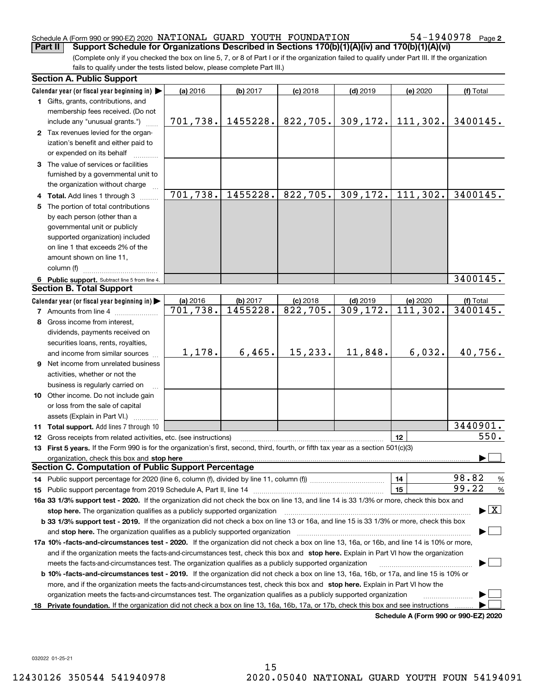#### Schedule A (Form 990 or 990-EZ) 2020 Page NATIONAL GUARD YOUTH FOUNDATION 54-1940978 **Part II Support Schedule for Organizations Described in Sections 170(b)(1)(A)(iv) and 170(b)(1)(A)(vi)**

54-1940978 Page 2

(Complete only if you checked the box on line 5, 7, or 8 of Part I or if the organization failed to qualify under Part III. If the organization fails to qualify under the tests listed below, please complete Part III.)

| <b>Section A. Public Support</b>                                                                                                                                                                                               |            |          |                        |            |                                      |                                          |
|--------------------------------------------------------------------------------------------------------------------------------------------------------------------------------------------------------------------------------|------------|----------|------------------------|------------|--------------------------------------|------------------------------------------|
| Calendar year (or fiscal year beginning in)                                                                                                                                                                                    | (a) 2016   | (b) 2017 | $(c)$ 2018             | $(d)$ 2019 | (e) 2020                             | (f) Total                                |
| 1 Gifts, grants, contributions, and                                                                                                                                                                                            |            |          |                        |            |                                      |                                          |
| membership fees received. (Do not                                                                                                                                                                                              |            |          |                        |            |                                      |                                          |
| include any "unusual grants.")                                                                                                                                                                                                 | 701,738.   | 1455228. | 822,705.               | 309, 172.  | 111,302.                             | 3400145.                                 |
| 2 Tax revenues levied for the organ-                                                                                                                                                                                           |            |          |                        |            |                                      |                                          |
| ization's benefit and either paid to                                                                                                                                                                                           |            |          |                        |            |                                      |                                          |
| or expended on its behalf                                                                                                                                                                                                      |            |          |                        |            |                                      |                                          |
| 3 The value of services or facilities                                                                                                                                                                                          |            |          |                        |            |                                      |                                          |
| furnished by a governmental unit to                                                                                                                                                                                            |            |          |                        |            |                                      |                                          |
| the organization without charge                                                                                                                                                                                                |            |          |                        |            |                                      |                                          |
| 4 Total. Add lines 1 through 3                                                                                                                                                                                                 | 701,738.   | 1455228. | $\overline{82}2, 705.$ | 309, 172.  | 111,302.                             | 3400145.                                 |
| 5 The portion of total contributions                                                                                                                                                                                           |            |          |                        |            |                                      |                                          |
| by each person (other than a                                                                                                                                                                                                   |            |          |                        |            |                                      |                                          |
| governmental unit or publicly                                                                                                                                                                                                  |            |          |                        |            |                                      |                                          |
| supported organization) included                                                                                                                                                                                               |            |          |                        |            |                                      |                                          |
| on line 1 that exceeds 2% of the                                                                                                                                                                                               |            |          |                        |            |                                      |                                          |
| amount shown on line 11,                                                                                                                                                                                                       |            |          |                        |            |                                      |                                          |
| column (f)                                                                                                                                                                                                                     |            |          |                        |            |                                      |                                          |
| 6 Public support. Subtract line 5 from line 4.                                                                                                                                                                                 |            |          |                        |            |                                      | 3400145.                                 |
| <b>Section B. Total Support</b>                                                                                                                                                                                                |            |          |                        |            |                                      |                                          |
| Calendar year (or fiscal year beginning in)                                                                                                                                                                                    | $(a)$ 2016 | (b) 2017 | $(c)$ 2018             | $(d)$ 2019 | (e) 2020                             | (f) Total                                |
| <b>7</b> Amounts from line 4                                                                                                                                                                                                   | 701,738.   | 1455228. | 822,705.               | 309,172.   | 111,302.                             | 3400145.                                 |
| 8 Gross income from interest,                                                                                                                                                                                                  |            |          |                        |            |                                      |                                          |
| dividends, payments received on                                                                                                                                                                                                |            |          |                        |            |                                      |                                          |
| securities loans, rents, royalties,                                                                                                                                                                                            |            |          |                        |            |                                      |                                          |
| and income from similar sources                                                                                                                                                                                                | 1,178.     | 6,465.   | 15, 233.               | 11,848.    | 6,032.                               | 40,756.                                  |
| 9 Net income from unrelated business                                                                                                                                                                                           |            |          |                        |            |                                      |                                          |
| activities, whether or not the                                                                                                                                                                                                 |            |          |                        |            |                                      |                                          |
| business is regularly carried on                                                                                                                                                                                               |            |          |                        |            |                                      |                                          |
| 10 Other income. Do not include gain                                                                                                                                                                                           |            |          |                        |            |                                      |                                          |
| or loss from the sale of capital                                                                                                                                                                                               |            |          |                        |            |                                      |                                          |
| assets (Explain in Part VI.)                                                                                                                                                                                                   |            |          |                        |            |                                      |                                          |
| 11 Total support. Add lines 7 through 10                                                                                                                                                                                       |            |          |                        |            |                                      | 3440901.                                 |
| 12 Gross receipts from related activities, etc. (see instructions)                                                                                                                                                             |            |          |                        |            | 12                                   | 550.                                     |
| 13 First 5 years. If the Form 990 is for the organization's first, second, third, fourth, or fifth tax year as a section 501(c)(3)                                                                                             |            |          |                        |            |                                      |                                          |
| organization, check this box and stop here manufactured and according to the state of the state of the state of the state of the state of the state of the state of the state of the state of the state of the state of the st |            |          |                        |            |                                      |                                          |
| <b>Section C. Computation of Public Support Percentage</b>                                                                                                                                                                     |            |          |                        |            |                                      |                                          |
| 14 Public support percentage for 2020 (line 6, column (f), divided by line 11, column (f) <i>mummumumum</i>                                                                                                                    |            |          |                        |            | 14                                   | 98.82<br>%                               |
|                                                                                                                                                                                                                                |            |          |                        |            | 15                                   | 99.22<br>%                               |
| 16a 33 1/3% support test - 2020. If the organization did not check the box on line 13, and line 14 is 33 1/3% or more, check this box and                                                                                      |            |          |                        |            |                                      |                                          |
| stop here. The organization qualifies as a publicly supported organization                                                                                                                                                     |            |          |                        |            |                                      | $\blacktriangleright$ $\boxed{\text{X}}$ |
| b 33 1/3% support test - 2019. If the organization did not check a box on line 13 or 16a, and line 15 is 33 1/3% or more, check this box                                                                                       |            |          |                        |            |                                      |                                          |
| and stop here. The organization qualifies as a publicly supported organization                                                                                                                                                 |            |          |                        |            |                                      |                                          |
| 17a 10% -facts-and-circumstances test - 2020. If the organization did not check a box on line 13, 16a, or 16b, and line 14 is 10% or more,                                                                                     |            |          |                        |            |                                      |                                          |
| and if the organization meets the facts-and-circumstances test, check this box and stop here. Explain in Part VI how the organization                                                                                          |            |          |                        |            |                                      |                                          |
| meets the facts-and-circumstances test. The organization qualifies as a publicly supported organization                                                                                                                        |            |          |                        |            |                                      |                                          |
| <b>b 10% -facts-and-circumstances test - 2019.</b> If the organization did not check a box on line 13, 16a, 16b, or 17a, and line 15 is 10% or                                                                                 |            |          |                        |            |                                      |                                          |
| more, and if the organization meets the facts-and-circumstances test, check this box and stop here. Explain in Part VI how the                                                                                                 |            |          |                        |            |                                      |                                          |
| organization meets the facts-and-circumstances test. The organization qualifies as a publicly supported organization                                                                                                           |            |          |                        |            |                                      |                                          |
| 18 Private foundation. If the organization did not check a box on line 13, 16a, 16b, 17a, or 17b, check this box and see instructions                                                                                          |            |          |                        |            |                                      |                                          |
|                                                                                                                                                                                                                                |            |          |                        |            | Schodule A (Form 000 or 000 F7) 2020 |                                          |

**Schedule A (Form 990 or 990-EZ) 2020**

032022 01-25-21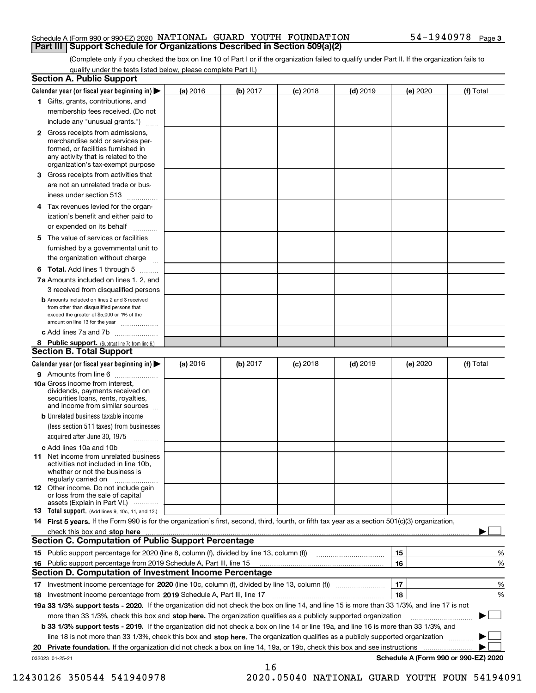#### Schedule A (Form 990 or 990-EZ) 2020 Page NATIONAL GUARD YOUTH FOUNDATION 54-1940978 **Part III Support Schedule for Organizations Described in Section 509(a)(2)**

(Complete only if you checked the box on line 10 of Part I or if the organization failed to qualify under Part II. If the organization fails to qualify under the tests listed below, please complete Part II.)

|    | <b>Section A. Public Support</b>                                                                                                                                                                                              |          |          |            |            |          |                                      |
|----|-------------------------------------------------------------------------------------------------------------------------------------------------------------------------------------------------------------------------------|----------|----------|------------|------------|----------|--------------------------------------|
|    | Calendar year (or fiscal year beginning in) $\blacktriangleright$                                                                                                                                                             | (a) 2016 | (b) 2017 | $(c)$ 2018 | $(d)$ 2019 | (e) 2020 | (f) Total                            |
|    | 1 Gifts, grants, contributions, and                                                                                                                                                                                           |          |          |            |            |          |                                      |
|    | membership fees received. (Do not                                                                                                                                                                                             |          |          |            |            |          |                                      |
|    | include any "unusual grants.")                                                                                                                                                                                                |          |          |            |            |          |                                      |
|    | 2 Gross receipts from admissions,<br>merchandise sold or services per-<br>formed, or facilities furnished in<br>any activity that is related to the<br>organization's tax-exempt purpose                                      |          |          |            |            |          |                                      |
|    | 3 Gross receipts from activities that<br>are not an unrelated trade or bus-                                                                                                                                                   |          |          |            |            |          |                                      |
|    | iness under section 513                                                                                                                                                                                                       |          |          |            |            |          |                                      |
|    | 4 Tax revenues levied for the organ-                                                                                                                                                                                          |          |          |            |            |          |                                      |
|    | ization's benefit and either paid to<br>or expended on its behalf<br>.                                                                                                                                                        |          |          |            |            |          |                                      |
|    | 5 The value of services or facilities                                                                                                                                                                                         |          |          |            |            |          |                                      |
|    | furnished by a governmental unit to                                                                                                                                                                                           |          |          |            |            |          |                                      |
|    | the organization without charge                                                                                                                                                                                               |          |          |            |            |          |                                      |
|    | <b>6 Total.</b> Add lines 1 through 5                                                                                                                                                                                         |          |          |            |            |          |                                      |
|    | 7a Amounts included on lines 1, 2, and                                                                                                                                                                                        |          |          |            |            |          |                                      |
|    | 3 received from disqualified persons                                                                                                                                                                                          |          |          |            |            |          |                                      |
|    | <b>b</b> Amounts included on lines 2 and 3 received<br>from other than disqualified persons that<br>exceed the greater of \$5,000 or 1% of the<br>amount on line 13 for the year                                              |          |          |            |            |          |                                      |
|    | c Add lines 7a and 7b                                                                                                                                                                                                         |          |          |            |            |          |                                      |
|    | 8 Public support. (Subtract line 7c from line 6.)                                                                                                                                                                             |          |          |            |            |          |                                      |
|    | <b>Section B. Total Support</b>                                                                                                                                                                                               |          |          |            |            |          |                                      |
|    | Calendar year (or fiscal year beginning in) $\blacktriangleright$                                                                                                                                                             | (a) 2016 | (b) 2017 | $(c)$ 2018 | $(d)$ 2019 | (e) 2020 | (f) Total                            |
|    | 9 Amounts from line 6                                                                                                                                                                                                         |          |          |            |            |          |                                      |
|    | 10a Gross income from interest,<br>dividends, payments received on<br>securities loans, rents, royalties,<br>and income from similar sources                                                                                  |          |          |            |            |          |                                      |
|    | <b>b</b> Unrelated business taxable income<br>(less section 511 taxes) from businesses                                                                                                                                        |          |          |            |            |          |                                      |
|    | acquired after June 30, 1975                                                                                                                                                                                                  |          |          |            |            |          |                                      |
|    | c Add lines 10a and 10b<br>11 Net income from unrelated business<br>activities not included in line 10b,<br>whether or not the business is<br>regularly carried on                                                            |          |          |            |            |          |                                      |
|    | 12 Other income. Do not include gain<br>or loss from the sale of capital<br>assets (Explain in Part VI.)                                                                                                                      |          |          |            |            |          |                                      |
|    | <b>13</b> Total support. (Add lines 9, 10c, 11, and 12.)                                                                                                                                                                      |          |          |            |            |          |                                      |
|    | 14 First 5 years. If the Form 990 is for the organization's first, second, third, fourth, or fifth tax year as a section 501(c)(3) organization,                                                                              |          |          |            |            |          |                                      |
|    | check this box and stop here with the continuum control to the control of the state of the state of the control of the state of the control of the control of the control of the control of the control of the control of the |          |          |            |            |          |                                      |
|    | <b>Section C. Computation of Public Support Percentage</b>                                                                                                                                                                    |          |          |            |            |          |                                      |
|    | 15 Public support percentage for 2020 (line 8, column (f), divided by line 13, column (f))                                                                                                                                    |          |          |            |            | 15       | %                                    |
|    | 16 Public support percentage from 2019 Schedule A, Part III, line 15                                                                                                                                                          |          |          |            |            | 16       | %                                    |
|    | <b>Section D. Computation of Investment Income Percentage</b>                                                                                                                                                                 |          |          |            |            |          |                                      |
|    | 17 Investment income percentage for 2020 (line 10c, column (f), divided by line 13, column (f))                                                                                                                               |          |          |            |            | 17       | %                                    |
|    | <b>18</b> Investment income percentage from <b>2019</b> Schedule A, Part III, line 17                                                                                                                                         |          |          |            |            | 18       | %                                    |
|    | 19a 33 1/3% support tests - 2020. If the organization did not check the box on line 14, and line 15 is more than 33 1/3%, and line 17 is not                                                                                  |          |          |            |            |          |                                      |
|    | more than 33 1/3%, check this box and stop here. The organization qualifies as a publicly supported organization                                                                                                              |          |          |            |            |          | ▶                                    |
|    | b 33 1/3% support tests - 2019. If the organization did not check a box on line 14 or line 19a, and line 16 is more than 33 1/3%, and                                                                                         |          |          |            |            |          |                                      |
|    | line 18 is not more than 33 1/3%, check this box and stop here. The organization qualifies as a publicly supported organization                                                                                               |          |          |            |            |          |                                      |
| 20 | <b>Private foundation.</b> If the organization did not check a box on line 14, 19a, or 19b, check this box and see instructions                                                                                               |          |          |            |            |          |                                      |
|    | 032023 01-25-21                                                                                                                                                                                                               |          | 16       |            |            |          | Schedule A (Form 990 or 990-EZ) 2020 |

12430126 350544 541940978 2020.05040 NATIONAL GUARD YOUTH FOUN 54194091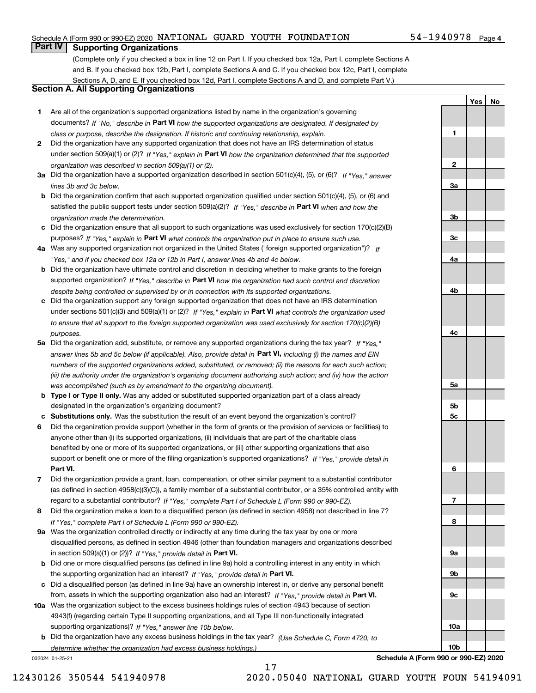### Schedule A (Form 990 or 990-EZ) 2020 Page NATIONAL GUARD YOUTH FOUNDATION 54-1940978

### **Part IV Supporting Organizations**

(Complete only if you checked a box in line 12 on Part I. If you checked box 12a, Part I, complete Sections A and B. If you checked box 12b, Part I, complete Sections A and C. If you checked box 12c, Part I, complete Sections A, D, and E. If you checked box 12d, Part I, complete Sections A and D, and complete Part V.)

### **Section A. All Supporting Organizations**

- **1** Are all of the organization's supported organizations listed by name in the organization's governing documents? If "No," describe in **Part VI** how the supported organizations are designated. If designated by *class or purpose, describe the designation. If historic and continuing relationship, explain.*
- **2** Did the organization have any supported organization that does not have an IRS determination of status under section 509(a)(1) or (2)? If "Yes," explain in Part VI how the organization determined that the supported *organization was described in section 509(a)(1) or (2).*
- **3a** Did the organization have a supported organization described in section 501(c)(4), (5), or (6)? If "Yes," answer *lines 3b and 3c below.*
- **b** Did the organization confirm that each supported organization qualified under section 501(c)(4), (5), or (6) and satisfied the public support tests under section 509(a)(2)? If "Yes," describe in **Part VI** when and how the *organization made the determination.*
- **c**Did the organization ensure that all support to such organizations was used exclusively for section 170(c)(2)(B) purposes? If "Yes," explain in **Part VI** what controls the organization put in place to ensure such use.
- **4a***If* Was any supported organization not organized in the United States ("foreign supported organization")? *"Yes," and if you checked box 12a or 12b in Part I, answer lines 4b and 4c below.*
- **b** Did the organization have ultimate control and discretion in deciding whether to make grants to the foreign supported organization? If "Yes," describe in **Part VI** how the organization had such control and discretion *despite being controlled or supervised by or in connection with its supported organizations.*
- **c** Did the organization support any foreign supported organization that does not have an IRS determination under sections 501(c)(3) and 509(a)(1) or (2)? If "Yes," explain in **Part VI** what controls the organization used *to ensure that all support to the foreign supported organization was used exclusively for section 170(c)(2)(B) purposes.*
- **5a** Did the organization add, substitute, or remove any supported organizations during the tax year? If "Yes," answer lines 5b and 5c below (if applicable). Also, provide detail in **Part VI,** including (i) the names and EIN *numbers of the supported organizations added, substituted, or removed; (ii) the reasons for each such action; (iii) the authority under the organization's organizing document authorizing such action; and (iv) how the action was accomplished (such as by amendment to the organizing document).*
- **b** Type I or Type II only. Was any added or substituted supported organization part of a class already designated in the organization's organizing document?
- **cSubstitutions only.**  Was the substitution the result of an event beyond the organization's control?
- **6** Did the organization provide support (whether in the form of grants or the provision of services or facilities) to **Part VI.** *If "Yes," provide detail in* support or benefit one or more of the filing organization's supported organizations? anyone other than (i) its supported organizations, (ii) individuals that are part of the charitable class benefited by one or more of its supported organizations, or (iii) other supporting organizations that also
- **7**Did the organization provide a grant, loan, compensation, or other similar payment to a substantial contributor *If "Yes," complete Part I of Schedule L (Form 990 or 990-EZ).* regard to a substantial contributor? (as defined in section 4958(c)(3)(C)), a family member of a substantial contributor, or a 35% controlled entity with
- **8** Did the organization make a loan to a disqualified person (as defined in section 4958) not described in line 7? *If "Yes," complete Part I of Schedule L (Form 990 or 990-EZ).*
- **9a** Was the organization controlled directly or indirectly at any time during the tax year by one or more in section 509(a)(1) or (2))? If "Yes," *provide detail in* <code>Part VI.</code> disqualified persons, as defined in section 4946 (other than foundation managers and organizations described
- **b** Did one or more disqualified persons (as defined in line 9a) hold a controlling interest in any entity in which the supporting organization had an interest? If "Yes," provide detail in P**art VI**.
- **c**Did a disqualified person (as defined in line 9a) have an ownership interest in, or derive any personal benefit from, assets in which the supporting organization also had an interest? If "Yes," provide detail in P**art VI.**
- **10a** Was the organization subject to the excess business holdings rules of section 4943 because of section supporting organizations)? If "Yes," answer line 10b below. 4943(f) (regarding certain Type II supporting organizations, and all Type III non-functionally integrated
- **b** Did the organization have any excess business holdings in the tax year? (Use Schedule C, Form 4720, to *determine whether the organization had excess business holdings.)*

17

032024 01-25-21

**10bSchedule A (Form 990 or 990-EZ) 2020**

**1**

**2**

**3a**

**3b**

**3c**

**4a**

**4b**

**4c**

**5a**

**5b5c**

**6**

**7**

**8**

**9a**

**9b**

**9c**

**10a**

**YesNo**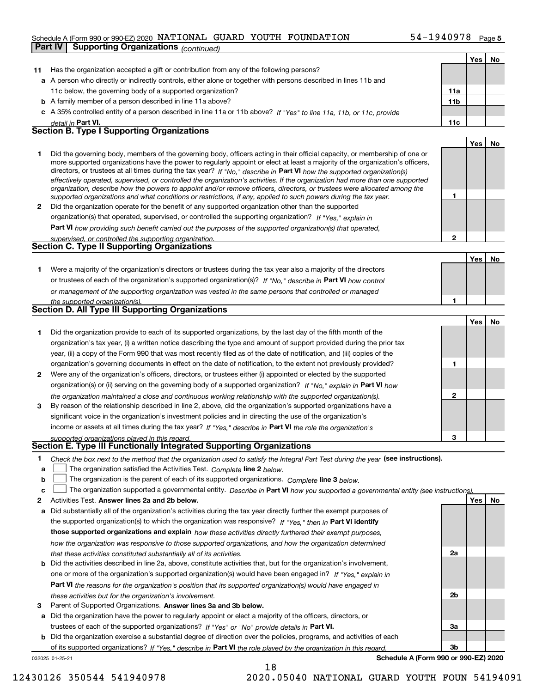#### Schedule A (Form 990 or 990-EZ) 2020 NATIONAL GUARD YOUTH FOUNDATION 54-I94U978 Page NATIONAL GUARD YOUTH FOUNDATION 54-1940978

| Part IV | <b>Supporting Organizations (continued)</b>                                                                                                                                                                                                                                                                                                                                                                                                                                                                              |                 |     |    |
|---------|--------------------------------------------------------------------------------------------------------------------------------------------------------------------------------------------------------------------------------------------------------------------------------------------------------------------------------------------------------------------------------------------------------------------------------------------------------------------------------------------------------------------------|-----------------|-----|----|
|         |                                                                                                                                                                                                                                                                                                                                                                                                                                                                                                                          |                 | Yes | No |
| 11      | Has the organization accepted a gift or contribution from any of the following persons?                                                                                                                                                                                                                                                                                                                                                                                                                                  |                 |     |    |
|         | a A person who directly or indirectly controls, either alone or together with persons described in lines 11b and                                                                                                                                                                                                                                                                                                                                                                                                         |                 |     |    |
|         | 11c below, the governing body of a supported organization?                                                                                                                                                                                                                                                                                                                                                                                                                                                               | 11a             |     |    |
|         | <b>b</b> A family member of a person described in line 11a above?                                                                                                                                                                                                                                                                                                                                                                                                                                                        | 11 <sub>b</sub> |     |    |
|         | c A 35% controlled entity of a person described in line 11a or 11b above? If "Yes" to line 11a, 11b, or 11c, provide                                                                                                                                                                                                                                                                                                                                                                                                     |                 |     |    |
|         | detail in Part VI.                                                                                                                                                                                                                                                                                                                                                                                                                                                                                                       | 11c             |     |    |
|         | <b>Section B. Type I Supporting Organizations</b>                                                                                                                                                                                                                                                                                                                                                                                                                                                                        |                 |     |    |
|         |                                                                                                                                                                                                                                                                                                                                                                                                                                                                                                                          |                 | Yes | No |
| 1       | Did the governing body, members of the governing body, officers acting in their official capacity, or membership of one or<br>more supported organizations have the power to regularly appoint or elect at least a majority of the organization's officers,<br>directors, or trustees at all times during the tax year? If "No," describe in Part VI how the supported organization(s)<br>effectively operated, supervised, or controlled the organization's activities. If the organization had more than one supported |                 |     |    |
|         | organization, describe how the powers to appoint and/or remove officers, directors, or trustees were allocated among the<br>supported organizations and what conditions or restrictions, if any, applied to such powers during the tax year.                                                                                                                                                                                                                                                                             | 1               |     |    |
| 2       | Did the organization operate for the benefit of any supported organization other than the supported                                                                                                                                                                                                                                                                                                                                                                                                                      |                 |     |    |
|         | organization(s) that operated, supervised, or controlled the supporting organization? If "Yes," explain in                                                                                                                                                                                                                                                                                                                                                                                                               |                 |     |    |
|         | Part VI how providing such benefit carried out the purposes of the supported organization(s) that operated,                                                                                                                                                                                                                                                                                                                                                                                                              |                 |     |    |
|         | supervised, or controlled the supporting organization.                                                                                                                                                                                                                                                                                                                                                                                                                                                                   | $\overline{2}$  |     |    |
|         | <b>Section C. Type II Supporting Organizations</b>                                                                                                                                                                                                                                                                                                                                                                                                                                                                       |                 |     |    |
|         |                                                                                                                                                                                                                                                                                                                                                                                                                                                                                                                          |                 | Yes | No |
| 1       | Were a majority of the organization's directors or trustees during the tax year also a majority of the directors                                                                                                                                                                                                                                                                                                                                                                                                         |                 |     |    |
|         | or trustees of each of the organization's supported organization(s)? If "No," describe in Part VI how control                                                                                                                                                                                                                                                                                                                                                                                                            |                 |     |    |
|         | or management of the supporting organization was vested in the same persons that controlled or managed                                                                                                                                                                                                                                                                                                                                                                                                                   |                 |     |    |
|         | the supported organization(s).                                                                                                                                                                                                                                                                                                                                                                                                                                                                                           | 1               |     |    |
|         | <b>Section D. All Type III Supporting Organizations</b>                                                                                                                                                                                                                                                                                                                                                                                                                                                                  |                 |     |    |
|         |                                                                                                                                                                                                                                                                                                                                                                                                                                                                                                                          |                 | Yes | No |
| 1       | Did the organization provide to each of its supported organizations, by the last day of the fifth month of the                                                                                                                                                                                                                                                                                                                                                                                                           |                 |     |    |
|         | organization's tax year, (i) a written notice describing the type and amount of support provided during the prior tax                                                                                                                                                                                                                                                                                                                                                                                                    |                 |     |    |
|         | year, (ii) a copy of the Form 990 that was most recently filed as of the date of notification, and (iii) copies of the                                                                                                                                                                                                                                                                                                                                                                                                   |                 |     |    |
|         | organization's governing documents in effect on the date of notification, to the extent not previously provided?                                                                                                                                                                                                                                                                                                                                                                                                         | 1               |     |    |
| 2       | Were any of the organization's officers, directors, or trustees either (i) appointed or elected by the supported                                                                                                                                                                                                                                                                                                                                                                                                         |                 |     |    |
|         | organization(s) or (ii) serving on the governing body of a supported organization? If "No." explain in Part VI how                                                                                                                                                                                                                                                                                                                                                                                                       |                 |     |    |
| 3       | the organization maintained a close and continuous working relationship with the supported organization(s).<br>By reason of the relationship described in line 2, above, did the organization's supported organizations have a                                                                                                                                                                                                                                                                                           | $\mathbf 2$     |     |    |
|         | significant voice in the organization's investment policies and in directing the use of the organization's                                                                                                                                                                                                                                                                                                                                                                                                               |                 |     |    |
|         | income or assets at all times during the tax year? If "Yes," describe in Part VI the role the organization's                                                                                                                                                                                                                                                                                                                                                                                                             |                 |     |    |
|         | supported organizations played in this regard.                                                                                                                                                                                                                                                                                                                                                                                                                                                                           | 3               |     |    |
|         | Section E. Type III Functionally Integrated Supporting Organizations                                                                                                                                                                                                                                                                                                                                                                                                                                                     |                 |     |    |
| 1.      | Check the box next to the method that the organization used to satisfy the Integral Part Test during the year (see instructions).                                                                                                                                                                                                                                                                                                                                                                                        |                 |     |    |
| а       | The organization satisfied the Activities Test. Complete line 2 below.                                                                                                                                                                                                                                                                                                                                                                                                                                                   |                 |     |    |
| b       | The organization is the parent of each of its supported organizations. Complete line 3 below.                                                                                                                                                                                                                                                                                                                                                                                                                            |                 |     |    |
| c       | The organization supported a governmental entity. Describe in Part VI how you supported a governmental entity (see instructions)                                                                                                                                                                                                                                                                                                                                                                                         |                 |     |    |
| 2       | Activities Test. Answer lines 2a and 2b below.                                                                                                                                                                                                                                                                                                                                                                                                                                                                           |                 | Yes | No |
| а       | Did substantially all of the organization's activities during the tax year directly further the exempt purposes of                                                                                                                                                                                                                                                                                                                                                                                                       |                 |     |    |
|         | the supported organization(s) to which the organization was responsive? If "Yes," then in Part VI identify                                                                                                                                                                                                                                                                                                                                                                                                               |                 |     |    |
|         | those supported organizations and explain how these activities directly furthered their exempt purposes,                                                                                                                                                                                                                                                                                                                                                                                                                 |                 |     |    |
|         | how the organization was responsive to those supported organizations, and how the organization determined                                                                                                                                                                                                                                                                                                                                                                                                                |                 |     |    |
|         | that these activities constituted substantially all of its activities.                                                                                                                                                                                                                                                                                                                                                                                                                                                   | 2a              |     |    |
| b       | Did the activities described in line 2a, above, constitute activities that, but for the organization's involvement,                                                                                                                                                                                                                                                                                                                                                                                                      |                 |     |    |
|         | one or more of the organization's supported organization(s) would have been engaged in? If "Yes," explain in                                                                                                                                                                                                                                                                                                                                                                                                             |                 |     |    |
|         | Part VI the reasons for the organization's position that its supported organization(s) would have engaged in                                                                                                                                                                                                                                                                                                                                                                                                             |                 |     |    |
|         | these activities but for the organization's involvement.                                                                                                                                                                                                                                                                                                                                                                                                                                                                 | 2b              |     |    |

**3** Parent of Supported Organizations. Answer lines 3a and 3b below.

**a** Did the organization have the power to regularly appoint or elect a majority of the officers, directors, or trustees of each of the supported organizations? If "Yes" or "No" provide details in **Part VI.** 

032025 01-25-21 **b** Did the organization exercise a substantial degree of direction over the policies, programs, and activities of each of its supported organizations? If "Yes," describe in Part VI the role played by the organization in this regard.

18

**Schedule A (Form 990 or 990-EZ) 2020**

**3a**

**3b**

12430126 350544 541940978 2020.05040 NATIONAL GUARD YOUTH FOUN 54194091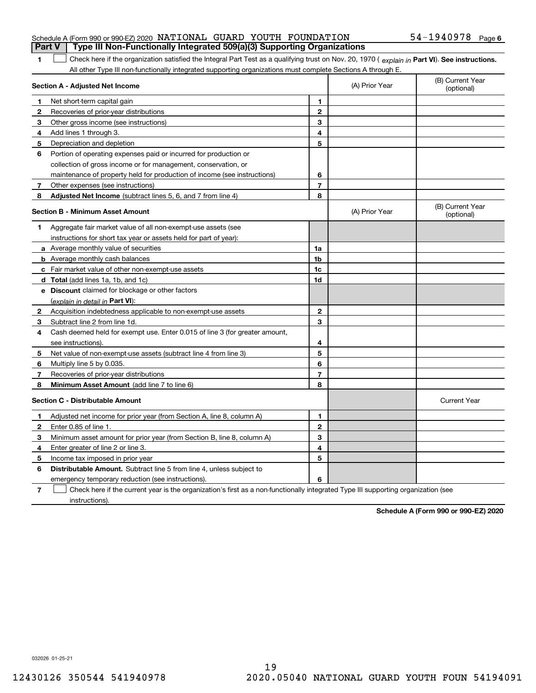| <b>Part V</b> Type III Non-Functionally Integrated 509(a)(3) Supporting Organizations |  |  |                              |  |
|---------------------------------------------------------------------------------------|--|--|------------------------------|--|
| Schedule A (Form 990 or 990-EZ) 2020 NATIONAL GUARD YOUTH FOUNDATION                  |  |  | 54-1940978 <sub>Page 6</sub> |  |

1 Check here if the organization satisfied the Integral Part Test as a qualifying trust on Nov. 20, 1970 (explain in Part VI). See instructions. All other Type III non-functionally integrated supporting organizations must complete Sections A through E.

| Section A - Adjusted Net Income |                                                                                                                                   | (A) Prior Year | (B) Current Year<br>(optional) |                                |
|---------------------------------|-----------------------------------------------------------------------------------------------------------------------------------|----------------|--------------------------------|--------------------------------|
| 1                               | Net short-term capital gain                                                                                                       | 1              |                                |                                |
| $\mathbf{2}$                    | Recoveries of prior-year distributions                                                                                            | $\overline{2}$ |                                |                                |
| 3                               | Other gross income (see instructions)                                                                                             | 3              |                                |                                |
| 4                               | Add lines 1 through 3.                                                                                                            | 4              |                                |                                |
| 5                               | Depreciation and depletion                                                                                                        | 5              |                                |                                |
| 6                               | Portion of operating expenses paid or incurred for production or                                                                  |                |                                |                                |
|                                 | collection of gross income or for management, conservation, or                                                                    |                |                                |                                |
|                                 | maintenance of property held for production of income (see instructions)                                                          | 6              |                                |                                |
| 7                               | Other expenses (see instructions)                                                                                                 | $\overline{7}$ |                                |                                |
| 8                               | Adjusted Net Income (subtract lines 5, 6, and 7 from line 4)                                                                      | 8              |                                |                                |
|                                 | <b>Section B - Minimum Asset Amount</b>                                                                                           |                | (A) Prior Year                 | (B) Current Year<br>(optional) |
| 1                               | Aggregate fair market value of all non-exempt-use assets (see                                                                     |                |                                |                                |
|                                 | instructions for short tax year or assets held for part of year):                                                                 |                |                                |                                |
|                                 | <b>a</b> Average monthly value of securities                                                                                      | 1a             |                                |                                |
|                                 | <b>b</b> Average monthly cash balances                                                                                            | 1 <sub>b</sub> |                                |                                |
|                                 | c Fair market value of other non-exempt-use assets                                                                                | 1c             |                                |                                |
|                                 | <b>d</b> Total (add lines 1a, 1b, and 1c)                                                                                         | 1d             |                                |                                |
|                                 | e Discount claimed for blockage or other factors                                                                                  |                |                                |                                |
|                                 | (explain in detail in Part VI):                                                                                                   |                |                                |                                |
| 2                               | Acquisition indebtedness applicable to non-exempt-use assets                                                                      | 2              |                                |                                |
| 3                               | Subtract line 2 from line 1d.                                                                                                     | 3              |                                |                                |
| 4                               | Cash deemed held for exempt use. Enter 0.015 of line 3 (for greater amount,                                                       |                |                                |                                |
|                                 | see instructions)                                                                                                                 | 4              |                                |                                |
| 5                               | Net value of non-exempt-use assets (subtract line 4 from line 3)                                                                  | 5              |                                |                                |
| 6                               | Multiply line 5 by 0.035.                                                                                                         | 6              |                                |                                |
| 7                               | Recoveries of prior-year distributions                                                                                            | 7              |                                |                                |
| 8                               | <b>Minimum Asset Amount</b> (add line 7 to line 6)                                                                                | 8              |                                |                                |
|                                 | <b>Section C - Distributable Amount</b>                                                                                           |                |                                | <b>Current Year</b>            |
| 1                               | Adjusted net income for prior year (from Section A, line 8, column A)                                                             | 1              |                                |                                |
| 2                               | Enter 0.85 of line 1.                                                                                                             | $\overline{2}$ |                                |                                |
| 3                               | Minimum asset amount for prior year (from Section B, line 8, column A)                                                            | 3              |                                |                                |
| 4                               | Enter greater of line 2 or line 3.                                                                                                | 4              |                                |                                |
| 5                               | Income tax imposed in prior year                                                                                                  | 5              |                                |                                |
| 6                               | <b>Distributable Amount.</b> Subtract line 5 from line 4, unless subject to                                                       |                |                                |                                |
|                                 | emergency temporary reduction (see instructions).                                                                                 | 6              |                                |                                |
| 7                               | Check here if the current year is the organization's first as a non-functionally integrated Type III supporting organization (see |                |                                |                                |

instructions).

**1**

**Schedule A (Form 990 or 990-EZ) 2020**

032026 01-25-21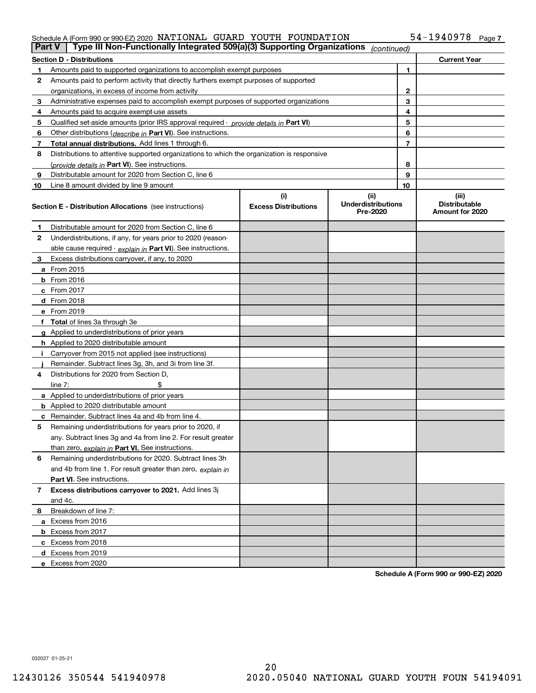### Schedule A (Form 990 or 990-EZ) 2020 Page NATIONAL GUARD YOUTH FOUNDATION 54-1940978

| Part V | Type III Non-Functionally Integrated 509(a)(3) Supporting Organizations                    |                                    | (continued)                                   |                                                  |
|--------|--------------------------------------------------------------------------------------------|------------------------------------|-----------------------------------------------|--------------------------------------------------|
|        | <b>Section D - Distributions</b>                                                           |                                    |                                               | <b>Current Year</b>                              |
|        | Amounts paid to supported organizations to accomplish exempt purposes                      |                                    | 1                                             |                                                  |
| 2      | Amounts paid to perform activity that directly furthers exempt purposes of supported       |                                    |                                               |                                                  |
|        | organizations, in excess of income from activity                                           |                                    | 2                                             |                                                  |
| 3      | Administrative expenses paid to accomplish exempt purposes of supported organizations      |                                    | 3                                             |                                                  |
| 4      | Amounts paid to acquire exempt-use assets                                                  |                                    | 4                                             |                                                  |
| 5      | Qualified set aside amounts (prior IRS approval required - provide details in Part VI)     |                                    | 5                                             |                                                  |
| 6      | Other distributions ( <i>describe in</i> Part VI). See instructions.                       |                                    | 6                                             |                                                  |
| 7      | Total annual distributions. Add lines 1 through 6.                                         |                                    | 7                                             |                                                  |
| 8      | Distributions to attentive supported organizations to which the organization is responsive |                                    |                                               |                                                  |
|        | (provide details in Part VI). See instructions.                                            |                                    | 8                                             |                                                  |
| 9      | Distributable amount for 2020 from Section C, line 6                                       |                                    | 9                                             |                                                  |
| 10     | Line 8 amount divided by line 9 amount                                                     |                                    | 10                                            |                                                  |
|        | <b>Section E - Distribution Allocations</b> (see instructions)                             | (i)<br><b>Excess Distributions</b> | (ii)<br><b>Underdistributions</b><br>Pre-2020 | (iii)<br><b>Distributable</b><br>Amount for 2020 |
| 1      | Distributable amount for 2020 from Section C, line 6                                       |                                    |                                               |                                                  |
| 2      | Underdistributions, if any, for years prior to 2020 (reason-                               |                                    |                                               |                                                  |
|        | able cause required - explain in Part VI). See instructions.                               |                                    |                                               |                                                  |
| 3      | Excess distributions carryover, if any, to 2020                                            |                                    |                                               |                                                  |
|        | a From 2015                                                                                |                                    |                                               |                                                  |
|        | $b$ From 2016                                                                              |                                    |                                               |                                                  |
|        | $c$ From 2017                                                                              |                                    |                                               |                                                  |
|        | <b>d</b> From 2018                                                                         |                                    |                                               |                                                  |
|        | e From 2019                                                                                |                                    |                                               |                                                  |
|        | f Total of lines 3a through 3e                                                             |                                    |                                               |                                                  |
|        | g Applied to underdistributions of prior years                                             |                                    |                                               |                                                  |
|        | <b>h</b> Applied to 2020 distributable amount                                              |                                    |                                               |                                                  |
|        | Carryover from 2015 not applied (see instructions)                                         |                                    |                                               |                                                  |
|        | Remainder. Subtract lines 3g, 3h, and 3i from line 3f.                                     |                                    |                                               |                                                  |
| 4      | Distributions for 2020 from Section D.                                                     |                                    |                                               |                                                  |
|        | line $7:$                                                                                  |                                    |                                               |                                                  |
|        | a Applied to underdistributions of prior years                                             |                                    |                                               |                                                  |
|        | <b>b</b> Applied to 2020 distributable amount                                              |                                    |                                               |                                                  |
|        | <b>c</b> Remainder. Subtract lines 4a and 4b from line 4.                                  |                                    |                                               |                                                  |
| 5      | Remaining underdistributions for years prior to 2020, if                                   |                                    |                                               |                                                  |
|        | any. Subtract lines 3g and 4a from line 2. For result greater                              |                                    |                                               |                                                  |
|        | than zero, explain in Part VI. See instructions.                                           |                                    |                                               |                                                  |
| 6      | Remaining underdistributions for 2020. Subtract lines 3h                                   |                                    |                                               |                                                  |
|        | and 4b from line 1. For result greater than zero, explain in                               |                                    |                                               |                                                  |
|        | Part VI. See instructions.                                                                 |                                    |                                               |                                                  |
| 7      | Excess distributions carryover to 2021. Add lines 3j                                       |                                    |                                               |                                                  |
|        | and 4c.                                                                                    |                                    |                                               |                                                  |
| 8      | Breakdown of line 7:                                                                       |                                    |                                               |                                                  |
|        | a Excess from 2016                                                                         |                                    |                                               |                                                  |
|        | <b>b</b> Excess from 2017                                                                  |                                    |                                               |                                                  |
|        | c Excess from 2018                                                                         |                                    |                                               |                                                  |
|        | d Excess from 2019                                                                         |                                    |                                               |                                                  |
|        | e Excess from 2020                                                                         |                                    |                                               |                                                  |

**Schedule A (Form 990 or 990-EZ) 2020**

032027 01-25-21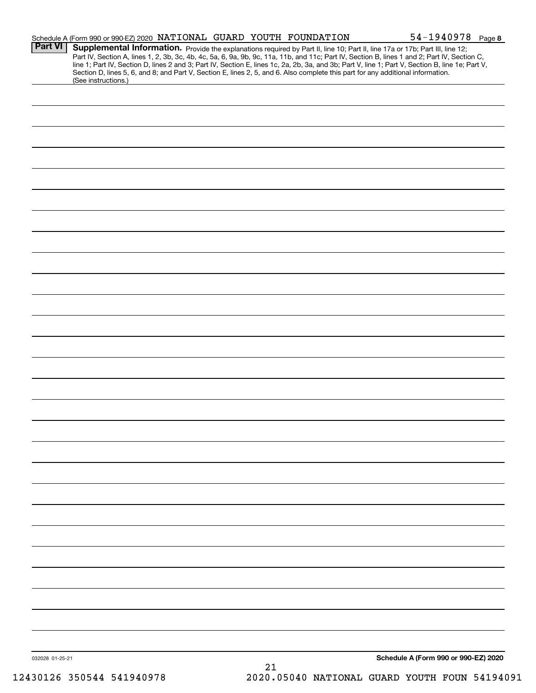|                 | Schedule A (Form 990 or 990-EZ) 2020 NATIONAL GUARD YOUTH FOUNDATION                                                                                                                                                                                                                                                                                                                                                                                                                                                                                                                        | $54 - 1940978$ Page 8                |
|-----------------|---------------------------------------------------------------------------------------------------------------------------------------------------------------------------------------------------------------------------------------------------------------------------------------------------------------------------------------------------------------------------------------------------------------------------------------------------------------------------------------------------------------------------------------------------------------------------------------------|--------------------------------------|
| <b>Part VI</b>  | Supplemental Information. Provide the explanations required by Part II, line 10; Part II, line 17a or 17b; Part III, line 12;<br>Part IV, Section A, lines 1, 2, 3b, 3c, 4b, 4c, 5a, 6, 9a, 9b, 9c, 11a, 11b, and 11c; Part IV, Section B, lines 1 and 2; Part IV, Section C,<br>line 1; Part IV, Section D, lines 2 and 3; Part IV, Section E, lines 1c, 2a, 2b, 3a, and 3b; Part V, line 1; Part V, Section B, line 1e; Part V,<br>Section D, lines 5, 6, and 8; and Part V, Section E, lines 2, 5, and 6. Also complete this part for any additional information.<br>(See instructions.) |                                      |
|                 |                                                                                                                                                                                                                                                                                                                                                                                                                                                                                                                                                                                             |                                      |
|                 |                                                                                                                                                                                                                                                                                                                                                                                                                                                                                                                                                                                             |                                      |
|                 |                                                                                                                                                                                                                                                                                                                                                                                                                                                                                                                                                                                             |                                      |
|                 |                                                                                                                                                                                                                                                                                                                                                                                                                                                                                                                                                                                             |                                      |
|                 |                                                                                                                                                                                                                                                                                                                                                                                                                                                                                                                                                                                             |                                      |
|                 |                                                                                                                                                                                                                                                                                                                                                                                                                                                                                                                                                                                             |                                      |
|                 |                                                                                                                                                                                                                                                                                                                                                                                                                                                                                                                                                                                             |                                      |
|                 |                                                                                                                                                                                                                                                                                                                                                                                                                                                                                                                                                                                             |                                      |
|                 |                                                                                                                                                                                                                                                                                                                                                                                                                                                                                                                                                                                             |                                      |
|                 |                                                                                                                                                                                                                                                                                                                                                                                                                                                                                                                                                                                             |                                      |
|                 |                                                                                                                                                                                                                                                                                                                                                                                                                                                                                                                                                                                             |                                      |
|                 |                                                                                                                                                                                                                                                                                                                                                                                                                                                                                                                                                                                             |                                      |
|                 |                                                                                                                                                                                                                                                                                                                                                                                                                                                                                                                                                                                             |                                      |
|                 |                                                                                                                                                                                                                                                                                                                                                                                                                                                                                                                                                                                             |                                      |
|                 |                                                                                                                                                                                                                                                                                                                                                                                                                                                                                                                                                                                             |                                      |
|                 |                                                                                                                                                                                                                                                                                                                                                                                                                                                                                                                                                                                             |                                      |
|                 |                                                                                                                                                                                                                                                                                                                                                                                                                                                                                                                                                                                             |                                      |
|                 |                                                                                                                                                                                                                                                                                                                                                                                                                                                                                                                                                                                             |                                      |
|                 |                                                                                                                                                                                                                                                                                                                                                                                                                                                                                                                                                                                             |                                      |
|                 |                                                                                                                                                                                                                                                                                                                                                                                                                                                                                                                                                                                             |                                      |
|                 |                                                                                                                                                                                                                                                                                                                                                                                                                                                                                                                                                                                             |                                      |
|                 |                                                                                                                                                                                                                                                                                                                                                                                                                                                                                                                                                                                             |                                      |
|                 |                                                                                                                                                                                                                                                                                                                                                                                                                                                                                                                                                                                             |                                      |
|                 |                                                                                                                                                                                                                                                                                                                                                                                                                                                                                                                                                                                             |                                      |
|                 |                                                                                                                                                                                                                                                                                                                                                                                                                                                                                                                                                                                             |                                      |
|                 |                                                                                                                                                                                                                                                                                                                                                                                                                                                                                                                                                                                             |                                      |
|                 |                                                                                                                                                                                                                                                                                                                                                                                                                                                                                                                                                                                             |                                      |
|                 |                                                                                                                                                                                                                                                                                                                                                                                                                                                                                                                                                                                             |                                      |
|                 |                                                                                                                                                                                                                                                                                                                                                                                                                                                                                                                                                                                             |                                      |
|                 |                                                                                                                                                                                                                                                                                                                                                                                                                                                                                                                                                                                             |                                      |
|                 |                                                                                                                                                                                                                                                                                                                                                                                                                                                                                                                                                                                             |                                      |
| 032028 01-25-21 |                                                                                                                                                                                                                                                                                                                                                                                                                                                                                                                                                                                             | Schedule A (Form 990 or 990-EZ) 2020 |
|                 | 21                                                                                                                                                                                                                                                                                                                                                                                                                                                                                                                                                                                          |                                      |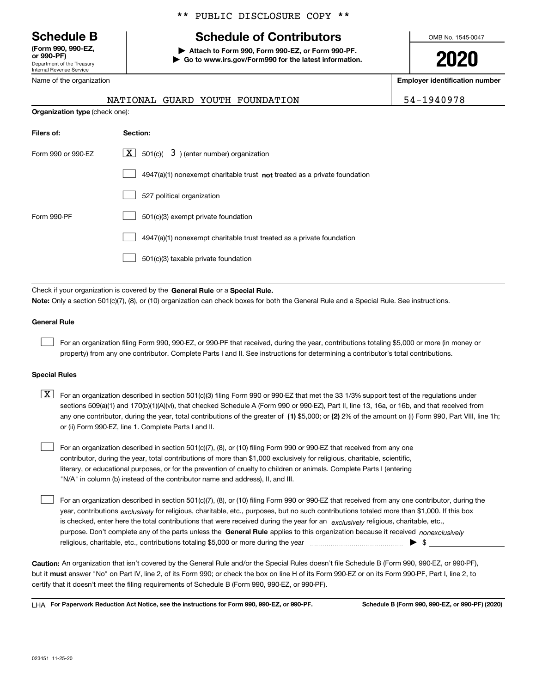Department of the Treasury Internal Revenue Service **(Form 990, 990-EZ, or 990-PF)**

## \*\* PUBLIC DISCLOSURE COPY \*\*

## **Schedule B Schedule of Contributors**

**| Attach to Form 990, Form 990-EZ, or Form 990-PF. | Go to www.irs.gov/Form990 for the latest information.** OMB No. 1545-0047

**2020**

**Employer identification number**

| Name of the organization |  |
|--------------------------|--|
|                          |  |

**Organization type** (check one):

|  | NATIONAL GUARD YOUTH FOUNDATION |  |
|--|---------------------------------|--|
|  |                                 |  |

54-1940978

| Filers of:         | <b>Section:</b>                                                             |
|--------------------|-----------------------------------------------------------------------------|
| Form 990 or 990-EZ | $X$ 501(c)( 3) (enter number) organization                                  |
|                    | $4947(a)(1)$ nonexempt charitable trust not treated as a private foundation |
|                    | 527 political organization                                                  |
| Form 990-PF        | 501(c)(3) exempt private foundation                                         |
|                    | 4947(a)(1) nonexempt charitable trust treated as a private foundation       |
|                    | 501(c)(3) taxable private foundation                                        |

Check if your organization is covered by the **General Rule** or a **Special Rule. Note:**  Only a section 501(c)(7), (8), or (10) organization can check boxes for both the General Rule and a Special Rule. See instructions.

#### **General Rule**

 $\mathcal{L}^{\text{max}}$ 

For an organization filing Form 990, 990-EZ, or 990-PF that received, during the year, contributions totaling \$5,000 or more (in money or property) from any one contributor. Complete Parts I and II. See instructions for determining a contributor's total contributions.

#### **Special Rules**

any one contributor, during the year, total contributions of the greater of  $\,$  (1) \$5,000; or **(2)** 2% of the amount on (i) Form 990, Part VIII, line 1h;  $\boxed{\textbf{X}}$  For an organization described in section 501(c)(3) filing Form 990 or 990-EZ that met the 33 1/3% support test of the regulations under sections 509(a)(1) and 170(b)(1)(A)(vi), that checked Schedule A (Form 990 or 990-EZ), Part II, line 13, 16a, or 16b, and that received from or (ii) Form 990-EZ, line 1. Complete Parts I and II.

For an organization described in section 501(c)(7), (8), or (10) filing Form 990 or 990-EZ that received from any one contributor, during the year, total contributions of more than \$1,000 exclusively for religious, charitable, scientific, literary, or educational purposes, or for the prevention of cruelty to children or animals. Complete Parts I (entering "N/A" in column (b) instead of the contributor name and address), II, and III.  $\mathcal{L}^{\text{max}}$ 

purpose. Don't complete any of the parts unless the **General Rule** applies to this organization because it received *nonexclusively* year, contributions <sub>exclusively</sub> for religious, charitable, etc., purposes, but no such contributions totaled more than \$1,000. If this box is checked, enter here the total contributions that were received during the year for an  $\;$ exclusively religious, charitable, etc., For an organization described in section 501(c)(7), (8), or (10) filing Form 990 or 990-EZ that received from any one contributor, during the religious, charitable, etc., contributions totaling \$5,000 or more during the year  $\Box$ — $\Box$   $\Box$  $\mathcal{L}^{\text{max}}$ 

**Caution:**  An organization that isn't covered by the General Rule and/or the Special Rules doesn't file Schedule B (Form 990, 990-EZ, or 990-PF),  **must** but it answer "No" on Part IV, line 2, of its Form 990; or check the box on line H of its Form 990-EZ or on its Form 990-PF, Part I, line 2, to certify that it doesn't meet the filing requirements of Schedule B (Form 990, 990-EZ, or 990-PF).

**For Paperwork Reduction Act Notice, see the instructions for Form 990, 990-EZ, or 990-PF. Schedule B (Form 990, 990-EZ, or 990-PF) (2020)** LHA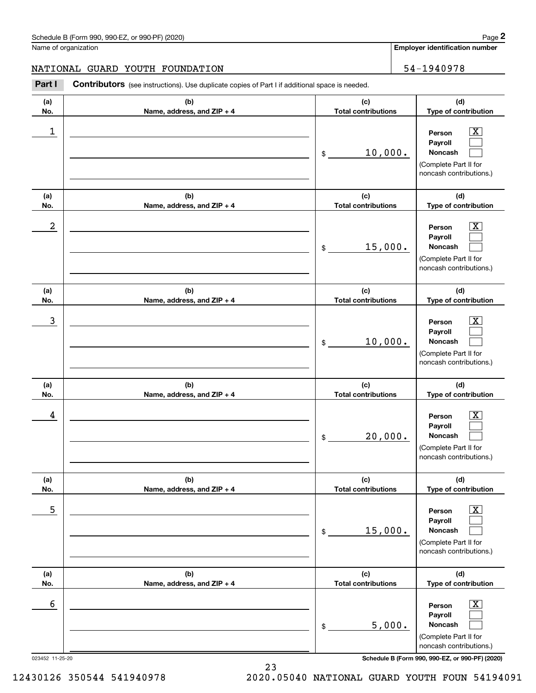**Employer identification number**

### NATIONAL GUARD YOUTH FOUNDATION | 54-1940978

Chedule B (Form 990, 990-EZ, or 990-PF) (2020)<br> **2020 ame of organization number**<br> **24-1940978**<br> **24-1940978**<br> **24-1940978**<br> **24-1940978** 

| (a) | (b)                        | (c)                        | (d)                                                                                                         |
|-----|----------------------------|----------------------------|-------------------------------------------------------------------------------------------------------------|
| No. | Name, address, and ZIP + 4 | <b>Total contributions</b> | Type of contribution                                                                                        |
| 1   |                            | 10,000.<br>\$              | X<br>Person<br>Payroll<br>Noncash<br>(Complete Part II for<br>noncash contributions.)                       |
| (a) | (b)                        | (c)                        | (d)                                                                                                         |
| No. | Name, address, and ZIP + 4 | <b>Total contributions</b> | Type of contribution                                                                                        |
| 2   |                            | 15,000.<br>\$              | x<br>Person<br>Payroll<br>Noncash<br>(Complete Part II for<br>noncash contributions.)                       |
| (a) | (b)                        | (c)                        | (d)                                                                                                         |
| No. | Name, address, and ZIP + 4 | <b>Total contributions</b> | Type of contribution                                                                                        |
| 3   |                            | 10,000.<br>\$              | x<br>Person<br>Payroll<br>Noncash<br>(Complete Part II for<br>noncash contributions.)                       |
| (a) | (b)                        | (c)                        | (d)                                                                                                         |
| No. | Name, address, and ZIP + 4 | <b>Total contributions</b> | Type of contribution                                                                                        |
| 4   |                            | 20,000.<br>\$              | x<br>Person<br>Payroll<br>Noncash<br>(Complete Part II for<br>noncash contributions.)                       |
| (a) | (b)                        | (c)                        | (d)                                                                                                         |
| No. | Name, address, and ZIP + 4 | <b>Total contributions</b> | Type of contribution                                                                                        |
| 5   |                            | 15,000.<br>$\$$            | $\overline{\mathbf{X}}$<br>Person<br>Payroll<br>Noncash<br>(Complete Part II for<br>noncash contributions.) |
| (a) | (b)                        | (c)                        | (d)                                                                                                         |
| No. | Name, address, and ZIP + 4 | <b>Total contributions</b> | Type of contribution                                                                                        |
| 6   |                            | 5,000.<br>\$               | $\overline{\mathbf{X}}$<br>Person<br>Payroll<br>Noncash<br>(Complete Part II for                            |

023452 11-25-20 **Schedule B (Form 990, 990-EZ, or 990-PF) (2020)**

12430126 350544 541940978 2020.05040 NATIONAL GUARD YOUTH FOUN 54194091

23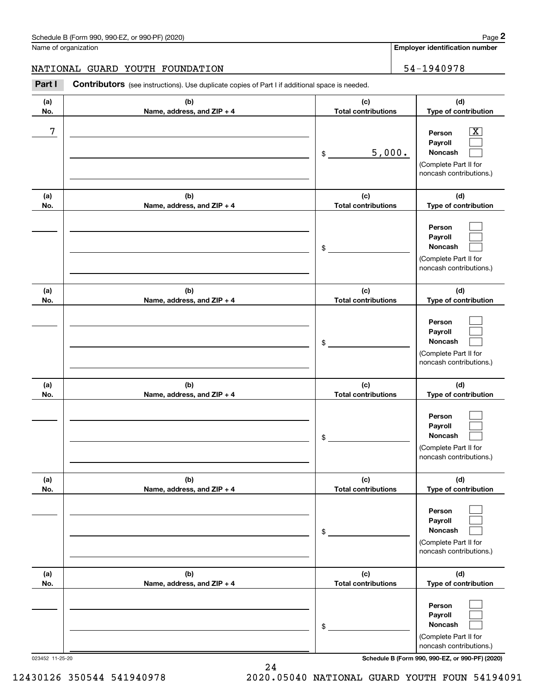**Employer identification number**

### NATIONAL GUARD YOUTH FOUNDATION | 54-1940978

Contributors (see instructions). Use duplicate copies of Part I if additional space is needed. Chedule B (Form 990, 990-EZ, or 990-PF) (2020)<br> **2Page 2** Employer identification number<br> **2Part I** Contributors (see instructions). Use duplicate copies of Part I if additional space is needed.<br>
2Part I Contributors (see

| (a)<br>No. | (b)<br>Name, address, and ZIP + 4 | (c)<br><b>Total contributions</b> | (d)<br>Type of contribution                                                                                 |
|------------|-----------------------------------|-----------------------------------|-------------------------------------------------------------------------------------------------------------|
| 7          |                                   | 5,000.<br>\$                      | $\overline{\mathbf{X}}$<br>Person<br>Payroll<br>Noncash<br>(Complete Part II for<br>noncash contributions.) |
| (a)<br>No. | (b)<br>Name, address, and ZIP + 4 | (c)<br><b>Total contributions</b> | (d)<br>Type of contribution                                                                                 |
|            |                                   | \$                                | Person<br>Payroll<br>Noncash<br>(Complete Part II for<br>noncash contributions.)                            |
| (a)<br>No. | (b)<br>Name, address, and ZIP + 4 | (c)<br><b>Total contributions</b> | (d)<br>Type of contribution                                                                                 |
|            |                                   | \$                                | Person<br>Payroll<br>Noncash<br>(Complete Part II for<br>noncash contributions.)                            |
| (a)<br>No. | (b)<br>Name, address, and ZIP + 4 | (c)<br><b>Total contributions</b> | (d)<br>Type of contribution                                                                                 |
|            |                                   | \$                                | Person<br>Payroll<br>Noncash<br>(Complete Part II for<br>noncash contributions.)                            |
| (a)<br>No. | (b)<br>Name, address, and ZIP + 4 | (c)<br><b>Total contributions</b> | (d)<br>Type of contribution                                                                                 |
|            |                                   | \$                                | Person<br>Payroll<br>Noncash<br>(Complete Part II for<br>noncash contributions.)                            |
| (a)<br>No. | (b)<br>Name, address, and ZIP + 4 | (c)<br><b>Total contributions</b> | (d)<br>Type of contribution                                                                                 |
|            |                                   | \$                                | Person<br>Payroll<br>Noncash<br>(Complete Part II for<br>noncash contributions.)                            |

023452 11-25-20 **Schedule B (Form 990, 990-EZ, or 990-PF) (2020)**

12430126 350544 541940978 2020.05040 NATIONAL GUARD YOUTH FOUN 54194091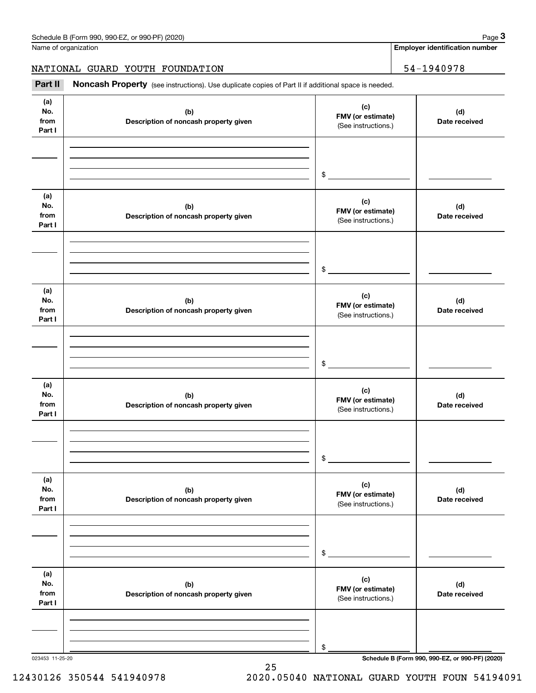**Employer identification number**

NATIONAL GUARD YOUTH FOUNDATION | 54-1940978

Chedule B (Form 990, 990-EZ, or 990-PF) (2020)<br> **2020 Alame of organization**<br> **34-1940978**<br> **34-1940978**<br> **134-1940978**<br> **134-1940978** 

| (a)<br>No.<br>from<br>Part I | (b)<br>Description of noncash property given | (c)<br>FMV (or estimate)<br>(See instructions.) | (d)<br>Date received |
|------------------------------|----------------------------------------------|-------------------------------------------------|----------------------|
|                              |                                              |                                                 |                      |
|                              |                                              | $$\overbrace{\hspace{2.5cm}}$                   |                      |
| (a)<br>No.<br>from<br>Part I | (b)<br>Description of noncash property given | (c)<br>FMV (or estimate)<br>(See instructions.) | (d)<br>Date received |
|                              |                                              |                                                 |                      |
|                              |                                              |                                                 |                      |
|                              |                                              |                                                 |                      |
|                              |                                              | $\frac{1}{2}$                                   |                      |
| (a)<br>No.<br>from<br>Part I | (b)<br>Description of noncash property given | (c)<br>FMV (or estimate)<br>(See instructions.) | (d)<br>Date received |
|                              |                                              |                                                 |                      |
|                              |                                              |                                                 |                      |
|                              |                                              |                                                 |                      |
|                              |                                              | $$\overbrace{\hspace{2.5cm}}$                   |                      |
| (a)<br>No.<br>from<br>Part I | (b)<br>Description of noncash property given | (c)<br>FMV (or estimate)<br>(See instructions.) | (d)<br>Date received |
|                              |                                              |                                                 |                      |
|                              |                                              |                                                 |                      |
|                              |                                              |                                                 |                      |
|                              |                                              | \$                                              |                      |
| (a)<br>No.<br>from<br>Part I | (b)<br>Description of noncash property given | (c)<br>FMV (or estimate)<br>(See instructions.) | (d)<br>Date received |
|                              |                                              |                                                 |                      |
|                              |                                              |                                                 |                      |
|                              |                                              |                                                 |                      |
|                              |                                              | $\,$                                            |                      |
| (a)                          |                                              |                                                 |                      |
| No.                          | (b)                                          | (c)<br>FMV (or estimate)                        | (d)                  |
| from<br>Part I               | Description of noncash property given        | (See instructions.)                             | Date received        |
|                              |                                              |                                                 |                      |
|                              |                                              |                                                 |                      |
|                              |                                              |                                                 |                      |
|                              |                                              | \$                                              |                      |

25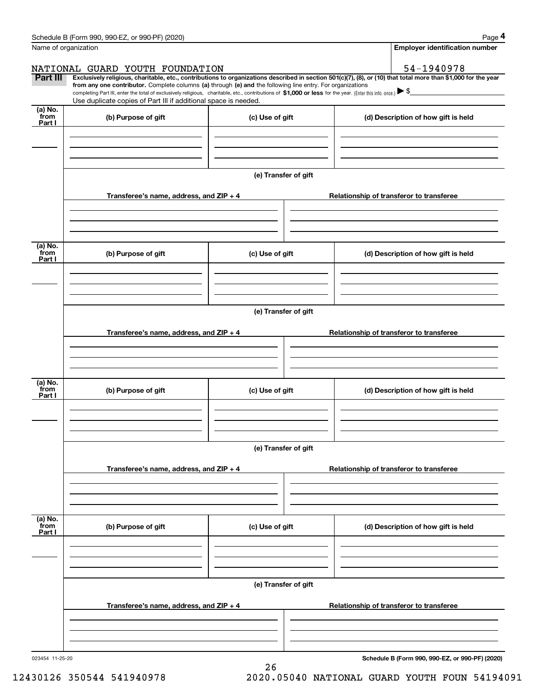|                      | Schedule B (Form 990, 990-EZ, or 990-PF) (2020)                                                                                                                                                                                                      |                      | Page 4                                                                                                                                                         |  |  |  |
|----------------------|------------------------------------------------------------------------------------------------------------------------------------------------------------------------------------------------------------------------------------------------------|----------------------|----------------------------------------------------------------------------------------------------------------------------------------------------------------|--|--|--|
| Name of organization |                                                                                                                                                                                                                                                      |                      | <b>Employer identification number</b>                                                                                                                          |  |  |  |
|                      | NATIONAL GUARD YOUTH FOUNDATION                                                                                                                                                                                                                      |                      | 54-1940978                                                                                                                                                     |  |  |  |
| Part III             | from any one contributor. Complete columns (a) through (e) and the following line entry. For organizations                                                                                                                                           |                      | Exclusively religious, charitable, etc., contributions to organizations described in section 501(c)(7), (8), or (10) that total more than \$1,000 for the year |  |  |  |
|                      | completing Part III, enter the total of exclusively religious, charitable, etc., contributions of \$1,000 or less for the year. (Enter this info. once.) $\blacktriangleright$ \$<br>Use duplicate copies of Part III if additional space is needed. |                      |                                                                                                                                                                |  |  |  |
| (a) No.              |                                                                                                                                                                                                                                                      |                      |                                                                                                                                                                |  |  |  |
| from<br>Part I       | (b) Purpose of gift                                                                                                                                                                                                                                  | (c) Use of gift      | (d) Description of how gift is held                                                                                                                            |  |  |  |
|                      |                                                                                                                                                                                                                                                      |                      |                                                                                                                                                                |  |  |  |
|                      |                                                                                                                                                                                                                                                      |                      |                                                                                                                                                                |  |  |  |
|                      |                                                                                                                                                                                                                                                      |                      |                                                                                                                                                                |  |  |  |
|                      |                                                                                                                                                                                                                                                      | (e) Transfer of gift |                                                                                                                                                                |  |  |  |
|                      | Transferee's name, address, and ZIP + 4                                                                                                                                                                                                              |                      | Relationship of transferor to transferee                                                                                                                       |  |  |  |
|                      |                                                                                                                                                                                                                                                      |                      |                                                                                                                                                                |  |  |  |
|                      |                                                                                                                                                                                                                                                      |                      |                                                                                                                                                                |  |  |  |
|                      |                                                                                                                                                                                                                                                      |                      |                                                                                                                                                                |  |  |  |
| (a) No.<br>from      | (b) Purpose of gift                                                                                                                                                                                                                                  | (c) Use of gift      | (d) Description of how gift is held                                                                                                                            |  |  |  |
| Part I               |                                                                                                                                                                                                                                                      |                      |                                                                                                                                                                |  |  |  |
|                      |                                                                                                                                                                                                                                                      |                      |                                                                                                                                                                |  |  |  |
|                      |                                                                                                                                                                                                                                                      |                      |                                                                                                                                                                |  |  |  |
|                      |                                                                                                                                                                                                                                                      |                      |                                                                                                                                                                |  |  |  |
|                      | (e) Transfer of gift                                                                                                                                                                                                                                 |                      |                                                                                                                                                                |  |  |  |
|                      | Transferee's name, address, and ZIP + 4                                                                                                                                                                                                              |                      | Relationship of transferor to transferee                                                                                                                       |  |  |  |
|                      |                                                                                                                                                                                                                                                      |                      |                                                                                                                                                                |  |  |  |
|                      |                                                                                                                                                                                                                                                      |                      |                                                                                                                                                                |  |  |  |
| (a) No.              |                                                                                                                                                                                                                                                      |                      |                                                                                                                                                                |  |  |  |
| from<br>Part I       | (b) Purpose of gift                                                                                                                                                                                                                                  | (c) Use of gift      | (d) Description of how gift is held                                                                                                                            |  |  |  |
|                      |                                                                                                                                                                                                                                                      |                      |                                                                                                                                                                |  |  |  |
|                      |                                                                                                                                                                                                                                                      |                      |                                                                                                                                                                |  |  |  |
|                      |                                                                                                                                                                                                                                                      |                      |                                                                                                                                                                |  |  |  |
|                      |                                                                                                                                                                                                                                                      | (e) Transfer of gift |                                                                                                                                                                |  |  |  |
|                      | Transferee's name, address, and ZIP + 4                                                                                                                                                                                                              |                      | Relationship of transferor to transferee                                                                                                                       |  |  |  |
|                      |                                                                                                                                                                                                                                                      |                      |                                                                                                                                                                |  |  |  |
|                      |                                                                                                                                                                                                                                                      |                      |                                                                                                                                                                |  |  |  |
|                      |                                                                                                                                                                                                                                                      |                      |                                                                                                                                                                |  |  |  |
| (a) No.<br>from      | (b) Purpose of gift                                                                                                                                                                                                                                  | (c) Use of gift      | (d) Description of how gift is held                                                                                                                            |  |  |  |
| Part I               |                                                                                                                                                                                                                                                      |                      |                                                                                                                                                                |  |  |  |
|                      |                                                                                                                                                                                                                                                      |                      |                                                                                                                                                                |  |  |  |
|                      |                                                                                                                                                                                                                                                      |                      |                                                                                                                                                                |  |  |  |
|                      |                                                                                                                                                                                                                                                      | (e) Transfer of gift |                                                                                                                                                                |  |  |  |
|                      |                                                                                                                                                                                                                                                      |                      |                                                                                                                                                                |  |  |  |
|                      | Transferee's name, address, and $ZIP + 4$                                                                                                                                                                                                            |                      | Relationship of transferor to transferee                                                                                                                       |  |  |  |
|                      |                                                                                                                                                                                                                                                      |                      |                                                                                                                                                                |  |  |  |
|                      |                                                                                                                                                                                                                                                      |                      |                                                                                                                                                                |  |  |  |
|                      |                                                                                                                                                                                                                                                      |                      |                                                                                                                                                                |  |  |  |

26

**Schedule B (Form 990, 990-EZ, or 990-PF) (2020)**

12430126 350544 541940978 2020.05040 NATIONAL GUARD YOUTH FOUN 54194091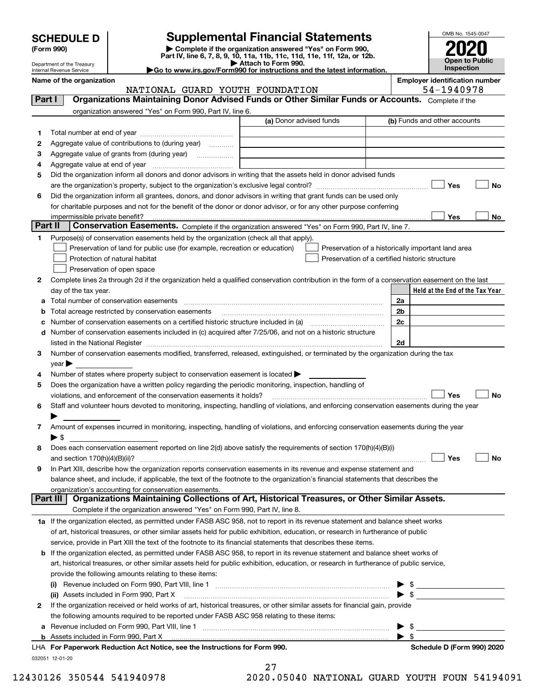| <b>SCHEDULE D</b> |  |
|-------------------|--|
|-------------------|--|

| (Form 990) |  |
|------------|--|
|------------|--|

## **SCHEDULE D Supplemental Financial Statements**

(Form 990)<br>
Pepartment of the Treasury<br>
Department of the Treasury<br>
Department of the Treasury<br>
Department of the Treasury<br> **Co to www.irs.gov/Form990 for instructions and the latest information.**<br> **Co to www.irs.gov/Form9** 



Department of the Treasury Internal Revenue Service

Name of the organization<br> **Name of the organization**<br> **Employer identification number**<br> **Employer identification number** 

|         | NATIONAL GUARD YOUTH FOUNDATION                                                                                                                                                                                               |                         | 54-1940978                                                                                           |
|---------|-------------------------------------------------------------------------------------------------------------------------------------------------------------------------------------------------------------------------------|-------------------------|------------------------------------------------------------------------------------------------------|
| Part I  | Organizations Maintaining Donor Advised Funds or Other Similar Funds or Accounts. Complete if the                                                                                                                             |                         |                                                                                                      |
|         | organization answered "Yes" on Form 990, Part IV, line 6.                                                                                                                                                                     |                         |                                                                                                      |
|         |                                                                                                                                                                                                                               | (a) Donor advised funds | (b) Funds and other accounts                                                                         |
| 1       |                                                                                                                                                                                                                               |                         |                                                                                                      |
| 2       | Aggregate value of contributions to (during year)                                                                                                                                                                             |                         |                                                                                                      |
| 3       |                                                                                                                                                                                                                               |                         |                                                                                                      |
| 4       |                                                                                                                                                                                                                               |                         |                                                                                                      |
| 5       | Did the organization inform all donors and donor advisors in writing that the assets held in donor advised funds                                                                                                              |                         |                                                                                                      |
|         |                                                                                                                                                                                                                               |                         | Yes<br>No                                                                                            |
| 6       | Did the organization inform all grantees, donors, and donor advisors in writing that grant funds can be used only                                                                                                             |                         |                                                                                                      |
|         | for charitable purposes and not for the benefit of the donor or donor advisor, or for any other purpose conferring                                                                                                            |                         |                                                                                                      |
|         | impermissible private benefit?                                                                                                                                                                                                |                         | Yes<br>No                                                                                            |
| Part II | Conservation Easements. Complete if the organization answered "Yes" on Form 990, Part IV, line 7.                                                                                                                             |                         |                                                                                                      |
| 1.      | Purpose(s) of conservation easements held by the organization (check all that apply).                                                                                                                                         |                         |                                                                                                      |
|         |                                                                                                                                                                                                                               |                         |                                                                                                      |
|         | Preservation of land for public use (for example, recreation or education)                                                                                                                                                    |                         | Preservation of a historically important land area<br>Preservation of a certified historic structure |
|         | Protection of natural habitat                                                                                                                                                                                                 |                         |                                                                                                      |
|         | Preservation of open space                                                                                                                                                                                                    |                         |                                                                                                      |
| 2       | Complete lines 2a through 2d if the organization held a qualified conservation contribution in the form of a conservation easement on the last                                                                                |                         |                                                                                                      |
|         | day of the tax year.                                                                                                                                                                                                          |                         | Held at the End of the Tax Year                                                                      |
|         | a Total number of conservation easements                                                                                                                                                                                      |                         | 2a                                                                                                   |
|         | Total acreage restricted by conservation easements                                                                                                                                                                            |                         | 2 <sub>b</sub>                                                                                       |
| с       |                                                                                                                                                                                                                               |                         | 2c                                                                                                   |
|         | d Number of conservation easements included in (c) acquired after 7/25/06, and not on a historic structure                                                                                                                    |                         |                                                                                                      |
|         | listed in the National Register [111] Marshall Register [11] Marshall Register [11] Marshall Register [11] Marshall Register [11] Marshall Register [11] Marshall Register [11] Marshall Register [11] Marshall Register [11] |                         | 2d                                                                                                   |
| 3       | Number of conservation easements modified, transferred, released, extinguished, or terminated by the organization during the tax                                                                                              |                         |                                                                                                      |
|         | $year \triangleright$                                                                                                                                                                                                         |                         |                                                                                                      |
| 4       | Number of states where property subject to conservation easement is located >                                                                                                                                                 |                         |                                                                                                      |
| 5       | Does the organization have a written policy regarding the periodic monitoring, inspection, handling of                                                                                                                        |                         |                                                                                                      |
|         | violations, and enforcement of the conservation easements it holds?                                                                                                                                                           |                         | Yes<br>No                                                                                            |
| 6       | Staff and volunteer hours devoted to monitoring, inspecting, handling of violations, and enforcing conservation easements during the year                                                                                     |                         |                                                                                                      |
|         |                                                                                                                                                                                                                               |                         |                                                                                                      |
| 7       | Amount of expenses incurred in monitoring, inspecting, handling of violations, and enforcing conservation easements during the year                                                                                           |                         |                                                                                                      |
|         | ▶ \$                                                                                                                                                                                                                          |                         |                                                                                                      |
| 8       | Does each conservation easement reported on line 2(d) above satisfy the requirements of section 170(h)(4)(B)(i)                                                                                                               |                         |                                                                                                      |
|         | and section $170(h)(4)(B)(ii)?$                                                                                                                                                                                               |                         | Yes<br>No                                                                                            |
| 9       | In Part XIII, describe how the organization reports conservation easements in its revenue and expense statement and                                                                                                           |                         |                                                                                                      |
|         | balance sheet, and include, if applicable, the text of the footnote to the organization's financial statements that describes the                                                                                             |                         |                                                                                                      |
|         | organization's accounting for conservation easements.<br>Organizations Maintaining Collections of Art, Historical Treasures, or Other Similar Assets.                                                                         |                         |                                                                                                      |
|         | Part III                                                                                                                                                                                                                      |                         |                                                                                                      |
|         | Complete if the organization answered "Yes" on Form 990, Part IV, line 8.                                                                                                                                                     |                         |                                                                                                      |
|         | 1a If the organization elected, as permitted under FASB ASC 958, not to report in its revenue statement and balance sheet works                                                                                               |                         |                                                                                                      |
|         | of art, historical treasures, or other similar assets held for public exhibition, education, or research in furtherance of public                                                                                             |                         |                                                                                                      |
|         | service, provide in Part XIII the text of the footnote to its financial statements that describes these items.                                                                                                                |                         |                                                                                                      |
|         | b If the organization elected, as permitted under FASB ASC 958, to report in its revenue statement and balance sheet works of                                                                                                 |                         |                                                                                                      |
|         | art, historical treasures, or other similar assets held for public exhibition, education, or research in furtherance of public service,                                                                                       |                         |                                                                                                      |
|         | provide the following amounts relating to these items:                                                                                                                                                                        |                         |                                                                                                      |
|         |                                                                                                                                                                                                                               |                         | \$                                                                                                   |
|         | (ii) Assets included in Form 990, Part X                                                                                                                                                                                      |                         | $\blacktriangleright$ s                                                                              |
| 2       | If the organization received or held works of art, historical treasures, or other similar assets for financial gain, provide                                                                                                  |                         |                                                                                                      |
|         | the following amounts required to be reported under FASB ASC 958 relating to these items:                                                                                                                                     |                         |                                                                                                      |
| а       |                                                                                                                                                                                                                               |                         | \$                                                                                                   |
|         |                                                                                                                                                                                                                               |                         | $\blacktriangleright$ s                                                                              |
|         | LHA For Paperwork Reduction Act Notice, see the Instructions for Form 990.                                                                                                                                                    |                         | Schedule D (Form 990) 2020                                                                           |
|         | 032051 12-01-20                                                                                                                                                                                                               |                         |                                                                                                      |

27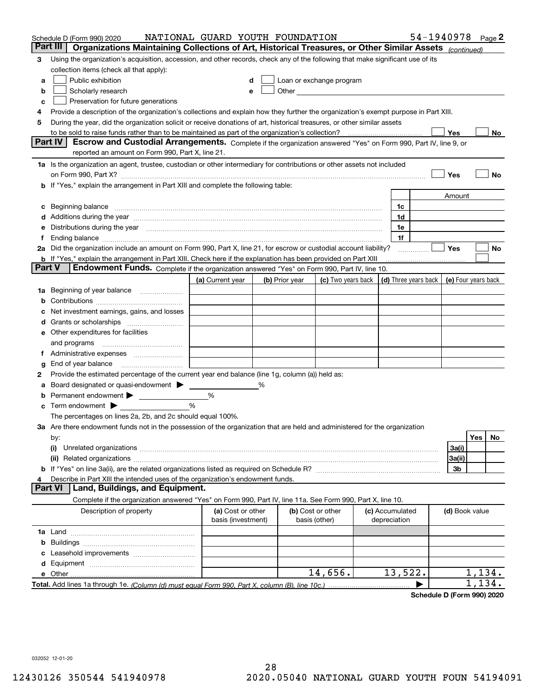| Part III<br>Organizations Maintaining Collections of Art, Historical Treasures, or Other Similar Assets (continued)<br>Using the organization's acquisition, accession, and other records, check any of the following that make significant use of its<br>3<br>collection items (check all that apply):<br>Public exhibition<br>Loan or exchange program<br>a<br>Other and the contract of the contract of the contract of the contract of the contract of the contract of the contract of the contract of the contract of the contract of the contract of the contract of the contract of the<br>Scholarly research<br>b<br>Preservation for future generations<br>с<br>Provide a description of the organization's collections and explain how they further the organization's exempt purpose in Part XIII.<br>4<br>During the year, did the organization solicit or receive donations of art, historical treasures, or other similar assets<br>5<br>to be sold to raise funds rather than to be maintained as part of the organization's collection?<br>Yes<br>No<br>Part IV<br>Escrow and Custodial Arrangements. Complete if the organization answered "Yes" on Form 990, Part IV, line 9, or<br>reported an amount on Form 990, Part X, line 21.<br>1a Is the organization an agent, trustee, custodian or other intermediary for contributions or other assets not included<br>Yes<br>No<br>on Form 990, Part X? <b>Entitled Strategie Control</b> and Terms and Terms and Terms and Terms and Terms and Terms and<br>If "Yes," explain the arrangement in Part XIII and complete the following table:<br>b<br>Amount<br>Beginning balance manufactured and contain an account of the state of the state of the state of the state of the state of the state of the state of the state of the state of the state of the state of the state of the state<br>1c<br>с<br>1d<br>Additions during the year manufactured and an account of the year manufactured and account of the year manufactured and account of the state of the state of the state of the state of the state of the state of the state of<br>1e<br>Distributions during the year manufactured and an extraordinary of the year manufactured and the year manufactured and the set of the set of the set of the set of the set of the set of the set of the set of the set of the<br>1f<br>Ending balance material continuum contract and a state of the contract of the contract of the contract of the contract of the contract of the contract of the contract of the contract of the contract of the contract of the<br>Ť.<br>2a Did the organization include an amount on Form 990, Part X, line 21, for escrow or custodial account liability?<br>Yes<br>No<br>.<br><b>b</b> If "Yes," explain the arrangement in Part XIII. Check here if the explanation has been provided on Part XIII<br>Part V<br>Endowment Funds. Complete if the organization answered "Yes" on Form 990, Part IV, line 10.<br>(d) Three years back<br>(c) Two years back<br>(e) Four years back<br>(a) Current year<br>(b) Prior year<br>Beginning of year balance<br>1a<br>b<br>Net investment earnings, gains, and losses<br>a<br>e Other expenditures for facilities<br>and programs<br>End of year balance<br>g<br>Provide the estimated percentage of the current year end balance (line 1g, column (a)) held as:<br>2<br>Board designated or quasi-endowment<br>%<br>а<br>Permanent endowment > 1<br>%<br>%<br>Term endowment $\blacktriangleright$<br>с<br>The percentages on lines 2a, 2b, and 2c should equal 100%.<br>3a Are there endowment funds not in the possession of the organization that are held and administered for the organization<br>Yes<br>No<br>by:<br>3a(i)<br>(i)<br>3a(ii)<br>3b<br>Describe in Part XIII the intended uses of the organization's endowment funds.<br>Land, Buildings, and Equipment.<br><b>Part VI</b><br>Complete if the organization answered "Yes" on Form 990, Part IV, line 11a. See Form 990, Part X, line 10.<br>Description of property<br>(a) Cost or other<br>(b) Cost or other<br>(c) Accumulated<br>(d) Book value<br>basis (investment)<br>basis (other)<br>depreciation<br>b<br>13,522.<br>14,656.<br>1,134.<br>134. | Schedule D (Form 990) 2020 | NATIONAL GUARD YOUTH FOUNDATION |  |  | 54-1940978 |  | Page $2$ |
|---------------------------------------------------------------------------------------------------------------------------------------------------------------------------------------------------------------------------------------------------------------------------------------------------------------------------------------------------------------------------------------------------------------------------------------------------------------------------------------------------------------------------------------------------------------------------------------------------------------------------------------------------------------------------------------------------------------------------------------------------------------------------------------------------------------------------------------------------------------------------------------------------------------------------------------------------------------------------------------------------------------------------------------------------------------------------------------------------------------------------------------------------------------------------------------------------------------------------------------------------------------------------------------------------------------------------------------------------------------------------------------------------------------------------------------------------------------------------------------------------------------------------------------------------------------------------------------------------------------------------------------------------------------------------------------------------------------------------------------------------------------------------------------------------------------------------------------------------------------------------------------------------------------------------------------------------------------------------------------------------------------------------------------------------------------------------------------------------------------------------------------------------------------------------------------------------------------------------------------------------------------------------------------------------------------------------------------------------------------------------------------------------------------------------------------------------------------------------------------------------------------------------------------------------------------------------------------------------------------------------------------------------------------------------------------------------------------------------------------------------------------------------------------------------------------------------------------------------------------------------------------------------------------------------------------------------------------------------------------------------------------------------------------------------------------------------------------------------------------------------------------------------------------------------------------------------------------------------------------------------------------------------------------------------------------------------------------------------------------------------------------------------------------------------------------------------------------------------------------------------------------------------------------------------------------------------------------------------------------------------------------------------------------------------------------------------------------------------------------------------------------------------------------------------------------------------------------------------------------------------------------------------------------------------------------------------------------------------------------------------------------------------------------------------------------------------------------------------------------------------------------------------------------------------------------------------------------------------------------|----------------------------|---------------------------------|--|--|------------|--|----------|
|                                                                                                                                                                                                                                                                                                                                                                                                                                                                                                                                                                                                                                                                                                                                                                                                                                                                                                                                                                                                                                                                                                                                                                                                                                                                                                                                                                                                                                                                                                                                                                                                                                                                                                                                                                                                                                                                                                                                                                                                                                                                                                                                                                                                                                                                                                                                                                                                                                                                                                                                                                                                                                                                                                                                                                                                                                                                                                                                                                                                                                                                                                                                                                                                                                                                                                                                                                                                                                                                                                                                                                                                                                                                                                                                                                                                                                                                                                                                                                                                                                                                                                                                                                                                                                       |                            |                                 |  |  |            |  |          |
|                                                                                                                                                                                                                                                                                                                                                                                                                                                                                                                                                                                                                                                                                                                                                                                                                                                                                                                                                                                                                                                                                                                                                                                                                                                                                                                                                                                                                                                                                                                                                                                                                                                                                                                                                                                                                                                                                                                                                                                                                                                                                                                                                                                                                                                                                                                                                                                                                                                                                                                                                                                                                                                                                                                                                                                                                                                                                                                                                                                                                                                                                                                                                                                                                                                                                                                                                                                                                                                                                                                                                                                                                                                                                                                                                                                                                                                                                                                                                                                                                                                                                                                                                                                                                                       |                            |                                 |  |  |            |  |          |
|                                                                                                                                                                                                                                                                                                                                                                                                                                                                                                                                                                                                                                                                                                                                                                                                                                                                                                                                                                                                                                                                                                                                                                                                                                                                                                                                                                                                                                                                                                                                                                                                                                                                                                                                                                                                                                                                                                                                                                                                                                                                                                                                                                                                                                                                                                                                                                                                                                                                                                                                                                                                                                                                                                                                                                                                                                                                                                                                                                                                                                                                                                                                                                                                                                                                                                                                                                                                                                                                                                                                                                                                                                                                                                                                                                                                                                                                                                                                                                                                                                                                                                                                                                                                                                       |                            |                                 |  |  |            |  |          |
|                                                                                                                                                                                                                                                                                                                                                                                                                                                                                                                                                                                                                                                                                                                                                                                                                                                                                                                                                                                                                                                                                                                                                                                                                                                                                                                                                                                                                                                                                                                                                                                                                                                                                                                                                                                                                                                                                                                                                                                                                                                                                                                                                                                                                                                                                                                                                                                                                                                                                                                                                                                                                                                                                                                                                                                                                                                                                                                                                                                                                                                                                                                                                                                                                                                                                                                                                                                                                                                                                                                                                                                                                                                                                                                                                                                                                                                                                                                                                                                                                                                                                                                                                                                                                                       |                            |                                 |  |  |            |  |          |
|                                                                                                                                                                                                                                                                                                                                                                                                                                                                                                                                                                                                                                                                                                                                                                                                                                                                                                                                                                                                                                                                                                                                                                                                                                                                                                                                                                                                                                                                                                                                                                                                                                                                                                                                                                                                                                                                                                                                                                                                                                                                                                                                                                                                                                                                                                                                                                                                                                                                                                                                                                                                                                                                                                                                                                                                                                                                                                                                                                                                                                                                                                                                                                                                                                                                                                                                                                                                                                                                                                                                                                                                                                                                                                                                                                                                                                                                                                                                                                                                                                                                                                                                                                                                                                       |                            |                                 |  |  |            |  |          |
|                                                                                                                                                                                                                                                                                                                                                                                                                                                                                                                                                                                                                                                                                                                                                                                                                                                                                                                                                                                                                                                                                                                                                                                                                                                                                                                                                                                                                                                                                                                                                                                                                                                                                                                                                                                                                                                                                                                                                                                                                                                                                                                                                                                                                                                                                                                                                                                                                                                                                                                                                                                                                                                                                                                                                                                                                                                                                                                                                                                                                                                                                                                                                                                                                                                                                                                                                                                                                                                                                                                                                                                                                                                                                                                                                                                                                                                                                                                                                                                                                                                                                                                                                                                                                                       |                            |                                 |  |  |            |  |          |
|                                                                                                                                                                                                                                                                                                                                                                                                                                                                                                                                                                                                                                                                                                                                                                                                                                                                                                                                                                                                                                                                                                                                                                                                                                                                                                                                                                                                                                                                                                                                                                                                                                                                                                                                                                                                                                                                                                                                                                                                                                                                                                                                                                                                                                                                                                                                                                                                                                                                                                                                                                                                                                                                                                                                                                                                                                                                                                                                                                                                                                                                                                                                                                                                                                                                                                                                                                                                                                                                                                                                                                                                                                                                                                                                                                                                                                                                                                                                                                                                                                                                                                                                                                                                                                       |                            |                                 |  |  |            |  |          |
|                                                                                                                                                                                                                                                                                                                                                                                                                                                                                                                                                                                                                                                                                                                                                                                                                                                                                                                                                                                                                                                                                                                                                                                                                                                                                                                                                                                                                                                                                                                                                                                                                                                                                                                                                                                                                                                                                                                                                                                                                                                                                                                                                                                                                                                                                                                                                                                                                                                                                                                                                                                                                                                                                                                                                                                                                                                                                                                                                                                                                                                                                                                                                                                                                                                                                                                                                                                                                                                                                                                                                                                                                                                                                                                                                                                                                                                                                                                                                                                                                                                                                                                                                                                                                                       |                            |                                 |  |  |            |  |          |
|                                                                                                                                                                                                                                                                                                                                                                                                                                                                                                                                                                                                                                                                                                                                                                                                                                                                                                                                                                                                                                                                                                                                                                                                                                                                                                                                                                                                                                                                                                                                                                                                                                                                                                                                                                                                                                                                                                                                                                                                                                                                                                                                                                                                                                                                                                                                                                                                                                                                                                                                                                                                                                                                                                                                                                                                                                                                                                                                                                                                                                                                                                                                                                                                                                                                                                                                                                                                                                                                                                                                                                                                                                                                                                                                                                                                                                                                                                                                                                                                                                                                                                                                                                                                                                       |                            |                                 |  |  |            |  |          |
|                                                                                                                                                                                                                                                                                                                                                                                                                                                                                                                                                                                                                                                                                                                                                                                                                                                                                                                                                                                                                                                                                                                                                                                                                                                                                                                                                                                                                                                                                                                                                                                                                                                                                                                                                                                                                                                                                                                                                                                                                                                                                                                                                                                                                                                                                                                                                                                                                                                                                                                                                                                                                                                                                                                                                                                                                                                                                                                                                                                                                                                                                                                                                                                                                                                                                                                                                                                                                                                                                                                                                                                                                                                                                                                                                                                                                                                                                                                                                                                                                                                                                                                                                                                                                                       |                            |                                 |  |  |            |  |          |
|                                                                                                                                                                                                                                                                                                                                                                                                                                                                                                                                                                                                                                                                                                                                                                                                                                                                                                                                                                                                                                                                                                                                                                                                                                                                                                                                                                                                                                                                                                                                                                                                                                                                                                                                                                                                                                                                                                                                                                                                                                                                                                                                                                                                                                                                                                                                                                                                                                                                                                                                                                                                                                                                                                                                                                                                                                                                                                                                                                                                                                                                                                                                                                                                                                                                                                                                                                                                                                                                                                                                                                                                                                                                                                                                                                                                                                                                                                                                                                                                                                                                                                                                                                                                                                       |                            |                                 |  |  |            |  |          |
|                                                                                                                                                                                                                                                                                                                                                                                                                                                                                                                                                                                                                                                                                                                                                                                                                                                                                                                                                                                                                                                                                                                                                                                                                                                                                                                                                                                                                                                                                                                                                                                                                                                                                                                                                                                                                                                                                                                                                                                                                                                                                                                                                                                                                                                                                                                                                                                                                                                                                                                                                                                                                                                                                                                                                                                                                                                                                                                                                                                                                                                                                                                                                                                                                                                                                                                                                                                                                                                                                                                                                                                                                                                                                                                                                                                                                                                                                                                                                                                                                                                                                                                                                                                                                                       |                            |                                 |  |  |            |  |          |
|                                                                                                                                                                                                                                                                                                                                                                                                                                                                                                                                                                                                                                                                                                                                                                                                                                                                                                                                                                                                                                                                                                                                                                                                                                                                                                                                                                                                                                                                                                                                                                                                                                                                                                                                                                                                                                                                                                                                                                                                                                                                                                                                                                                                                                                                                                                                                                                                                                                                                                                                                                                                                                                                                                                                                                                                                                                                                                                                                                                                                                                                                                                                                                                                                                                                                                                                                                                                                                                                                                                                                                                                                                                                                                                                                                                                                                                                                                                                                                                                                                                                                                                                                                                                                                       |                            |                                 |  |  |            |  |          |
|                                                                                                                                                                                                                                                                                                                                                                                                                                                                                                                                                                                                                                                                                                                                                                                                                                                                                                                                                                                                                                                                                                                                                                                                                                                                                                                                                                                                                                                                                                                                                                                                                                                                                                                                                                                                                                                                                                                                                                                                                                                                                                                                                                                                                                                                                                                                                                                                                                                                                                                                                                                                                                                                                                                                                                                                                                                                                                                                                                                                                                                                                                                                                                                                                                                                                                                                                                                                                                                                                                                                                                                                                                                                                                                                                                                                                                                                                                                                                                                                                                                                                                                                                                                                                                       |                            |                                 |  |  |            |  |          |
|                                                                                                                                                                                                                                                                                                                                                                                                                                                                                                                                                                                                                                                                                                                                                                                                                                                                                                                                                                                                                                                                                                                                                                                                                                                                                                                                                                                                                                                                                                                                                                                                                                                                                                                                                                                                                                                                                                                                                                                                                                                                                                                                                                                                                                                                                                                                                                                                                                                                                                                                                                                                                                                                                                                                                                                                                                                                                                                                                                                                                                                                                                                                                                                                                                                                                                                                                                                                                                                                                                                                                                                                                                                                                                                                                                                                                                                                                                                                                                                                                                                                                                                                                                                                                                       |                            |                                 |  |  |            |  |          |
|                                                                                                                                                                                                                                                                                                                                                                                                                                                                                                                                                                                                                                                                                                                                                                                                                                                                                                                                                                                                                                                                                                                                                                                                                                                                                                                                                                                                                                                                                                                                                                                                                                                                                                                                                                                                                                                                                                                                                                                                                                                                                                                                                                                                                                                                                                                                                                                                                                                                                                                                                                                                                                                                                                                                                                                                                                                                                                                                                                                                                                                                                                                                                                                                                                                                                                                                                                                                                                                                                                                                                                                                                                                                                                                                                                                                                                                                                                                                                                                                                                                                                                                                                                                                                                       |                            |                                 |  |  |            |  |          |
|                                                                                                                                                                                                                                                                                                                                                                                                                                                                                                                                                                                                                                                                                                                                                                                                                                                                                                                                                                                                                                                                                                                                                                                                                                                                                                                                                                                                                                                                                                                                                                                                                                                                                                                                                                                                                                                                                                                                                                                                                                                                                                                                                                                                                                                                                                                                                                                                                                                                                                                                                                                                                                                                                                                                                                                                                                                                                                                                                                                                                                                                                                                                                                                                                                                                                                                                                                                                                                                                                                                                                                                                                                                                                                                                                                                                                                                                                                                                                                                                                                                                                                                                                                                                                                       |                            |                                 |  |  |            |  |          |
|                                                                                                                                                                                                                                                                                                                                                                                                                                                                                                                                                                                                                                                                                                                                                                                                                                                                                                                                                                                                                                                                                                                                                                                                                                                                                                                                                                                                                                                                                                                                                                                                                                                                                                                                                                                                                                                                                                                                                                                                                                                                                                                                                                                                                                                                                                                                                                                                                                                                                                                                                                                                                                                                                                                                                                                                                                                                                                                                                                                                                                                                                                                                                                                                                                                                                                                                                                                                                                                                                                                                                                                                                                                                                                                                                                                                                                                                                                                                                                                                                                                                                                                                                                                                                                       |                            |                                 |  |  |            |  |          |
|                                                                                                                                                                                                                                                                                                                                                                                                                                                                                                                                                                                                                                                                                                                                                                                                                                                                                                                                                                                                                                                                                                                                                                                                                                                                                                                                                                                                                                                                                                                                                                                                                                                                                                                                                                                                                                                                                                                                                                                                                                                                                                                                                                                                                                                                                                                                                                                                                                                                                                                                                                                                                                                                                                                                                                                                                                                                                                                                                                                                                                                                                                                                                                                                                                                                                                                                                                                                                                                                                                                                                                                                                                                                                                                                                                                                                                                                                                                                                                                                                                                                                                                                                                                                                                       |                            |                                 |  |  |            |  |          |
|                                                                                                                                                                                                                                                                                                                                                                                                                                                                                                                                                                                                                                                                                                                                                                                                                                                                                                                                                                                                                                                                                                                                                                                                                                                                                                                                                                                                                                                                                                                                                                                                                                                                                                                                                                                                                                                                                                                                                                                                                                                                                                                                                                                                                                                                                                                                                                                                                                                                                                                                                                                                                                                                                                                                                                                                                                                                                                                                                                                                                                                                                                                                                                                                                                                                                                                                                                                                                                                                                                                                                                                                                                                                                                                                                                                                                                                                                                                                                                                                                                                                                                                                                                                                                                       |                            |                                 |  |  |            |  |          |
|                                                                                                                                                                                                                                                                                                                                                                                                                                                                                                                                                                                                                                                                                                                                                                                                                                                                                                                                                                                                                                                                                                                                                                                                                                                                                                                                                                                                                                                                                                                                                                                                                                                                                                                                                                                                                                                                                                                                                                                                                                                                                                                                                                                                                                                                                                                                                                                                                                                                                                                                                                                                                                                                                                                                                                                                                                                                                                                                                                                                                                                                                                                                                                                                                                                                                                                                                                                                                                                                                                                                                                                                                                                                                                                                                                                                                                                                                                                                                                                                                                                                                                                                                                                                                                       |                            |                                 |  |  |            |  |          |
|                                                                                                                                                                                                                                                                                                                                                                                                                                                                                                                                                                                                                                                                                                                                                                                                                                                                                                                                                                                                                                                                                                                                                                                                                                                                                                                                                                                                                                                                                                                                                                                                                                                                                                                                                                                                                                                                                                                                                                                                                                                                                                                                                                                                                                                                                                                                                                                                                                                                                                                                                                                                                                                                                                                                                                                                                                                                                                                                                                                                                                                                                                                                                                                                                                                                                                                                                                                                                                                                                                                                                                                                                                                                                                                                                                                                                                                                                                                                                                                                                                                                                                                                                                                                                                       |                            |                                 |  |  |            |  |          |
|                                                                                                                                                                                                                                                                                                                                                                                                                                                                                                                                                                                                                                                                                                                                                                                                                                                                                                                                                                                                                                                                                                                                                                                                                                                                                                                                                                                                                                                                                                                                                                                                                                                                                                                                                                                                                                                                                                                                                                                                                                                                                                                                                                                                                                                                                                                                                                                                                                                                                                                                                                                                                                                                                                                                                                                                                                                                                                                                                                                                                                                                                                                                                                                                                                                                                                                                                                                                                                                                                                                                                                                                                                                                                                                                                                                                                                                                                                                                                                                                                                                                                                                                                                                                                                       |                            |                                 |  |  |            |  |          |
|                                                                                                                                                                                                                                                                                                                                                                                                                                                                                                                                                                                                                                                                                                                                                                                                                                                                                                                                                                                                                                                                                                                                                                                                                                                                                                                                                                                                                                                                                                                                                                                                                                                                                                                                                                                                                                                                                                                                                                                                                                                                                                                                                                                                                                                                                                                                                                                                                                                                                                                                                                                                                                                                                                                                                                                                                                                                                                                                                                                                                                                                                                                                                                                                                                                                                                                                                                                                                                                                                                                                                                                                                                                                                                                                                                                                                                                                                                                                                                                                                                                                                                                                                                                                                                       |                            |                                 |  |  |            |  |          |
|                                                                                                                                                                                                                                                                                                                                                                                                                                                                                                                                                                                                                                                                                                                                                                                                                                                                                                                                                                                                                                                                                                                                                                                                                                                                                                                                                                                                                                                                                                                                                                                                                                                                                                                                                                                                                                                                                                                                                                                                                                                                                                                                                                                                                                                                                                                                                                                                                                                                                                                                                                                                                                                                                                                                                                                                                                                                                                                                                                                                                                                                                                                                                                                                                                                                                                                                                                                                                                                                                                                                                                                                                                                                                                                                                                                                                                                                                                                                                                                                                                                                                                                                                                                                                                       |                            |                                 |  |  |            |  |          |
|                                                                                                                                                                                                                                                                                                                                                                                                                                                                                                                                                                                                                                                                                                                                                                                                                                                                                                                                                                                                                                                                                                                                                                                                                                                                                                                                                                                                                                                                                                                                                                                                                                                                                                                                                                                                                                                                                                                                                                                                                                                                                                                                                                                                                                                                                                                                                                                                                                                                                                                                                                                                                                                                                                                                                                                                                                                                                                                                                                                                                                                                                                                                                                                                                                                                                                                                                                                                                                                                                                                                                                                                                                                                                                                                                                                                                                                                                                                                                                                                                                                                                                                                                                                                                                       |                            |                                 |  |  |            |  |          |
|                                                                                                                                                                                                                                                                                                                                                                                                                                                                                                                                                                                                                                                                                                                                                                                                                                                                                                                                                                                                                                                                                                                                                                                                                                                                                                                                                                                                                                                                                                                                                                                                                                                                                                                                                                                                                                                                                                                                                                                                                                                                                                                                                                                                                                                                                                                                                                                                                                                                                                                                                                                                                                                                                                                                                                                                                                                                                                                                                                                                                                                                                                                                                                                                                                                                                                                                                                                                                                                                                                                                                                                                                                                                                                                                                                                                                                                                                                                                                                                                                                                                                                                                                                                                                                       |                            |                                 |  |  |            |  |          |
|                                                                                                                                                                                                                                                                                                                                                                                                                                                                                                                                                                                                                                                                                                                                                                                                                                                                                                                                                                                                                                                                                                                                                                                                                                                                                                                                                                                                                                                                                                                                                                                                                                                                                                                                                                                                                                                                                                                                                                                                                                                                                                                                                                                                                                                                                                                                                                                                                                                                                                                                                                                                                                                                                                                                                                                                                                                                                                                                                                                                                                                                                                                                                                                                                                                                                                                                                                                                                                                                                                                                                                                                                                                                                                                                                                                                                                                                                                                                                                                                                                                                                                                                                                                                                                       |                            |                                 |  |  |            |  |          |
|                                                                                                                                                                                                                                                                                                                                                                                                                                                                                                                                                                                                                                                                                                                                                                                                                                                                                                                                                                                                                                                                                                                                                                                                                                                                                                                                                                                                                                                                                                                                                                                                                                                                                                                                                                                                                                                                                                                                                                                                                                                                                                                                                                                                                                                                                                                                                                                                                                                                                                                                                                                                                                                                                                                                                                                                                                                                                                                                                                                                                                                                                                                                                                                                                                                                                                                                                                                                                                                                                                                                                                                                                                                                                                                                                                                                                                                                                                                                                                                                                                                                                                                                                                                                                                       |                            |                                 |  |  |            |  |          |
|                                                                                                                                                                                                                                                                                                                                                                                                                                                                                                                                                                                                                                                                                                                                                                                                                                                                                                                                                                                                                                                                                                                                                                                                                                                                                                                                                                                                                                                                                                                                                                                                                                                                                                                                                                                                                                                                                                                                                                                                                                                                                                                                                                                                                                                                                                                                                                                                                                                                                                                                                                                                                                                                                                                                                                                                                                                                                                                                                                                                                                                                                                                                                                                                                                                                                                                                                                                                                                                                                                                                                                                                                                                                                                                                                                                                                                                                                                                                                                                                                                                                                                                                                                                                                                       |                            |                                 |  |  |            |  |          |
|                                                                                                                                                                                                                                                                                                                                                                                                                                                                                                                                                                                                                                                                                                                                                                                                                                                                                                                                                                                                                                                                                                                                                                                                                                                                                                                                                                                                                                                                                                                                                                                                                                                                                                                                                                                                                                                                                                                                                                                                                                                                                                                                                                                                                                                                                                                                                                                                                                                                                                                                                                                                                                                                                                                                                                                                                                                                                                                                                                                                                                                                                                                                                                                                                                                                                                                                                                                                                                                                                                                                                                                                                                                                                                                                                                                                                                                                                                                                                                                                                                                                                                                                                                                                                                       |                            |                                 |  |  |            |  |          |
|                                                                                                                                                                                                                                                                                                                                                                                                                                                                                                                                                                                                                                                                                                                                                                                                                                                                                                                                                                                                                                                                                                                                                                                                                                                                                                                                                                                                                                                                                                                                                                                                                                                                                                                                                                                                                                                                                                                                                                                                                                                                                                                                                                                                                                                                                                                                                                                                                                                                                                                                                                                                                                                                                                                                                                                                                                                                                                                                                                                                                                                                                                                                                                                                                                                                                                                                                                                                                                                                                                                                                                                                                                                                                                                                                                                                                                                                                                                                                                                                                                                                                                                                                                                                                                       |                            |                                 |  |  |            |  |          |
|                                                                                                                                                                                                                                                                                                                                                                                                                                                                                                                                                                                                                                                                                                                                                                                                                                                                                                                                                                                                                                                                                                                                                                                                                                                                                                                                                                                                                                                                                                                                                                                                                                                                                                                                                                                                                                                                                                                                                                                                                                                                                                                                                                                                                                                                                                                                                                                                                                                                                                                                                                                                                                                                                                                                                                                                                                                                                                                                                                                                                                                                                                                                                                                                                                                                                                                                                                                                                                                                                                                                                                                                                                                                                                                                                                                                                                                                                                                                                                                                                                                                                                                                                                                                                                       |                            |                                 |  |  |            |  |          |
|                                                                                                                                                                                                                                                                                                                                                                                                                                                                                                                                                                                                                                                                                                                                                                                                                                                                                                                                                                                                                                                                                                                                                                                                                                                                                                                                                                                                                                                                                                                                                                                                                                                                                                                                                                                                                                                                                                                                                                                                                                                                                                                                                                                                                                                                                                                                                                                                                                                                                                                                                                                                                                                                                                                                                                                                                                                                                                                                                                                                                                                                                                                                                                                                                                                                                                                                                                                                                                                                                                                                                                                                                                                                                                                                                                                                                                                                                                                                                                                                                                                                                                                                                                                                                                       |                            |                                 |  |  |            |  |          |
|                                                                                                                                                                                                                                                                                                                                                                                                                                                                                                                                                                                                                                                                                                                                                                                                                                                                                                                                                                                                                                                                                                                                                                                                                                                                                                                                                                                                                                                                                                                                                                                                                                                                                                                                                                                                                                                                                                                                                                                                                                                                                                                                                                                                                                                                                                                                                                                                                                                                                                                                                                                                                                                                                                                                                                                                                                                                                                                                                                                                                                                                                                                                                                                                                                                                                                                                                                                                                                                                                                                                                                                                                                                                                                                                                                                                                                                                                                                                                                                                                                                                                                                                                                                                                                       |                            |                                 |  |  |            |  |          |
|                                                                                                                                                                                                                                                                                                                                                                                                                                                                                                                                                                                                                                                                                                                                                                                                                                                                                                                                                                                                                                                                                                                                                                                                                                                                                                                                                                                                                                                                                                                                                                                                                                                                                                                                                                                                                                                                                                                                                                                                                                                                                                                                                                                                                                                                                                                                                                                                                                                                                                                                                                                                                                                                                                                                                                                                                                                                                                                                                                                                                                                                                                                                                                                                                                                                                                                                                                                                                                                                                                                                                                                                                                                                                                                                                                                                                                                                                                                                                                                                                                                                                                                                                                                                                                       |                            |                                 |  |  |            |  |          |
|                                                                                                                                                                                                                                                                                                                                                                                                                                                                                                                                                                                                                                                                                                                                                                                                                                                                                                                                                                                                                                                                                                                                                                                                                                                                                                                                                                                                                                                                                                                                                                                                                                                                                                                                                                                                                                                                                                                                                                                                                                                                                                                                                                                                                                                                                                                                                                                                                                                                                                                                                                                                                                                                                                                                                                                                                                                                                                                                                                                                                                                                                                                                                                                                                                                                                                                                                                                                                                                                                                                                                                                                                                                                                                                                                                                                                                                                                                                                                                                                                                                                                                                                                                                                                                       |                            |                                 |  |  |            |  |          |
|                                                                                                                                                                                                                                                                                                                                                                                                                                                                                                                                                                                                                                                                                                                                                                                                                                                                                                                                                                                                                                                                                                                                                                                                                                                                                                                                                                                                                                                                                                                                                                                                                                                                                                                                                                                                                                                                                                                                                                                                                                                                                                                                                                                                                                                                                                                                                                                                                                                                                                                                                                                                                                                                                                                                                                                                                                                                                                                                                                                                                                                                                                                                                                                                                                                                                                                                                                                                                                                                                                                                                                                                                                                                                                                                                                                                                                                                                                                                                                                                                                                                                                                                                                                                                                       |                            |                                 |  |  |            |  |          |
|                                                                                                                                                                                                                                                                                                                                                                                                                                                                                                                                                                                                                                                                                                                                                                                                                                                                                                                                                                                                                                                                                                                                                                                                                                                                                                                                                                                                                                                                                                                                                                                                                                                                                                                                                                                                                                                                                                                                                                                                                                                                                                                                                                                                                                                                                                                                                                                                                                                                                                                                                                                                                                                                                                                                                                                                                                                                                                                                                                                                                                                                                                                                                                                                                                                                                                                                                                                                                                                                                                                                                                                                                                                                                                                                                                                                                                                                                                                                                                                                                                                                                                                                                                                                                                       |                            |                                 |  |  |            |  |          |
|                                                                                                                                                                                                                                                                                                                                                                                                                                                                                                                                                                                                                                                                                                                                                                                                                                                                                                                                                                                                                                                                                                                                                                                                                                                                                                                                                                                                                                                                                                                                                                                                                                                                                                                                                                                                                                                                                                                                                                                                                                                                                                                                                                                                                                                                                                                                                                                                                                                                                                                                                                                                                                                                                                                                                                                                                                                                                                                                                                                                                                                                                                                                                                                                                                                                                                                                                                                                                                                                                                                                                                                                                                                                                                                                                                                                                                                                                                                                                                                                                                                                                                                                                                                                                                       |                            |                                 |  |  |            |  |          |
|                                                                                                                                                                                                                                                                                                                                                                                                                                                                                                                                                                                                                                                                                                                                                                                                                                                                                                                                                                                                                                                                                                                                                                                                                                                                                                                                                                                                                                                                                                                                                                                                                                                                                                                                                                                                                                                                                                                                                                                                                                                                                                                                                                                                                                                                                                                                                                                                                                                                                                                                                                                                                                                                                                                                                                                                                                                                                                                                                                                                                                                                                                                                                                                                                                                                                                                                                                                                                                                                                                                                                                                                                                                                                                                                                                                                                                                                                                                                                                                                                                                                                                                                                                                                                                       |                            |                                 |  |  |            |  |          |
|                                                                                                                                                                                                                                                                                                                                                                                                                                                                                                                                                                                                                                                                                                                                                                                                                                                                                                                                                                                                                                                                                                                                                                                                                                                                                                                                                                                                                                                                                                                                                                                                                                                                                                                                                                                                                                                                                                                                                                                                                                                                                                                                                                                                                                                                                                                                                                                                                                                                                                                                                                                                                                                                                                                                                                                                                                                                                                                                                                                                                                                                                                                                                                                                                                                                                                                                                                                                                                                                                                                                                                                                                                                                                                                                                                                                                                                                                                                                                                                                                                                                                                                                                                                                                                       |                            |                                 |  |  |            |  |          |
|                                                                                                                                                                                                                                                                                                                                                                                                                                                                                                                                                                                                                                                                                                                                                                                                                                                                                                                                                                                                                                                                                                                                                                                                                                                                                                                                                                                                                                                                                                                                                                                                                                                                                                                                                                                                                                                                                                                                                                                                                                                                                                                                                                                                                                                                                                                                                                                                                                                                                                                                                                                                                                                                                                                                                                                                                                                                                                                                                                                                                                                                                                                                                                                                                                                                                                                                                                                                                                                                                                                                                                                                                                                                                                                                                                                                                                                                                                                                                                                                                                                                                                                                                                                                                                       |                            |                                 |  |  |            |  |          |
|                                                                                                                                                                                                                                                                                                                                                                                                                                                                                                                                                                                                                                                                                                                                                                                                                                                                                                                                                                                                                                                                                                                                                                                                                                                                                                                                                                                                                                                                                                                                                                                                                                                                                                                                                                                                                                                                                                                                                                                                                                                                                                                                                                                                                                                                                                                                                                                                                                                                                                                                                                                                                                                                                                                                                                                                                                                                                                                                                                                                                                                                                                                                                                                                                                                                                                                                                                                                                                                                                                                                                                                                                                                                                                                                                                                                                                                                                                                                                                                                                                                                                                                                                                                                                                       |                            |                                 |  |  |            |  |          |
|                                                                                                                                                                                                                                                                                                                                                                                                                                                                                                                                                                                                                                                                                                                                                                                                                                                                                                                                                                                                                                                                                                                                                                                                                                                                                                                                                                                                                                                                                                                                                                                                                                                                                                                                                                                                                                                                                                                                                                                                                                                                                                                                                                                                                                                                                                                                                                                                                                                                                                                                                                                                                                                                                                                                                                                                                                                                                                                                                                                                                                                                                                                                                                                                                                                                                                                                                                                                                                                                                                                                                                                                                                                                                                                                                                                                                                                                                                                                                                                                                                                                                                                                                                                                                                       |                            |                                 |  |  |            |  |          |
|                                                                                                                                                                                                                                                                                                                                                                                                                                                                                                                                                                                                                                                                                                                                                                                                                                                                                                                                                                                                                                                                                                                                                                                                                                                                                                                                                                                                                                                                                                                                                                                                                                                                                                                                                                                                                                                                                                                                                                                                                                                                                                                                                                                                                                                                                                                                                                                                                                                                                                                                                                                                                                                                                                                                                                                                                                                                                                                                                                                                                                                                                                                                                                                                                                                                                                                                                                                                                                                                                                                                                                                                                                                                                                                                                                                                                                                                                                                                                                                                                                                                                                                                                                                                                                       |                            |                                 |  |  |            |  |          |
|                                                                                                                                                                                                                                                                                                                                                                                                                                                                                                                                                                                                                                                                                                                                                                                                                                                                                                                                                                                                                                                                                                                                                                                                                                                                                                                                                                                                                                                                                                                                                                                                                                                                                                                                                                                                                                                                                                                                                                                                                                                                                                                                                                                                                                                                                                                                                                                                                                                                                                                                                                                                                                                                                                                                                                                                                                                                                                                                                                                                                                                                                                                                                                                                                                                                                                                                                                                                                                                                                                                                                                                                                                                                                                                                                                                                                                                                                                                                                                                                                                                                                                                                                                                                                                       |                            |                                 |  |  |            |  |          |
|                                                                                                                                                                                                                                                                                                                                                                                                                                                                                                                                                                                                                                                                                                                                                                                                                                                                                                                                                                                                                                                                                                                                                                                                                                                                                                                                                                                                                                                                                                                                                                                                                                                                                                                                                                                                                                                                                                                                                                                                                                                                                                                                                                                                                                                                                                                                                                                                                                                                                                                                                                                                                                                                                                                                                                                                                                                                                                                                                                                                                                                                                                                                                                                                                                                                                                                                                                                                                                                                                                                                                                                                                                                                                                                                                                                                                                                                                                                                                                                                                                                                                                                                                                                                                                       |                            |                                 |  |  |            |  |          |
|                                                                                                                                                                                                                                                                                                                                                                                                                                                                                                                                                                                                                                                                                                                                                                                                                                                                                                                                                                                                                                                                                                                                                                                                                                                                                                                                                                                                                                                                                                                                                                                                                                                                                                                                                                                                                                                                                                                                                                                                                                                                                                                                                                                                                                                                                                                                                                                                                                                                                                                                                                                                                                                                                                                                                                                                                                                                                                                                                                                                                                                                                                                                                                                                                                                                                                                                                                                                                                                                                                                                                                                                                                                                                                                                                                                                                                                                                                                                                                                                                                                                                                                                                                                                                                       |                            |                                 |  |  |            |  |          |
|                                                                                                                                                                                                                                                                                                                                                                                                                                                                                                                                                                                                                                                                                                                                                                                                                                                                                                                                                                                                                                                                                                                                                                                                                                                                                                                                                                                                                                                                                                                                                                                                                                                                                                                                                                                                                                                                                                                                                                                                                                                                                                                                                                                                                                                                                                                                                                                                                                                                                                                                                                                                                                                                                                                                                                                                                                                                                                                                                                                                                                                                                                                                                                                                                                                                                                                                                                                                                                                                                                                                                                                                                                                                                                                                                                                                                                                                                                                                                                                                                                                                                                                                                                                                                                       |                            |                                 |  |  |            |  |          |

**Schedule D (Form 990) 2020**

032052 12-01-20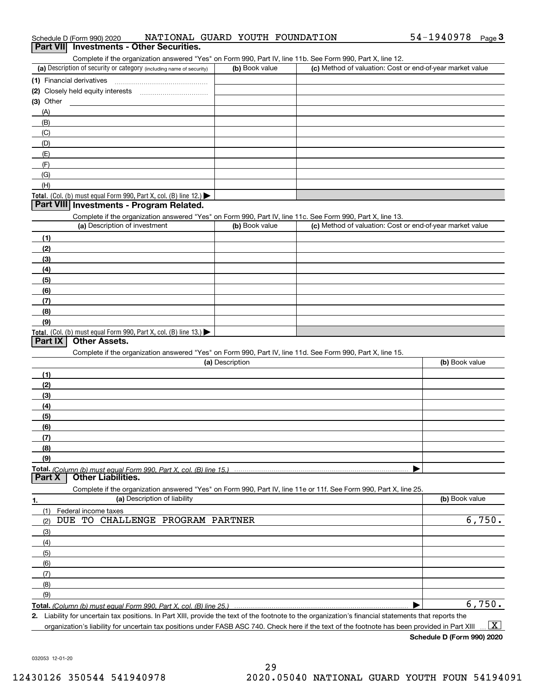| Complete if the organization answered "Yes" on Form 990, Part IV, line 11b. See Form 990, Part X, line 12.                                           |                 |                                                           |                |
|------------------------------------------------------------------------------------------------------------------------------------------------------|-----------------|-----------------------------------------------------------|----------------|
| (a) Description of security or category (including name of security)                                                                                 | (b) Book value  | (c) Method of valuation: Cost or end-of-year market value |                |
| (1) Financial derivatives                                                                                                                            |                 |                                                           |                |
| (2) Closely held equity interests                                                                                                                    |                 |                                                           |                |
| (3) Other                                                                                                                                            |                 |                                                           |                |
| (A)                                                                                                                                                  |                 |                                                           |                |
| (B)                                                                                                                                                  |                 |                                                           |                |
| (C)                                                                                                                                                  |                 |                                                           |                |
| (D)                                                                                                                                                  |                 |                                                           |                |
| (E)                                                                                                                                                  |                 |                                                           |                |
| (F)                                                                                                                                                  |                 |                                                           |                |
| (G)                                                                                                                                                  |                 |                                                           |                |
|                                                                                                                                                      |                 |                                                           |                |
| (H)                                                                                                                                                  |                 |                                                           |                |
| Total. (Col. (b) must equal Form 990, Part X, col. (B) line 12.)<br>Part VIII Investments - Program Related.                                         |                 |                                                           |                |
|                                                                                                                                                      |                 |                                                           |                |
| Complete if the organization answered "Yes" on Form 990, Part IV, line 11c. See Form 990, Part X, line 13.                                           |                 |                                                           |                |
| (a) Description of investment                                                                                                                        | (b) Book value  | (c) Method of valuation: Cost or end-of-year market value |                |
| (1)                                                                                                                                                  |                 |                                                           |                |
| (2)                                                                                                                                                  |                 |                                                           |                |
| (3)                                                                                                                                                  |                 |                                                           |                |
| (4)                                                                                                                                                  |                 |                                                           |                |
| (5)                                                                                                                                                  |                 |                                                           |                |
| (6)                                                                                                                                                  |                 |                                                           |                |
| (7)                                                                                                                                                  |                 |                                                           |                |
| (8)                                                                                                                                                  |                 |                                                           |                |
| (9)                                                                                                                                                  |                 |                                                           |                |
| Total. (Col. (b) must equal Form 990, Part X, col. (B) line 13.)                                                                                     |                 |                                                           |                |
| <b>Other Assets.</b><br>Part IX                                                                                                                      |                 |                                                           |                |
| Complete if the organization answered "Yes" on Form 990, Part IV, line 11d. See Form 990, Part X, line 15.                                           |                 |                                                           |                |
|                                                                                                                                                      | (a) Description |                                                           | (b) Book value |
| (1)                                                                                                                                                  |                 |                                                           |                |
| (2)                                                                                                                                                  |                 |                                                           |                |
| (3)                                                                                                                                                  |                 |                                                           |                |
| (4)                                                                                                                                                  |                 |                                                           |                |
| (5)                                                                                                                                                  |                 |                                                           |                |
| (6)                                                                                                                                                  |                 |                                                           |                |
|                                                                                                                                                      |                 |                                                           |                |
| (7)<br>(8)                                                                                                                                           |                 |                                                           |                |
|                                                                                                                                                      |                 |                                                           |                |
| (9)                                                                                                                                                  |                 |                                                           |                |
| <b>Other Liabilities.</b><br>Part X                                                                                                                  |                 |                                                           |                |
|                                                                                                                                                      |                 |                                                           |                |
| Complete if the organization answered "Yes" on Form 990, Part IV, line 11e or 11f. See Form 990, Part X, line 25.<br>(a) Description of liability    |                 |                                                           |                |
| 1.                                                                                                                                                   |                 |                                                           | (b) Book value |
| (1)<br>Federal income taxes                                                                                                                          |                 |                                                           |                |
| CHALLENGE PROGRAM PARTNER<br>DUE<br>TO<br>(2)                                                                                                        |                 |                                                           | 6,750.         |
| (3)                                                                                                                                                  |                 |                                                           |                |
| (4)                                                                                                                                                  |                 |                                                           |                |
| (5)                                                                                                                                                  |                 |                                                           |                |
| (6)                                                                                                                                                  |                 |                                                           |                |
| (7)                                                                                                                                                  |                 |                                                           |                |
| (8)                                                                                                                                                  |                 |                                                           |                |
| (9)                                                                                                                                                  |                 |                                                           |                |
|                                                                                                                                                      |                 |                                                           | 6,750.         |
| 2. Liability for uncertain tax positions. In Part XIII, provide the text of the footnote to the organization's financial statements that reports the |                 |                                                           |                |

032053 12-01-20

# Schedule D (Form 990) 2020 Page **3Part VII Investments - Other Securities.** NATIONAL GUARD YOUTH FOUNDATION

| (a) Description of security or category (including name of security)                 | (b) Book value | (c) Method of valuation: Cost or end-of-year market value |
|--------------------------------------------------------------------------------------|----------------|-----------------------------------------------------------|
| (1) Financial derivatives                                                            |                |                                                           |
| (2) Closely held equity interests                                                    |                |                                                           |
| (3) Other                                                                            |                |                                                           |
| (A)                                                                                  |                |                                                           |
| (B)                                                                                  |                |                                                           |
| (C)                                                                                  |                |                                                           |
| (D)                                                                                  |                |                                                           |
| (E)                                                                                  |                |                                                           |
| (F)                                                                                  |                |                                                           |
| (G)                                                                                  |                |                                                           |
| (H)                                                                                  |                |                                                           |
| $\blacksquare$ . I $(0,1,0)$ . If $(0,0,0,1)$ . I $(0,0,1)$ . In $(0,1)$ , $(0,0,1)$ |                |                                                           |

| (a) Description of investment                                              | (b) Book value | (c) Method of valuation: Cost or end-of-year market value |
|----------------------------------------------------------------------------|----------------|-----------------------------------------------------------|
| (1)                                                                        |                |                                                           |
| (2)                                                                        |                |                                                           |
| $\qquad \qquad (3)$                                                        |                |                                                           |
| (4)                                                                        |                |                                                           |
| $\frac{1}{2}$                                                              |                |                                                           |
| (6)                                                                        |                |                                                           |
| (7)                                                                        |                |                                                           |
| (8)                                                                        |                |                                                           |
| (9)                                                                        |                |                                                           |
| <b>Total.</b> (Col. (b) must equal Form 990, Part X, col. (B) line $13.$ ) |                |                                                           |

organization's liability for uncertain tax positions under FASB ASC 740. Check here if the text of the footnote has been provided in Part XIII  $\boxed{\text{X}}$ 

54-1940978 Page 3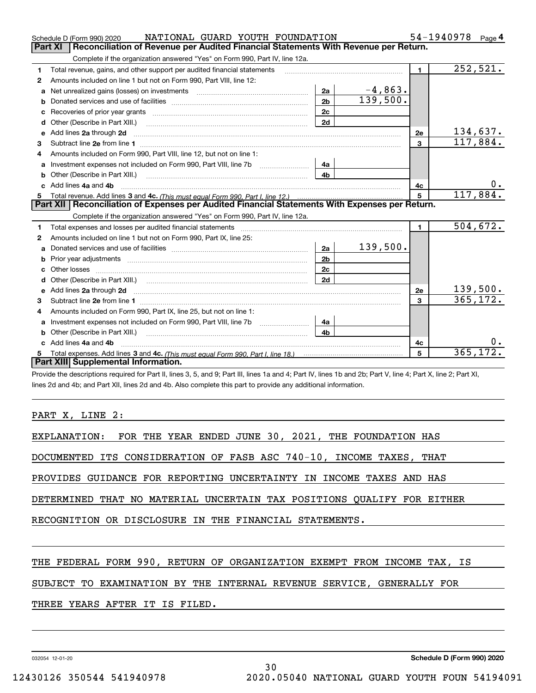|    | NATIONAL GUARD YOUTH FOUNDATION<br>Schedule D (Form 990) 2020                                                                                                                                                                  |                |           |                | 54-1940978<br>Page $4$ |
|----|--------------------------------------------------------------------------------------------------------------------------------------------------------------------------------------------------------------------------------|----------------|-----------|----------------|------------------------|
|    | Reconciliation of Revenue per Audited Financial Statements With Revenue per Return.<br>Part XI                                                                                                                                 |                |           |                |                        |
|    | Complete if the organization answered "Yes" on Form 990, Part IV, line 12a.                                                                                                                                                    |                |           |                |                        |
| 1  | Total revenue, gains, and other support per audited financial statements                                                                                                                                                       |                |           | $\mathbf{1}$   | 252,521.               |
| 2  | Amounts included on line 1 but not on Form 990, Part VIII, line 12:                                                                                                                                                            |                |           |                |                        |
| a  |                                                                                                                                                                                                                                | 2a             | $-4,863.$ |                |                        |
| b  |                                                                                                                                                                                                                                | 2 <sub>b</sub> | 139,500.  |                |                        |
|    |                                                                                                                                                                                                                                | 2 <sub>c</sub> |           |                |                        |
| d  | Other (Describe in Part XIII.) <b>Construction Contract Construction</b> Chern Construction Construction Construction                                                                                                          | 2d             |           |                |                        |
| e  | Add lines 2a through 2d                                                                                                                                                                                                        |                |           | 2e             | 134,637.               |
| 3  |                                                                                                                                                                                                                                |                |           | 3              | 117,884.               |
| 4  | Amounts included on Form 990, Part VIII, line 12, but not on line 1:                                                                                                                                                           |                |           |                |                        |
| a  | Investment expenses not included on Form 990, Part VIII, line 7b [111] [11] Investment expenses not included on Form 990, Part VIII, line 7b                                                                                   | 4a             |           |                |                        |
|    |                                                                                                                                                                                                                                | 4 <sub>b</sub> |           |                |                        |
|    | Add lines 4a and 4b                                                                                                                                                                                                            |                |           | 4c             | 0.                     |
| 5  |                                                                                                                                                                                                                                |                |           | 5              | 117,884.               |
|    | Part XII   Reconciliation of Expenses per Audited Financial Statements With Expenses per Return.                                                                                                                               |                |           |                |                        |
|    | Complete if the organization answered "Yes" on Form 990, Part IV, line 12a.                                                                                                                                                    |                |           |                |                        |
| 1  | Total expenses and losses per audited financial statements                                                                                                                                                                     |                |           | $\blacksquare$ | 504,672.               |
| 2  | Amounts included on line 1 but not on Form 990, Part IX, line 25:                                                                                                                                                              |                |           |                |                        |
|    |                                                                                                                                                                                                                                | 2a             | 139,500.  |                |                        |
| b  | Prior year adjustments information and continuum and contact the contract of the contract of the contract of the contract of the contract of the contract of the contract of the contract of the contract of the contract of t | 2 <sub>b</sub> |           |                |                        |
| c  |                                                                                                                                                                                                                                | 2c             |           |                |                        |
| d  | Other (Describe in Part XIII.) <b>Construction Construction</b> Chern Construction Chern Chern Chern Chern Chern Chern                                                                                                         | 2d             |           |                |                        |
| е  | Add lines 2a through 2d <b>must be a constructed as the constant of the constant of the constant of the construction</b>                                                                                                       |                |           | <b>2e</b>      | 139,500.               |
| 3  |                                                                                                                                                                                                                                |                |           | 3              | 365, 172.              |
| 4  | Amounts included on Form 990, Part IX, line 25, but not on line 1:                                                                                                                                                             |                |           |                |                        |
| a  | Investment expenses not included on Form 990, Part VIII, line 7b [1000000000000000000000000000000000                                                                                                                           | 4a             |           |                |                        |
| b  | Other (Describe in Part XIII.)                                                                                                                                                                                                 | 4 <sub>b</sub> |           |                |                        |
| c. | Add lines 4a and 4b                                                                                                                                                                                                            |                |           | 4c             | 0.                     |
| 5  |                                                                                                                                                                                                                                |                |           | 5              | 365, 172.              |
|    |                                                                                                                                                                                                                                |                |           |                |                        |
|    | Part XIII Supplemental Information.                                                                                                                                                                                            |                |           |                |                        |

Provide the descriptions required for Part II, lines 3, 5, and 9; Part III, lines 1a and 4; Part IV, lines 1b and 2b; Part X, line 4; Part X, line 2; Part XI, lines 2d and 4b; and Part XII, lines 2d and 4b. Also complete this part to provide any additional information.

PART X, LINE 2:

EXPLANATION: FOR THE YEAR ENDED JUNE 30, 2021, THE FOUNDATION HAS

DOCUMENTED ITS CONSIDERATION OF FASB ASC 740-10, INCOME TAXES, THAT

PROVIDES GUIDANCE FOR REPORTING UNCERTAINTY IN INCOME TAXES AND HAS

DETERMINED THAT NO MATERIAL UNCERTAIN TAX POSITIONS QUALIFY FOR EITHER

RECOGNITION OR DISCLOSURE IN THE FINANCIAL STATEMENTS.

THE FEDERAL FORM 990, RETURN OF ORGANIZATION EXEMPT FROM INCOME TAX, IS

30

SUBJECT TO EXAMINATION BY THE INTERNAL REVENUE SERVICE, GENERALLY FOR

THREE YEARS AFTER IT IS FILED.

032054 12-01-20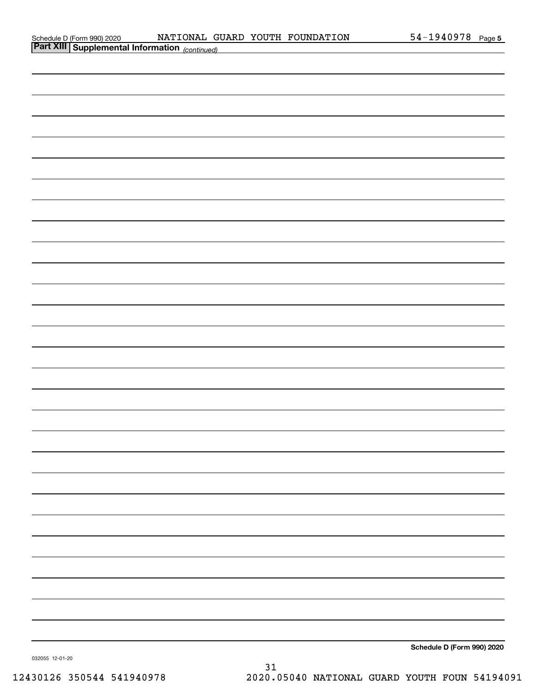| Schedule D (Form 990) 2020 |  |
|----------------------------|--|
|                            |  |

| <b>Part XIII Supplemental Information</b> (continued) |                            |
|-------------------------------------------------------|----------------------------|
|                                                       |                            |
|                                                       |                            |
|                                                       |                            |
|                                                       |                            |
|                                                       |                            |
|                                                       |                            |
|                                                       |                            |
|                                                       |                            |
|                                                       |                            |
|                                                       |                            |
|                                                       |                            |
|                                                       |                            |
|                                                       |                            |
|                                                       |                            |
|                                                       |                            |
|                                                       |                            |
|                                                       |                            |
|                                                       |                            |
|                                                       |                            |
|                                                       |                            |
|                                                       |                            |
|                                                       |                            |
|                                                       |                            |
|                                                       |                            |
|                                                       |                            |
|                                                       |                            |
|                                                       |                            |
|                                                       |                            |
|                                                       |                            |
|                                                       |                            |
|                                                       | Schedule D (Form 990) 2020 |

032055 12-01-20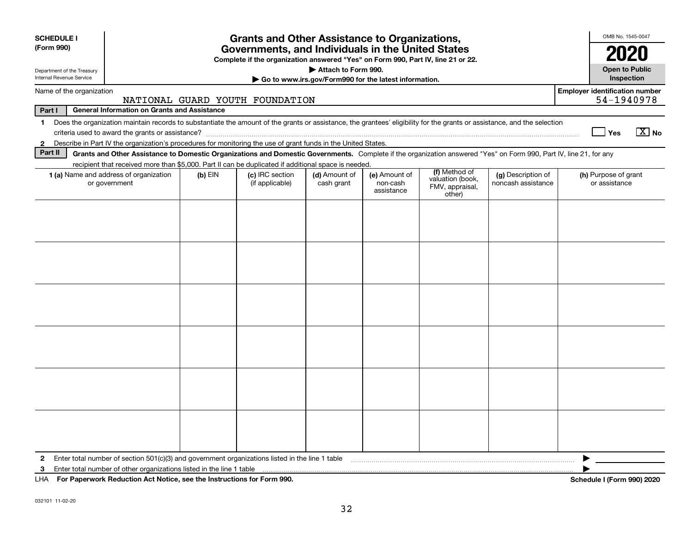| <b>SCHEDULE I</b><br>(Form 990)                        |                                                                                                                                                                                                                                                                           |           | <b>Grants and Other Assistance to Organizations,</b><br>Governments, and Individuals in the United States<br>Complete if the organization answered "Yes" on Form 990, Part IV, line 21 or 22. | Attach to Form 990.         |                                         |                                                                |                                          | OMB No. 1545-0047<br>2020<br><b>Open to Public</b> |  |
|--------------------------------------------------------|---------------------------------------------------------------------------------------------------------------------------------------------------------------------------------------------------------------------------------------------------------------------------|-----------|-----------------------------------------------------------------------------------------------------------------------------------------------------------------------------------------------|-----------------------------|-----------------------------------------|----------------------------------------------------------------|------------------------------------------|----------------------------------------------------|--|
| Department of the Treasury<br>Internal Revenue Service | Inspection<br>Go to www.irs.gov/Form990 for the latest information.                                                                                                                                                                                                       |           |                                                                                                                                                                                               |                             |                                         |                                                                |                                          |                                                    |  |
|                                                        | <b>Employer identification number</b><br>Name of the organization<br>54-1940978<br>NATIONAL GUARD YOUTH FOUNDATION                                                                                                                                                        |           |                                                                                                                                                                                               |                             |                                         |                                                                |                                          |                                                    |  |
| Part I                                                 | <b>General Information on Grants and Assistance</b>                                                                                                                                                                                                                       |           |                                                                                                                                                                                               |                             |                                         |                                                                |                                          |                                                    |  |
| $\mathbf{1}$                                           | Does the organization maintain records to substantiate the amount of the grants or assistance, the grantees' eligibility for the grants or assistance, and the selection                                                                                                  |           |                                                                                                                                                                                               |                             |                                         |                                                                |                                          | $\sqrt{X}$ No<br>Yes                               |  |
| $\mathbf{2}$<br>Part II                                | Describe in Part IV the organization's procedures for monitoring the use of grant funds in the United States.                                                                                                                                                             |           |                                                                                                                                                                                               |                             |                                         |                                                                |                                          |                                                    |  |
|                                                        | Grants and Other Assistance to Domestic Organizations and Domestic Governments. Complete if the organization answered "Yes" on Form 990, Part IV, line 21, for any<br>recipient that received more than \$5,000. Part II can be duplicated if additional space is needed. |           |                                                                                                                                                                                               |                             |                                         |                                                                |                                          |                                                    |  |
|                                                        | 1 (a) Name and address of organization<br>or government                                                                                                                                                                                                                   | $(b)$ EIN | (c) IRC section<br>(if applicable)                                                                                                                                                            | (d) Amount of<br>cash grant | (e) Amount of<br>non-cash<br>assistance | (f) Method of<br>valuation (book,<br>FMV, appraisal,<br>other) | (g) Description of<br>noncash assistance | (h) Purpose of grant<br>or assistance              |  |
|                                                        |                                                                                                                                                                                                                                                                           |           |                                                                                                                                                                                               |                             |                                         |                                                                |                                          |                                                    |  |
|                                                        |                                                                                                                                                                                                                                                                           |           |                                                                                                                                                                                               |                             |                                         |                                                                |                                          |                                                    |  |
|                                                        |                                                                                                                                                                                                                                                                           |           |                                                                                                                                                                                               |                             |                                         |                                                                |                                          |                                                    |  |
|                                                        |                                                                                                                                                                                                                                                                           |           |                                                                                                                                                                                               |                             |                                         |                                                                |                                          |                                                    |  |
|                                                        |                                                                                                                                                                                                                                                                           |           |                                                                                                                                                                                               |                             |                                         |                                                                |                                          |                                                    |  |
| $\mathbf{2}$<br>3                                      | Enter total number of section 501(c)(3) and government organizations listed in the line 1 table<br>Enter total number of other organizations listed in the line 1 table                                                                                                   |           |                                                                                                                                                                                               |                             |                                         |                                                                |                                          |                                                    |  |
|                                                        | LHA For Paperwork Reduction Act Notice, see the Instructions for Form 990.                                                                                                                                                                                                |           |                                                                                                                                                                                               |                             |                                         |                                                                |                                          | Schedule I (Form 990) 2020                         |  |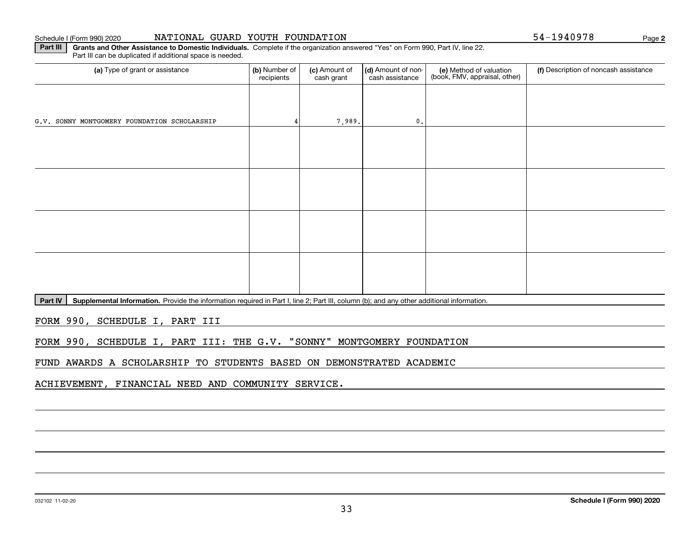#### Schedule I (Form 990) 2020 **NATIONAL GUARD YOUTH FOUNDATION** 54-1940978 Page

**2**

**Part III** | Grants and Other Assistance to Domestic Individuals. Complete if the organization answered "Yes" on Form 990, Part IV, line 22. Part III can be duplicated if additional space is needed.

| (b) Number of<br>recipients | (c) Amount of<br>cash grant | (d) Amount of non-<br>cash assistance | (e) Method of valuation<br>(book, FMV, appraisal, other) | (f) Description of noncash assistance |
|-----------------------------|-----------------------------|---------------------------------------|----------------------------------------------------------|---------------------------------------|
|                             |                             |                                       |                                                          |                                       |
|                             |                             | $\mathfrak o$ .                       |                                                          |                                       |
|                             |                             |                                       |                                                          |                                       |
|                             |                             |                                       |                                                          |                                       |
|                             |                             |                                       |                                                          |                                       |
|                             |                             |                                       |                                                          |                                       |
|                             |                             |                                       |                                                          |                                       |
|                             |                             |                                       |                                                          |                                       |
|                             |                             |                                       |                                                          |                                       |
|                             |                             |                                       |                                                          |                                       |
|                             |                             |                                       | 7,989.                                                   |                                       |

Part IV | Supplemental Information. Provide the information required in Part I, line 2; Part III, column (b); and any other additional information.

FORM 990, SCHEDULE I, PART III

FORM 990, SCHEDULE I, PART III: THE G.V. "SONNY" MONTGOMERY FOUNDATION

FUND AWARDS A SCHOLARSHIP TO STUDENTS BASED ON DEMONSTRATED ACADEMIC

ACHIEVEMENT, FINANCIAL NEED AND COMMUNITY SERVICE.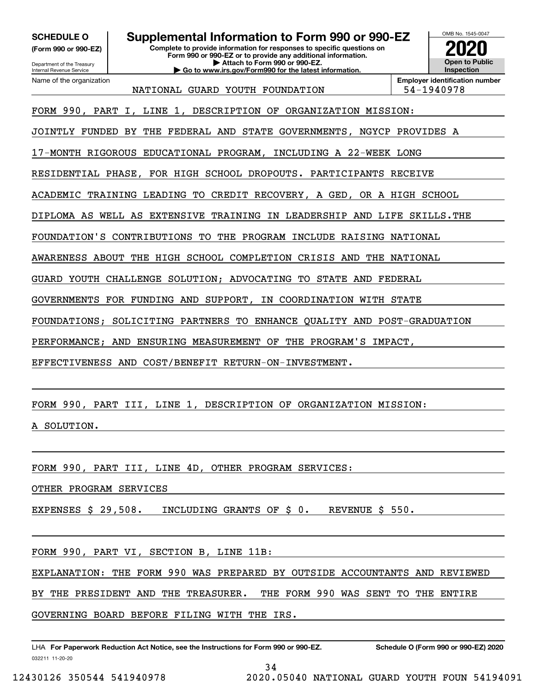**(Form 990 or 990-EZ)**

Department of the Treasury Internal Revenue Service Name of the organization

### **SCHEDULE O Supplemental Information to Form 990 or 990-EZ**

**Complete to provide information for responses to specific questions on Form 990 or 990-EZ or to provide any additional information. | Attach to Form 990 or 990-EZ. | Go to www.irs.gov/Form990 for the latest information.**



NATIONAL GUARD YOUTH FOUNDATION | 54-1940978

**Employer identification number**

FORM 990, PART I, LINE 1, DESCRIPTION OF ORGANIZATION MISSION:

JOINTLY FUNDED BY THE FEDERAL AND STATE GOVERNMENTS, NGYCP PROVIDES A

17-MONTH RIGOROUS EDUCATIONAL PROGRAM, INCLUDING A 22-WEEK LONG

RESIDENTIAL PHASE, FOR HIGH SCHOOL DROPOUTS. PARTICIPANTS RECEIVE

ACADEMIC TRAINING LEADING TO CREDIT RECOVERY, A GED, OR A HIGH SCHOOL

DIPLOMA AS WELL AS EXTENSIVE TRAINING IN LEADERSHIP AND LIFE SKILLS.THE

FOUNDATION'S CONTRIBUTIONS TO THE PROGRAM INCLUDE RAISING NATIONAL

AWARENESS ABOUT THE HIGH SCHOOL COMPLETION CRISIS AND THE NATIONAL

GUARD YOUTH CHALLENGE SOLUTION; ADVOCATING TO STATE AND FEDERAL

GOVERNMENTS FOR FUNDING AND SUPPORT, IN COORDINATION WITH STATE

FOUNDATIONS; SOLICITING PARTNERS TO ENHANCE QUALITY AND POST-GRADUATION

PERFORMANCE; AND ENSURING MEASUREMENT OF THE PROGRAM'S IMPACT,

EFFECTIVENESS AND COST/BENEFIT RETURN-ON-INVESTMENT.

FORM 990, PART III, LINE 1, DESCRIPTION OF ORGANIZATION MISSION:

A SOLUTION.

FORM 990, PART III, LINE 4D, OTHER PROGRAM SERVICES:

OTHER PROGRAM SERVICES

EXPENSES \$ 29,508. INCLUDING GRANTS OF \$ 0. REVENUE \$ 550.

FORM 990, PART VI, SECTION B, LINE 11B:

EXPLANATION: THE FORM 990 WAS PREPARED BY OUTSIDE ACCOUNTANTS AND REVIEWED

BY THE PRESIDENT AND THE TREASURER. THE FORM 990 WAS SENT TO THE ENTIRE

GOVERNING BOARD BEFORE FILING WITH THE IRS.

032211 11-20-20 LHA For Paperwork Reduction Act Notice, see the Instructions for Form 990 or 990-EZ. Schedule O (Form 990 or 990-EZ) 2020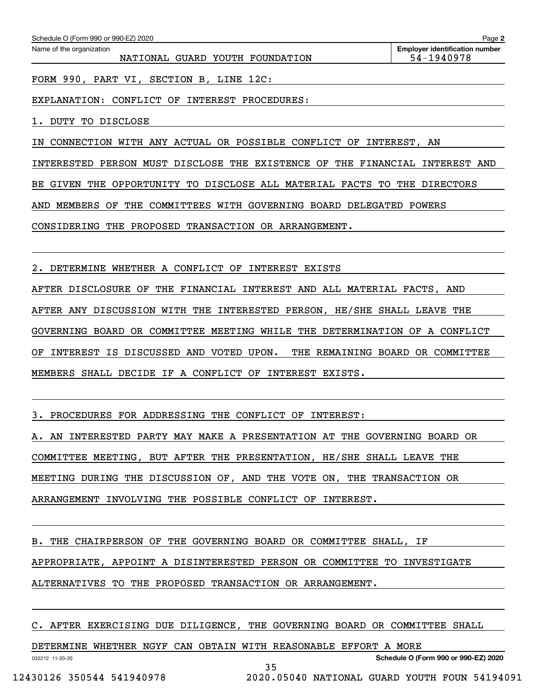| Schedule O (Form 990 or 990-EZ) 2020                                  | Page 2                                              |
|-----------------------------------------------------------------------|-----------------------------------------------------|
| Name of the organization<br>NATIONAL GUARD YOUTH FOUNDATION           | <b>Employer identification number</b><br>54-1940978 |
| FORM 990, PART VI, SECTION B, LINE 12C:                               |                                                     |
| CONFLICT OF INTEREST PROCEDURES:<br>EXPLANATION:                      |                                                     |
| DUTY TO DISCLOSE                                                      |                                                     |
| CONNECTION WITH ANY ACTUAL OR POSSIBLE CONFLICT OF INTEREST, AN<br>IN |                                                     |
| PERSON MUST DISCLOSE THE EXISTENCE OF<br>THE FINANCIAL<br>INTERESTED  | INTEREST AND                                        |

BE GIVEN THE OPPORTUNITY TO DISCLOSE ALL MATERIAL FACTS TO THE DIRECTORS

AND MEMBERS OF THE COMMITTEES WITH GOVERNING BOARD DELEGATED POWERS

CONSIDERING THE PROPOSED TRANSACTION OR ARRANGEMENT.

2. DETERMINE WHETHER A CONFLICT OF INTEREST EXISTS

AFTER DISCLOSURE OF THE FINANCIAL INTEREST AND ALL MATERIAL FACTS, AND AFTER ANY DISCUSSION WITH THE INTERESTED PERSON, HE/SHE SHALL LEAVE THE GOVERNING BOARD OR COMMITTEE MEETING WHILE THE DETERMINATION OF A CONFLICT OF INTEREST IS DISCUSSED AND VOTED UPON. THE REMAINING BOARD OR COMMITTEE MEMBERS SHALL DECIDE IF A CONFLICT OF INTEREST EXISTS.

3. PROCEDURES FOR ADDRESSING THE CONFLICT OF INTEREST:

A. AN INTERESTED PARTY MAY MAKE A PRESENTATION AT THE GOVERNING BOARD OR COMMITTEE MEETING, BUT AFTER THE PRESENTATION, HE/SHE SHALL LEAVE THE MEETING DURING THE DISCUSSION OF, AND THE VOTE ON, THE TRANSACTION OR ARRANGEMENT INVOLVING THE POSSIBLE CONFLICT OF INTEREST.

B. THE CHAIRPERSON OF THE GOVERNING BOARD OR COMMITTEE SHALL, IF

APPROPRIATE, APPOINT A DISINTERESTED PERSON OR COMMITTEE TO INVESTIGATE

ALTERNATIVES TO THE PROPOSED TRANSACTION OR ARRANGEMENT.

C. AFTER EXERCISING DUE DILIGENCE, THE GOVERNING BOARD OR COMMITTEE SHALL

35

DETERMINE WHETHER NGYF CAN OBTAIN WITH REASONABLE EFFORT A MORE

032212 11-20-20

**Schedule O (Form 990 or 990-EZ) 2020**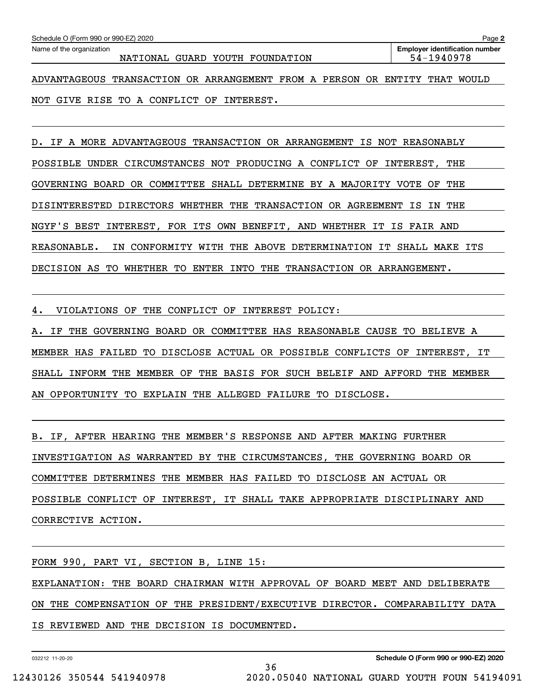| Schedule O (Form 990 or 990-EZ) 2020<br>Page 2                                 |                                                     |  |  |  |  |  |  |  |
|--------------------------------------------------------------------------------|-----------------------------------------------------|--|--|--|--|--|--|--|
| Name of the organization<br>NATIONAL GUARD YOUTH FOUNDATION                    | <b>Employer identification number</b><br>54-1940978 |  |  |  |  |  |  |  |
| ™רסים<br>A DIA NEACEOIIC EN ANCACETONI OP A PRANCEMENTE<br>סח ואחס סים ס<br>A. | הגטה טהדהזהם<br>ח זזזמאז                            |  |  |  |  |  |  |  |

ADVANTAGEOUS TRANSACTION OR ARRANGEMENT FROM A PERSON OR ENTITY THAT WOULD NOT GIVE RISE TO A CONFLICT OF INTEREST.

D. IF A MORE ADVANTAGEOUS TRANSACTION OR ARRANGEMENT IS NOT REASONABLY POSSIBLE UNDER CIRCUMSTANCES NOT PRODUCING A CONFLICT OF INTEREST, THE GOVERNING BOARD OR COMMITTEE SHALL DETERMINE BY A MAJORITY VOTE OF THE DISINTERESTED DIRECTORS WHETHER THE TRANSACTION OR AGREEMENT IS IN THE NGYF'S BEST INTEREST, FOR ITS OWN BENEFIT, AND WHETHER IT IS FAIR AND REASONABLE. IN CONFORMITY WITH THE ABOVE DETERMINATION IT SHALL MAKE ITS DECISION AS TO WHETHER TO ENTER INTO THE TRANSACTION OR ARRANGEMENT.

4. VIOLATIONS OF THE CONFLICT OF INTEREST POLICY:

A. IF THE GOVERNING BOARD OR COMMITTEE HAS REASONABLE CAUSE TO BELIEVE A MEMBER HAS FAILED TO DISCLOSE ACTUAL OR POSSIBLE CONFLICTS OF INTEREST, IT SHALL INFORM THE MEMBER OF THE BASIS FOR SUCH BELEIF AND AFFORD THE MEMBER AN OPPORTUNITY TO EXPLAIN THE ALLEGED FAILURE TO DISCLOSE.

B. IF, AFTER HEARING THE MEMBER'S RESPONSE AND AFTER MAKING FURTHER INVESTIGATION AS WARRANTED BY THE CIRCUMSTANCES, THE GOVERNING BOARD OR COMMITTEE DETERMINES THE MEMBER HAS FAILED TO DISCLOSE AN ACTUAL OR POSSIBLE CONFLICT OF INTEREST, IT SHALL TAKE APPROPRIATE DISCIPLINARY AND CORRECTIVE ACTION.

FORM 990, PART VI, SECTION B, LINE 15: EXPLANATION: THE BOARD CHAIRMAN WITH APPROVAL OF BOARD MEET AND DELIBERATE ON THE COMPENSATION OF THE PRESIDENT/EXECUTIVE DIRECTOR. COMPARABILITY DATA IS REVIEWED AND THE DECISION IS DOCUMENTED.

36

032212 11-20-20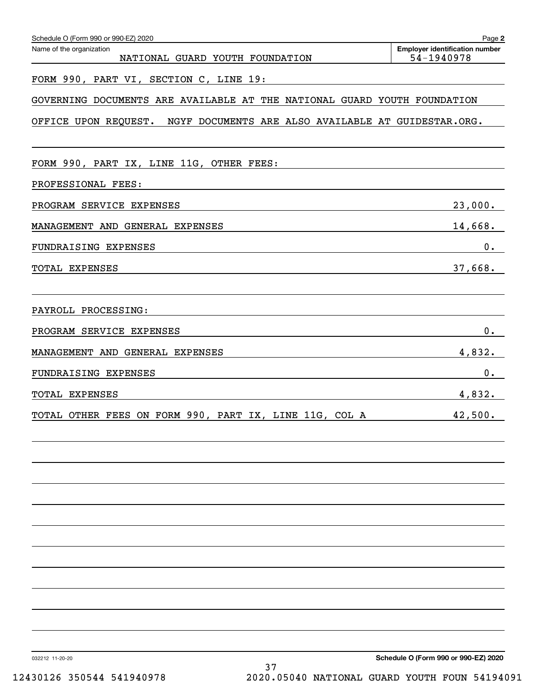| Schedule O (Form 990 or 990-EZ) 2020                                                                                                                                                                                                                  | Page 2                                              |
|-------------------------------------------------------------------------------------------------------------------------------------------------------------------------------------------------------------------------------------------------------|-----------------------------------------------------|
| Name of the organization<br>NATIONAL GUARD YOUTH FOUNDATION                                                                                                                                                                                           | <b>Employer identification number</b><br>54-1940978 |
| FORM 990, PART VI, SECTION C, LINE 19:                                                                                                                                                                                                                |                                                     |
| GOVERNING DOCUMENTS ARE AVAILABLE AT THE NATIONAL GUARD YOUTH FOUNDATION                                                                                                                                                                              |                                                     |
| OFFICE UPON REQUEST. NGYF DOCUMENTS ARE ALSO AVAILABLE AT GUIDESTAR.ORG.                                                                                                                                                                              |                                                     |
| FORM 990, PART IX, LINE 11G, OTHER FEES:                                                                                                                                                                                                              |                                                     |
| PROFESSIONAL FEES:<br>and the control of the control of the control of the control of the control of the control of the control of the                                                                                                                |                                                     |
| PROGRAM SERVICE EXPENSES<br><u> 1989 - Johann Stein, marwolaethau a bhann an t-Amhair an t-Amhair an t-Amhair an t-Amhair an t-Amhair an t-A</u>                                                                                                      | 23,000.                                             |
| MANAGEMENT AND GENERAL EXPENSES                                                                                                                                                                                                                       | 14,668.                                             |
| FUNDRAISING EXPENSES                                                                                                                                                                                                                                  | 0.                                                  |
| TOTAL EXPENSES<br><u> 1989 - Johann Stoff, amerikansk politiker (d. 1989)</u>                                                                                                                                                                         | 37,668.                                             |
| PAYROLL PROCESSING:<br>the control of the control of the control of the control of the control of the control of the control of the control of the control of the control of the control of the control of the control of the control of the control  |                                                     |
| PROGRAM SERVICE EXPENSES<br><u> 1989 - Johann Stoff, deutscher Stoff, der Stoff, der Stoff, der Stoff, der Stoff, der Stoff, der Stoff, der S</u>                                                                                                     | 0.                                                  |
| MANAGEMENT AND GENERAL EXPENSES                                                                                                                                                                                                                       | 4,832.                                              |
| FUNDRAISING EXPENSES<br>the control of the control of the control of the control of the control of the control of the control of the control of the control of the control of the control of the control of the control of the control of the control | 0.                                                  |
| TOTAL EXPENSES                                                                                                                                                                                                                                        | 4,832.                                              |
| TOTAL OTHER FEES ON FORM 990, PART IX, LINE 11G, COL A 42,500.                                                                                                                                                                                        |                                                     |
|                                                                                                                                                                                                                                                       |                                                     |
|                                                                                                                                                                                                                                                       |                                                     |
|                                                                                                                                                                                                                                                       |                                                     |
|                                                                                                                                                                                                                                                       |                                                     |
|                                                                                                                                                                                                                                                       |                                                     |
|                                                                                                                                                                                                                                                       |                                                     |
|                                                                                                                                                                                                                                                       |                                                     |